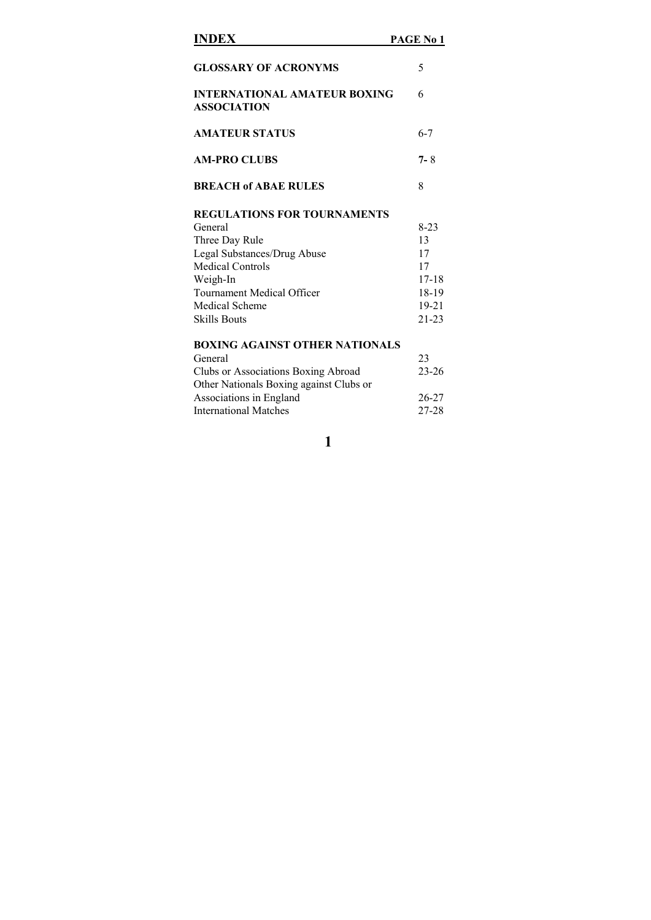| <b>INDEX</b>                                              | PAGE No 1 |
|-----------------------------------------------------------|-----------|
| <b>GLOSSARY OF ACRONYMS</b>                               | 5         |
| <b>INTERNATIONAL AMATEUR BOXING</b><br><b>ASSOCIATION</b> | 6         |
| <b>AMATEUR STATUS</b>                                     | $6 - 7$   |
| <b>AM-PRO CLUBS</b>                                       | $7 - 8$   |
| <b>BREACH of ABAE RULES</b>                               | 8         |
| <b>REGULATIONS FOR TOURNAMENTS</b>                        |           |
| General                                                   | $8-23$    |
| Three Day Rule                                            | 13        |
| Legal Substances/Drug Abuse                               | 17        |
| <b>Medical Controls</b>                                   | 17        |
| Weigh-In                                                  | $17 - 18$ |
| Tournament Medical Officer                                | 18-19     |
| <b>Medical Scheme</b>                                     | $19 - 21$ |
| <b>Skills Bouts</b>                                       | $21 - 23$ |
| <b>BOXING AGAINST OTHER NATIONALS</b>                     |           |
| General                                                   | 23        |
| Clubs or Associations Boxing Abroad                       | $23 - 26$ |
| Other Nationals Boxing against Clubs or                   |           |

Associations in England 26-27 International Matches 27-28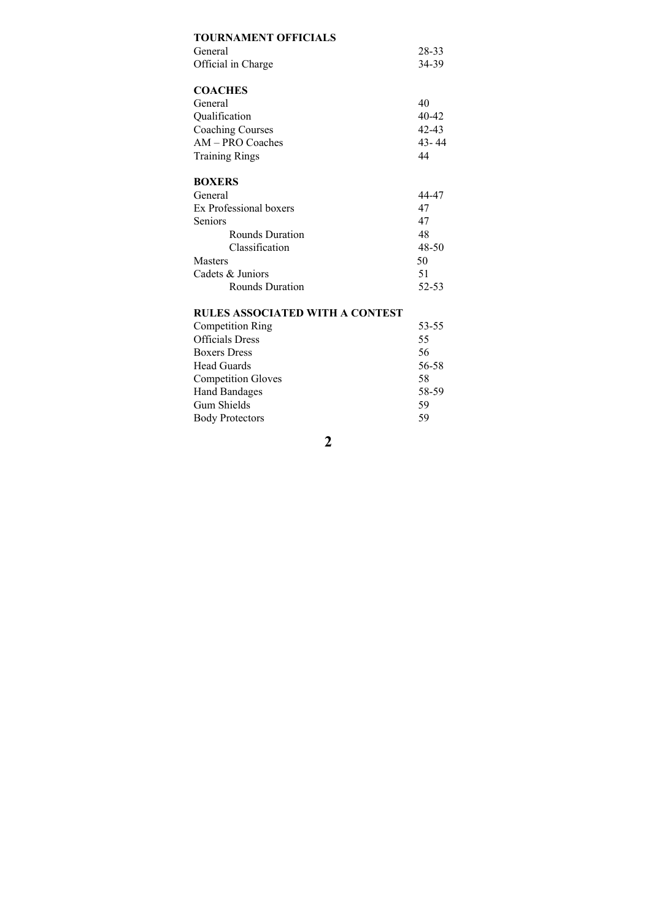| <b>TOURNAMENT OFFICIALS</b>     |           |
|---------------------------------|-----------|
| General                         | 28-33     |
| Official in Charge              | 34-39     |
|                                 |           |
| <b>COACHES</b>                  |           |
| General                         | 40        |
| Qualification                   | $40 - 42$ |
| <b>Coaching Courses</b>         | $42 - 43$ |
| AM - PRO Coaches                | 43-44     |
| <b>Training Rings</b>           | 44        |
|                                 |           |
| <b>BOXERS</b>                   |           |
| General                         | 44-47     |
| Ex Professional boxers          | 47        |
| Seniors                         | 47        |
| <b>Rounds Duration</b>          | 48        |
| Classification                  | 48-50     |
| Masters                         | 50        |
| Cadets & Juniors                | 51        |
| Rounds Duration                 | 52-53     |
| RULES ASSOCIATED WITH A CONTEST |           |

| <b>Competition Ring</b>   | 53-55 |
|---------------------------|-------|
| <b>Officials Dress</b>    | 55    |
| <b>Boxers Dress</b>       | 56    |
| Head Guards               | 56-58 |
| <b>Competition Gloves</b> | 58    |
| <b>Hand Bandages</b>      | 58-59 |
| Gum Shields               | 59    |
| <b>Body Protectors</b>    | 59    |
|                           |       |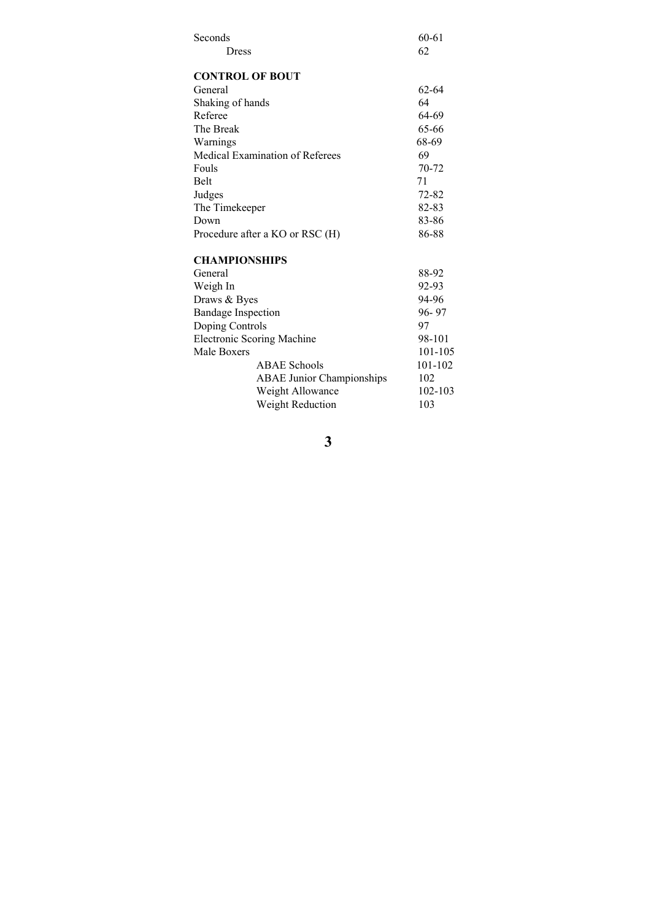| Seconds                         |                                  | 60-61       |
|---------------------------------|----------------------------------|-------------|
| Dress                           |                                  | 62          |
|                                 |                                  |             |
| <b>CONTROL OF BOUT</b>          |                                  |             |
| General                         |                                  | 62-64       |
| Shaking of hands                |                                  | 64          |
| Referee                         |                                  | 64-69       |
| The Break                       |                                  | 65-66       |
| Warnings                        |                                  | 68-69       |
| Medical Examination of Referees |                                  | 69          |
| Fouls                           |                                  | 70-72       |
| <b>Belt</b>                     |                                  | 71          |
| Judges                          |                                  | 72-82       |
| The Timekeeper                  |                                  | 82-83       |
| Down                            |                                  | 83-86       |
| Procedure after a KO or RSC (H) |                                  | 86-88       |
| <b>CHAMPIONSHIPS</b>            |                                  |             |
| General                         |                                  | 88-92       |
| Weigh In                        |                                  | 92-93       |
| Draws & Byes                    |                                  | 94-96       |
| <b>Bandage Inspection</b>       |                                  | 96-97       |
| Doping Controls                 |                                  | 97          |
| Electronic Scoring Machine      |                                  | 98-101      |
| Male Boxers                     |                                  | 101-105     |
|                                 | <b>ABAE Schools</b>              | 101-102     |
|                                 | <b>ABAE Junior Championships</b> | 102         |
|                                 | Weight Allowance                 | $102 - 103$ |
|                                 | <b>Weight Reduction</b>          | 103         |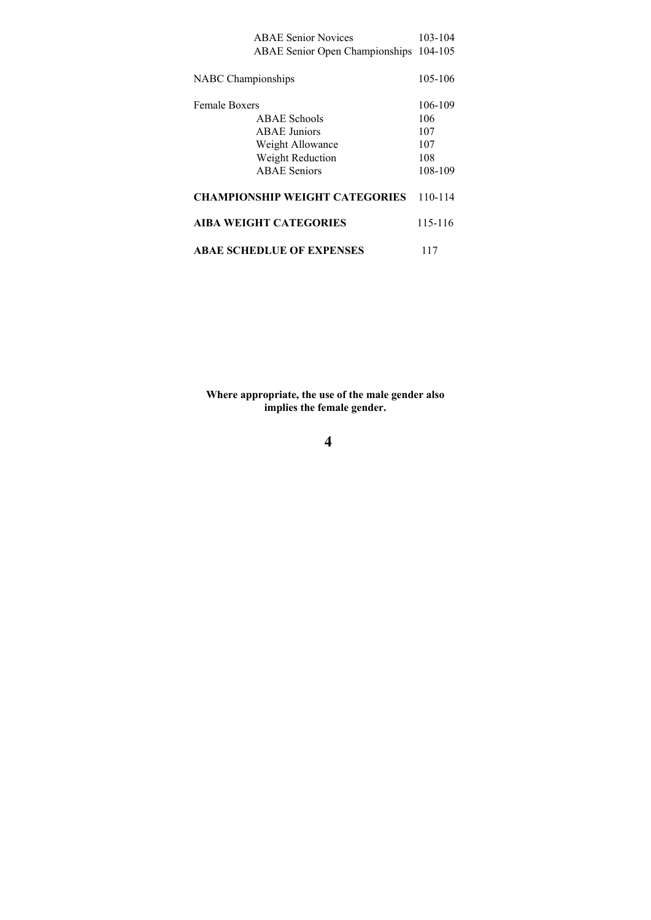| <b>ABAE Senior Novices</b>            | 103-104 |
|---------------------------------------|---------|
| <b>ABAE Senior Open Championships</b> | 104-105 |
|                                       |         |
| <b>NABC</b> Championships             | 105-106 |
|                                       |         |
| <b>Female Boxers</b>                  | 106-109 |
| ABAE Schools                          | 106     |
| <b>ABAE</b> Juniors                   | 107     |
| Weight Allowance                      | 107     |
| Weight Reduction                      | 108     |
| <b>ABAE</b> Seniors                   | 108-109 |
|                                       |         |
| <b>CHAMPIONSHIP WEIGHT CATEGORIES</b> | 110-114 |
| <b>AIBA WEIGHT CATEGORIES</b>         | 115-116 |
|                                       |         |
| <b>ABAE SCHEDLUE OF EXPENSES</b>      |         |
|                                       | 117     |

**Where appropriate, the use of the male gender also implies the female gender.**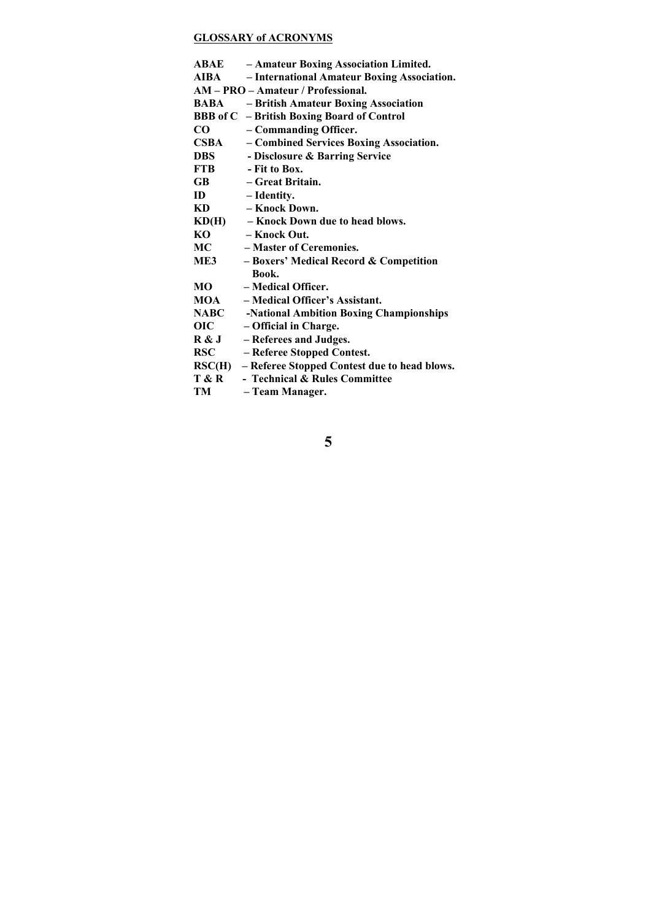# **GLOSSARY of ACRONYMS**

|                  | <b>ABAE</b> - Amateur Boxing Association Limited.            |
|------------------|--------------------------------------------------------------|
| <b>AIBA</b>      | - International Amateur Boxing Association.                  |
|                  | AM - PRO - Amateur / Professional.                           |
| BABA             | - British Amateur Boxing Association                         |
|                  | <b>BBB</b> of C - British Boxing Board of Control            |
| $\bf CO$         | - Commanding Officer.                                        |
| <b>CSBA</b>      | - Combined Services Boxing Association.                      |
| <b>DBS</b>       | - Disclosure & Barring Service                               |
| <b>FTB</b>       | - Fit to Box.                                                |
| $\bf GB$         | – Great Britain.                                             |
| ID               | - Identity.                                                  |
| KD               | – Knock Down.                                                |
| KD(H)            | - Knock Down due to head blows.                              |
| KO               | – Knock Out.                                                 |
| МC               | - Master of Ceremonies.                                      |
| ME3              | - Boxers' Medical Record & Competition                       |
|                  | Book.                                                        |
| МO               | - Medical Officer.                                           |
| MOA              | - Medical Officer's Assistant.                               |
| <b>NABC</b>      | -National Ambition Boxing Championships                      |
| <b>OIC</b>       | - Official in Charge.                                        |
| R & J            | - Referees and Judges.                                       |
| <b>RSC</b>       | - Referee Stopped Contest.                                   |
|                  | $\text{RSC}(H)$ – Referee Stopped Contest due to head blows. |
| <b>T &amp; R</b> | - Technical & Rules Committee                                |
| TM               | - Team Manager.                                              |
|                  |                                                              |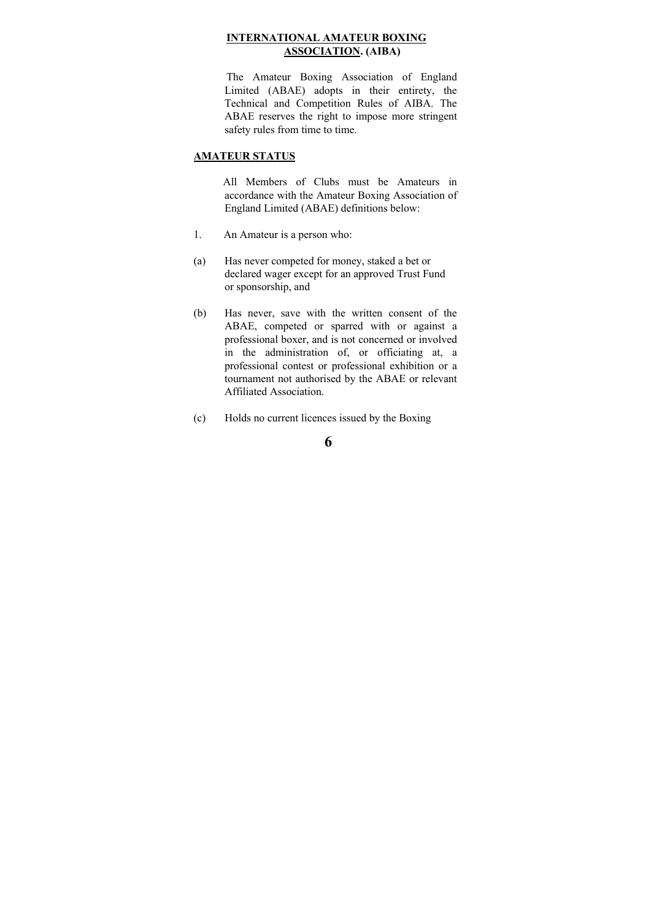#### **INTERNATIONAL AMATEUR BOXING ASSOCIATION. (AIBA)**

 The Amateur Boxing Association of England Limited (ABAE) adopts in their entirety, the Technical and Competition Rules of AIBA. The ABAE reserves the right to impose more stringent safety rules from time to time.

### **AMATEUR STATUS**

 All Members of Clubs must be Amateurs in accordance with the Amateur Boxing Association of England Limited (ABAE) definitions below:

- 1. An Amateur is a person who:
- (a) Has never competed for money, staked a bet or declared wager except for an approved Trust Fund or sponsorship, and
- (b) Has never, save with the written consent of the ABAE, competed or sparred with or against a professional boxer, and is not concerned or involved in the administration of, or officiating at, a professional contest or professional exhibition or a tournament not authorised by the ABAE or relevant Affiliated Association.
- (c) Holds no current licences issued by the Boxing

**<sup>6</sup>**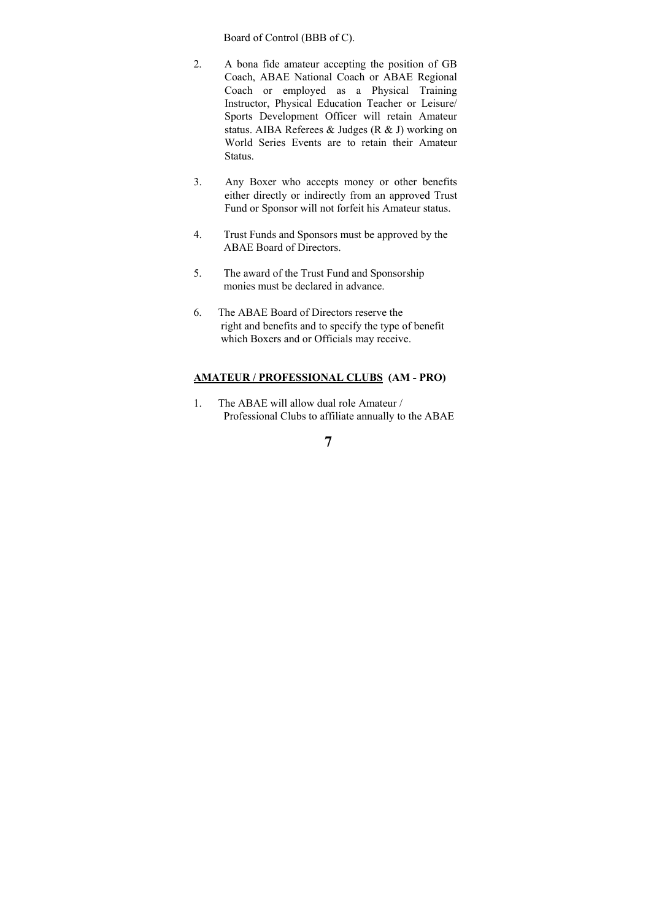Board of Control (BBB of C).

- 2. A bona fide amateur accepting the position of GB Coach, ABAE National Coach or ABAE Regional Coach or employed as a Physical Training Instructor, Physical Education Teacher or Leisure/ Sports Development Officer will retain Amateur status. AIBA Referees & Judges (R & J) working on World Series Events are to retain their Amateur Status.
- 3. Any Boxer who accepts money or other benefits either directly or indirectly from an approved Trust Fund or Sponsor will not forfeit his Amateur status.
- 4. Trust Funds and Sponsors must be approved by the ABAE Board of Directors.
- 5. The award of the Trust Fund and Sponsorship monies must be declared in advance.
- 6. The ABAE Board of Directors reserve the right and benefits and to specify the type of benefit which Boxers and or Officials may receive.

#### **AMATEUR / PROFESSIONAL CLUBS (AM - PRO)**

1. The ABAE will allow dual role Amateur / Professional Clubs to affiliate annually to the ABAE

**<sup>7</sup>**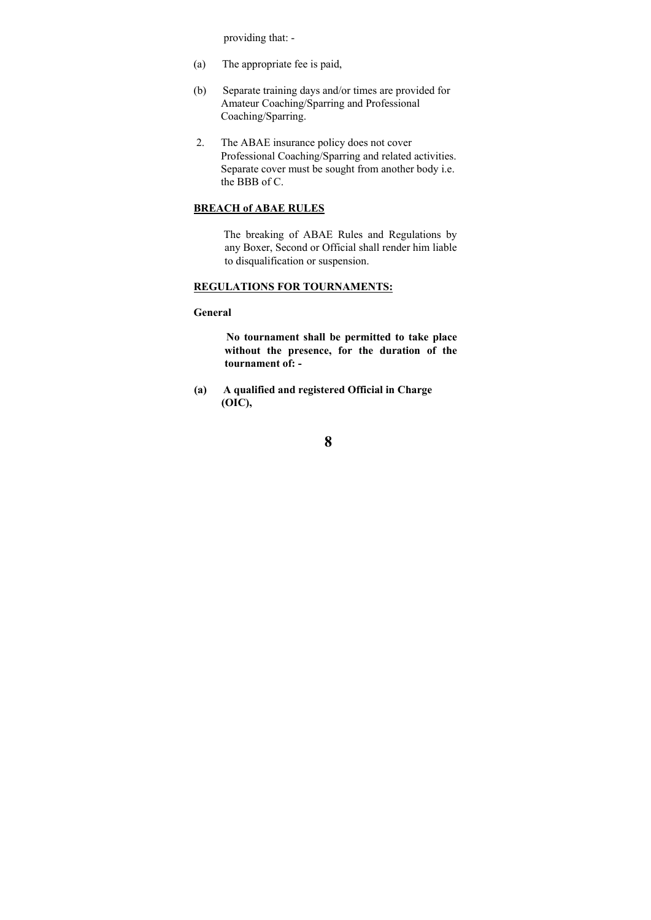providing that: -

- (a) The appropriate fee is paid,
- (b) Separate training days and/or times are provided for Amateur Coaching/Sparring and Professional Coaching/Sparring.
- 2. The ABAE insurance policy does not cover Professional Coaching/Sparring and related activities. Separate cover must be sought from another body i.e. the BBB of C.

### **BREACH of ABAE RULES**

 The breaking of ABAE Rules and Regulations by any Boxer, Second or Official shall render him liable to disqualification or suspension.

### **REGULATIONS FOR TOURNAMENTS:**

#### **General**

 **No tournament shall be permitted to take place without the presence, for the duration of the tournament of: -** 

 **(a) A qualified and registered Official in Charge (OIC),**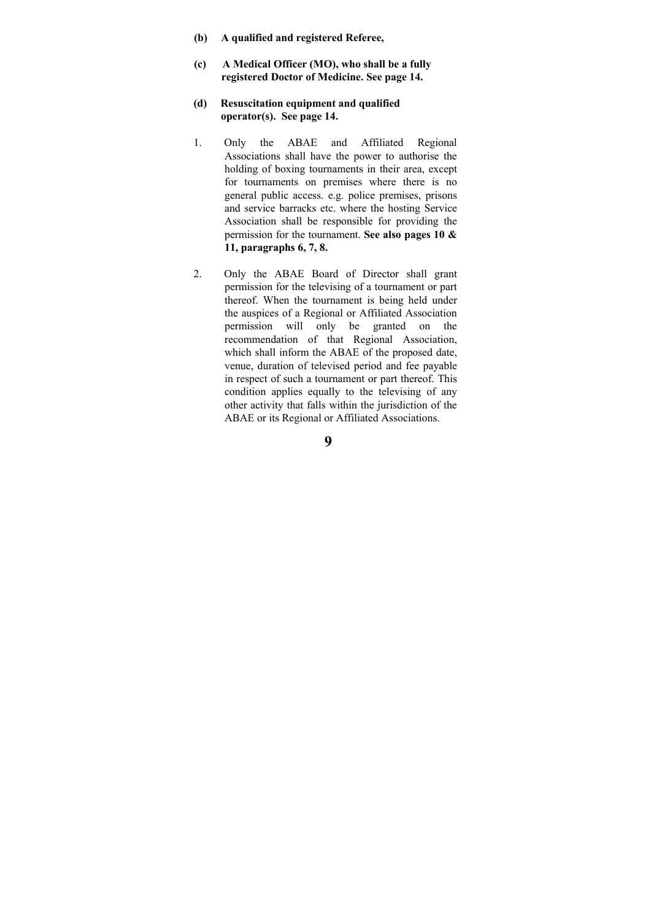- **(b) A qualified and registered Referee,**
- **(c) A Medical Officer (MO), who shall be a fully registered Doctor of Medicine. See page 14.**
- **(d) Resuscitation equipment and qualified operator(s). See page 14.**
- 1. Only the ABAE and Affiliated Regional Associations shall have the power to authorise the holding of boxing tournaments in their area, except for tournaments on premises where there is no general public access. e.g. police premises, prisons and service barracks etc. where the hosting Service Association shall be responsible for providing the permission for the tournament. **See also pages 10 & 11, paragraphs 6, 7, 8.**
- 2. Only the ABAE Board of Director shall grant permission for the televising of a tournament or part thereof. When the tournament is being held under the auspices of a Regional or Affiliated Association permission will only be granted on the recommendation of that Regional Association, which shall inform the ABAE of the proposed date, venue, duration of televised period and fee payable in respect of such a tournament or part thereof. This condition applies equally to the televising of any other activity that falls within the jurisdiction of the ABAE or its Regional or Affiliated Associations.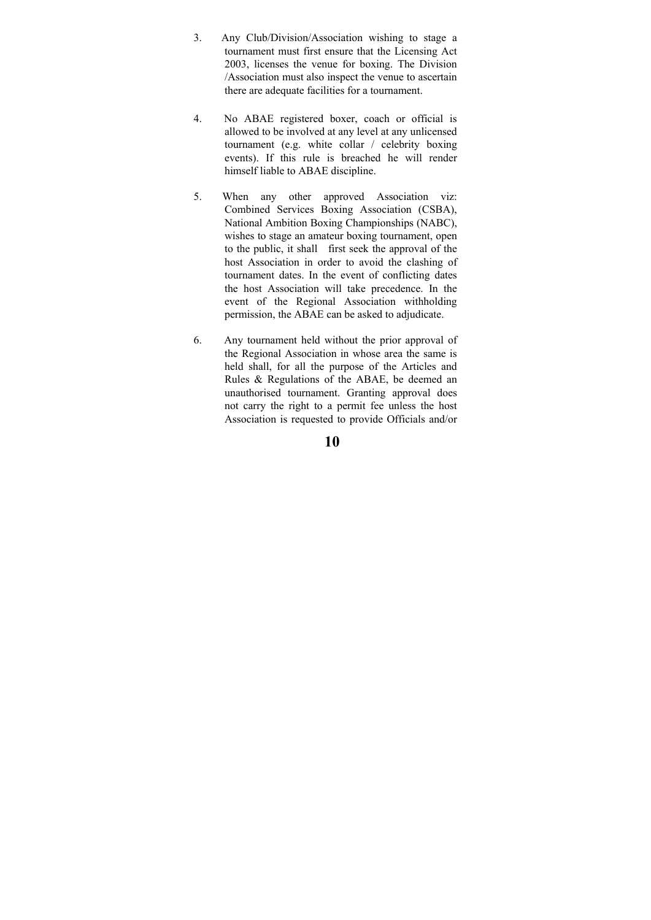- 3. Any Club/Division/Association wishing to stage a tournament must first ensure that the Licensing Act 2003, licenses the venue for boxing. The Division /Association must also inspect the venue to ascertain there are adequate facilities for a tournament.
- 4. No ABAE registered boxer, coach or official is allowed to be involved at any level at any unlicensed tournament (e.g. white collar / celebrity boxing events). If this rule is breached he will render himself liable to ABAE discipline.
- 5. When any other approved Association viz: Combined Services Boxing Association (CSBA), National Ambition Boxing Championships (NABC), wishes to stage an amateur boxing tournament, open to the public, it shall first seek the approval of the host Association in order to avoid the clashing of tournament dates. In the event of conflicting dates the host Association will take precedence. In the event of the Regional Association withholding permission, the ABAE can be asked to adjudicate.
- 6. Any tournament held without the prior approval of the Regional Association in whose area the same is held shall, for all the purpose of the Articles and Rules & Regulations of the ABAE, be deemed an unauthorised tournament. Granting approval does not carry the right to a permit fee unless the host Association is requested to provide Officials and/or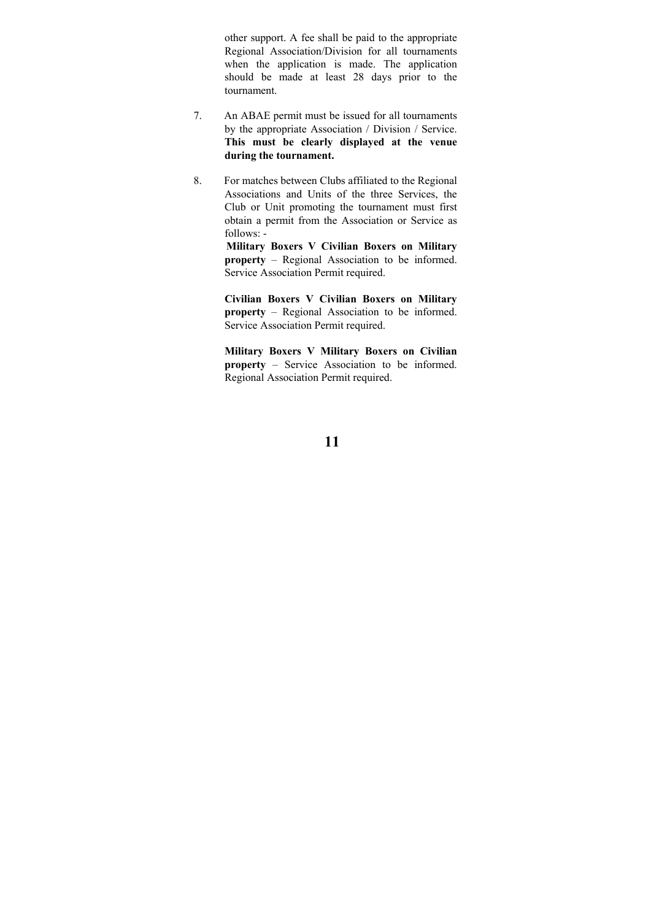other support. A fee shall be paid to the appropriate Regional Association/Division for all tournaments when the application is made. The application should be made at least 28 days prior to the tournament.

- 7. An ABAE permit must be issued for all tournaments by the appropriate Association / Division / Service. **This must be clearly displayed at the venue during the tournament.**
- 8. For matches between Clubs affiliated to the Regional Associations and Units of the three Services, the Club or Unit promoting the tournament must first obtain a permit from the Association or Service as follows: -

 **Military Boxers V Civilian Boxers on Military property** – Regional Association to be informed. Service Association Permit required.

**Civilian Boxers V Civilian Boxers on Military property** – Regional Association to be informed. Service Association Permit required.

**Military Boxers V Military Boxers on Civilian property** – Service Association to be informed. Regional Association Permit required.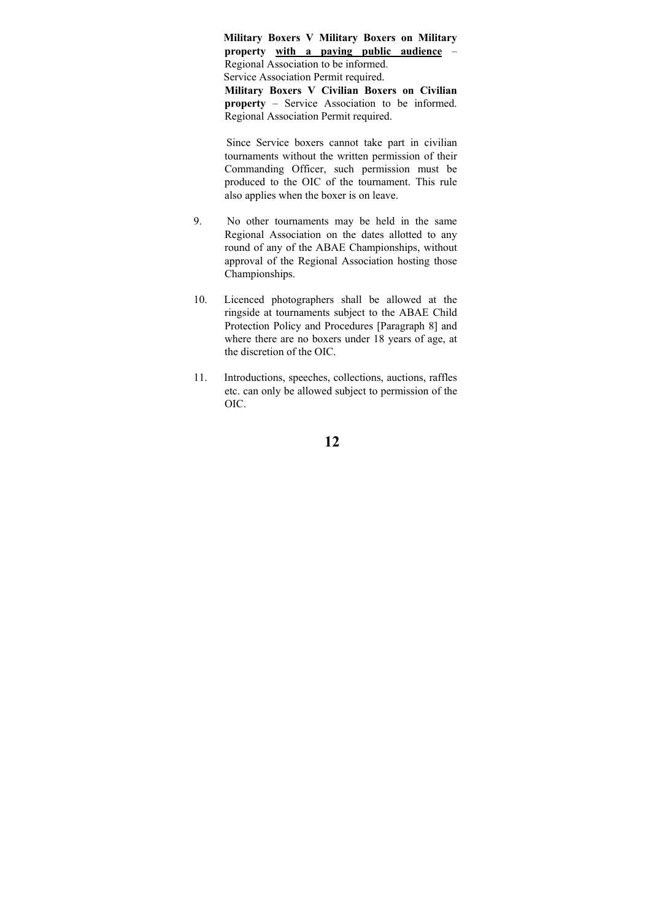**Military Boxers V Military Boxers on Military property with a paying public audience** – Regional Association to be informed. Service Association Permit required. **Military Boxers V Civilian Boxers on Civilian property** – Service Association to be informed. Regional Association Permit required.

 Since Service boxers cannot take part in civilian tournaments without the written permission of their Commanding Officer, such permission must be produced to the OIC of the tournament. This rule also applies when the boxer is on leave.

- 9. No other tournaments may be held in the same Regional Association on the dates allotted to any round of any of the ABAE Championships, without approval of the Regional Association hosting those Championships.
- 10. Licenced photographers shall be allowed at the ringside at tournaments subject to the ABAE Child Protection Policy and Procedures [Paragraph 8] and where there are no boxers under 18 years of age, at the discretion of the OIC.
- 11. Introductions, speeches, collections, auctions, raffles etc. can only be allowed subject to permission of the OIC.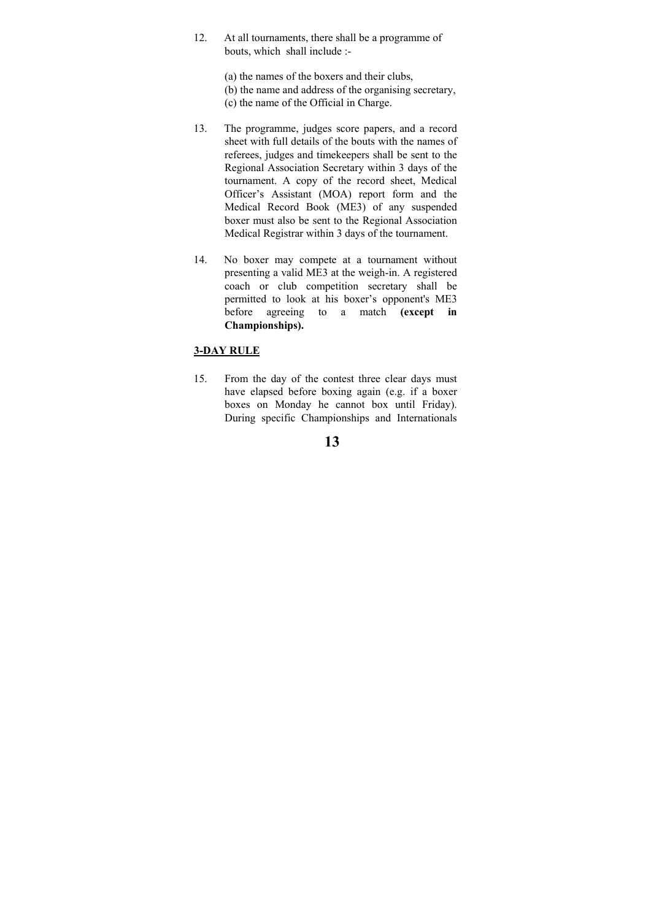12. At all tournaments, there shall be a programme of bouts, which shall include :-

> (a) the names of the boxers and their clubs, (b) the name and address of the organising secretary, (c) the name of the Official in Charge.

- 13. The programme, judges score papers, and a record sheet with full details of the bouts with the names of referees, judges and timekeepers shall be sent to the Regional Association Secretary within 3 days of the tournament. A copy of the record sheet, Medical Officer's Assistant (MOA) report form and the Medical Record Book (ME3) of any suspended boxer must also be sent to the Regional Association Medical Registrar within 3 days of the tournament.
- 14. No boxer may compete at a tournament without presenting a valid ME3 at the weigh-in. A registered coach or club competition secretary shall be permitted to look at his boxer's opponent's ME3 before agreeing to a match **(except in Championships).**

## **3-DAY RULE**

15. From the day of the contest three clear days must have elapsed before boxing again (e.g. if a boxer boxes on Monday he cannot box until Friday). During specific Championships and Internationals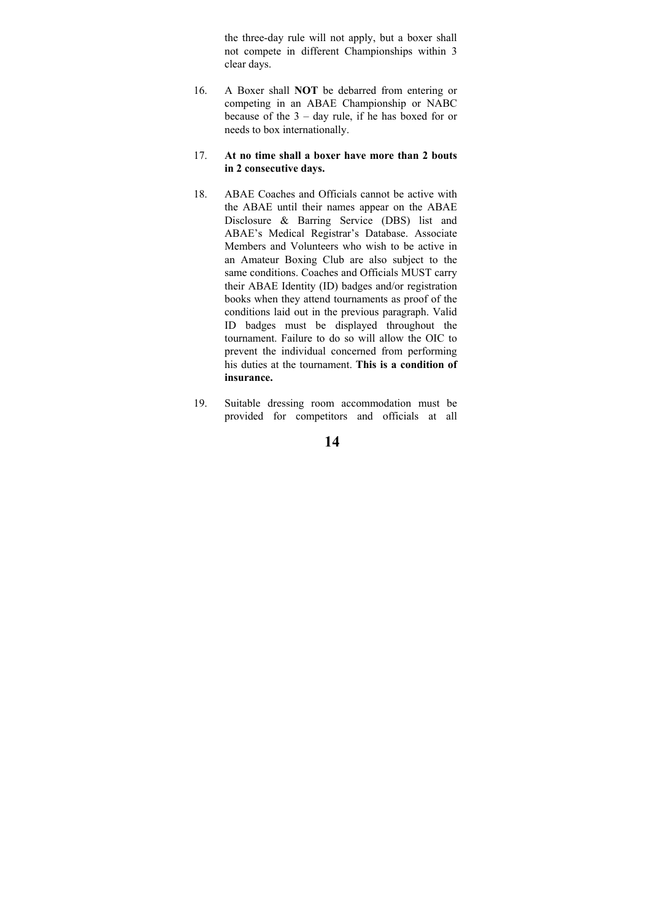the three-day rule will not apply, but a boxer shall not compete in different Championships within 3 clear days.

16. A Boxer shall **NOT** be debarred from entering or competing in an ABAE Championship or NABC because of the 3 – day rule, if he has boxed for or needs to box internationally.

#### 17. **At no time shall a boxer have more than 2 bouts in 2 consecutive days.**

- 18. ABAE Coaches and Officials cannot be active with the ABAE until their names appear on the ABAE Disclosure & Barring Service (DBS) list and ABAE's Medical Registrar's Database. Associate Members and Volunteers who wish to be active in an Amateur Boxing Club are also subject to the same conditions. Coaches and Officials MUST carry their ABAE Identity (ID) badges and/or registration books when they attend tournaments as proof of the conditions laid out in the previous paragraph. Valid ID badges must be displayed throughout the tournament. Failure to do so will allow the OIC to prevent the individual concerned from performing his duties at the tournament. **This is a condition of insurance.**
- 19. Suitable dressing room accommodation must be provided for competitors and officials at all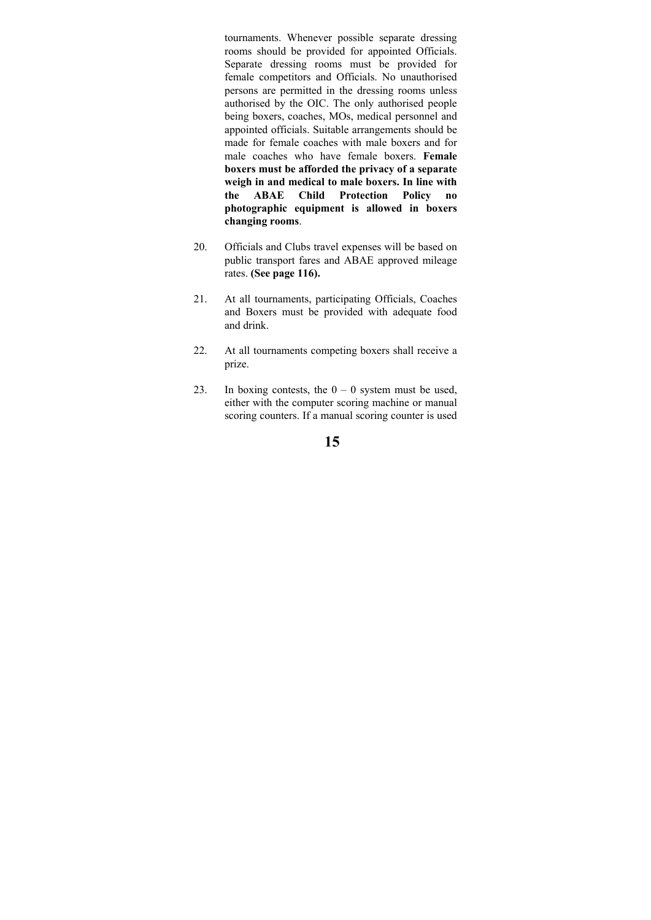tournaments. Whenever possible separate dressing rooms should be provided for appointed Officials. Separate dressing rooms must be provided for female competitors and Officials. No unauthorised persons are permitted in the dressing rooms unless authorised by the OIC. The only authorised people being boxers, coaches, MOs, medical personnel and appointed officials. Suitable arrangements should be made for female coaches with male boxers and for male coaches who have female boxers. **Female boxers must be afforded the privacy of a separate weigh in and medical to male boxers. In line with the ABAE Child Protection Policy no photographic equipment is allowed in boxers changing rooms**.

- 20. Officials and Clubs travel expenses will be based on public transport fares and ABAE approved mileage rates. **(See page 116).**
- 21. At all tournaments, participating Officials, Coaches and Boxers must be provided with adequate food and drink.
- 22. At all tournaments competing boxers shall receive a prize.
- 23. In boxing contests, the  $0 0$  system must be used, either with the computer scoring machine or manual scoring counters. If a manual scoring counter is used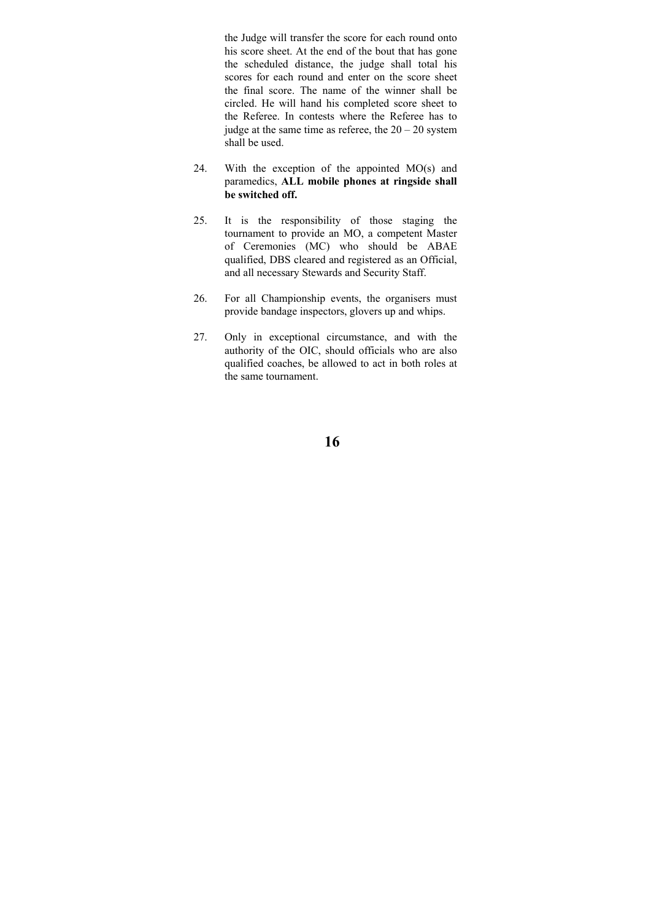the Judge will transfer the score for each round onto his score sheet. At the end of the bout that has gone the scheduled distance, the judge shall total his scores for each round and enter on the score sheet the final score. The name of the winner shall be circled. He will hand his completed score sheet to the Referee. In contests where the Referee has to judge at the same time as referee, the  $20 - 20$  system shall be used.

- 24. With the exception of the appointed MO(s) and paramedics, **ALL mobile phones at ringside shall be switched off.**
- 25. It is the responsibility of those staging the tournament to provide an MO, a competent Master of Ceremonies (MC) who should be ABAE qualified, DBS cleared and registered as an Official, and all necessary Stewards and Security Staff.
- 26. For all Championship events, the organisers must provide bandage inspectors, glovers up and whips.
- 27. Only in exceptional circumstance, and with the authority of the OIC, should officials who are also qualified coaches, be allowed to act in both roles at the same tournament.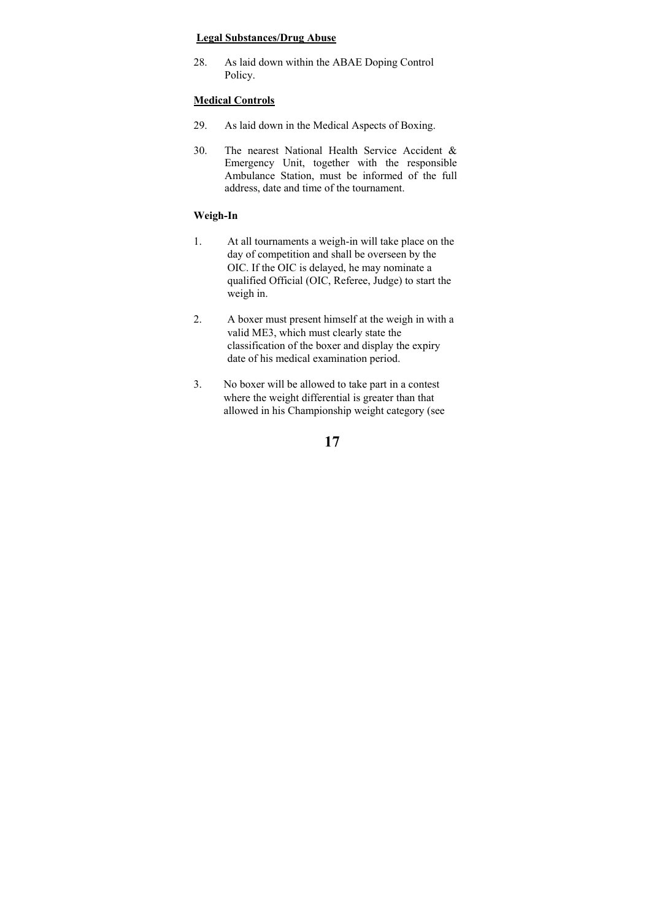#### **Legal Substances/Drug Abuse**

28. As laid down within the ABAE Doping Control Policy.

### **Medical Controls**

- 29. As laid down in the Medical Aspects of Boxing.
- 30. The nearest National Health Service Accident & Emergency Unit, together with the responsible Ambulance Station, must be informed of the full address, date and time of the tournament.

### **Weigh-In**

- 1. At all tournaments a weigh-in will take place on the day of competition and shall be overseen by the OIC. If the OIC is delayed, he may nominate a qualified Official (OIC, Referee, Judge) to start the weigh in.
- 2. A boxer must present himself at the weigh in with a valid ME3, which must clearly state the classification of the boxer and display the expiry date of his medical examination period.
- 3. No boxer will be allowed to take part in a contest where the weight differential is greater than that allowed in his Championship weight category (see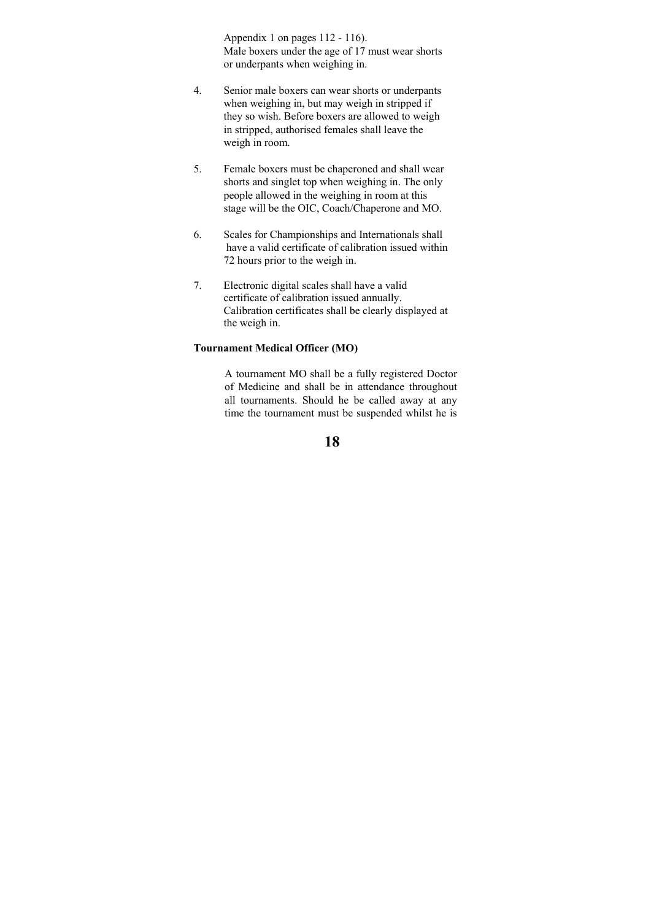Appendix 1 on pages 112 - 116). Male boxers under the age of 17 must wear shorts or underpants when weighing in.

- 4. Senior male boxers can wear shorts or underpants when weighing in, but may weigh in stripped if they so wish. Before boxers are allowed to weigh in stripped, authorised females shall leave the weigh in room.
- 5. Female boxers must be chaperoned and shall wear shorts and singlet top when weighing in. The only people allowed in the weighing in room at this stage will be the OIC, Coach/Chaperone and MO.
- 6. Scales for Championships and Internationals shall have a valid certificate of calibration issued within 72 hours prior to the weigh in.
- 7. Electronic digital scales shall have a valid certificate of calibration issued annually. Calibration certificates shall be clearly displayed at the weigh in.

### **Tournament Medical Officer (MO)**

A tournament MO shall be a fully registered Doctor of Medicine and shall be in attendance throughout all tournaments. Should he be called away at any time the tournament must be suspended whilst he is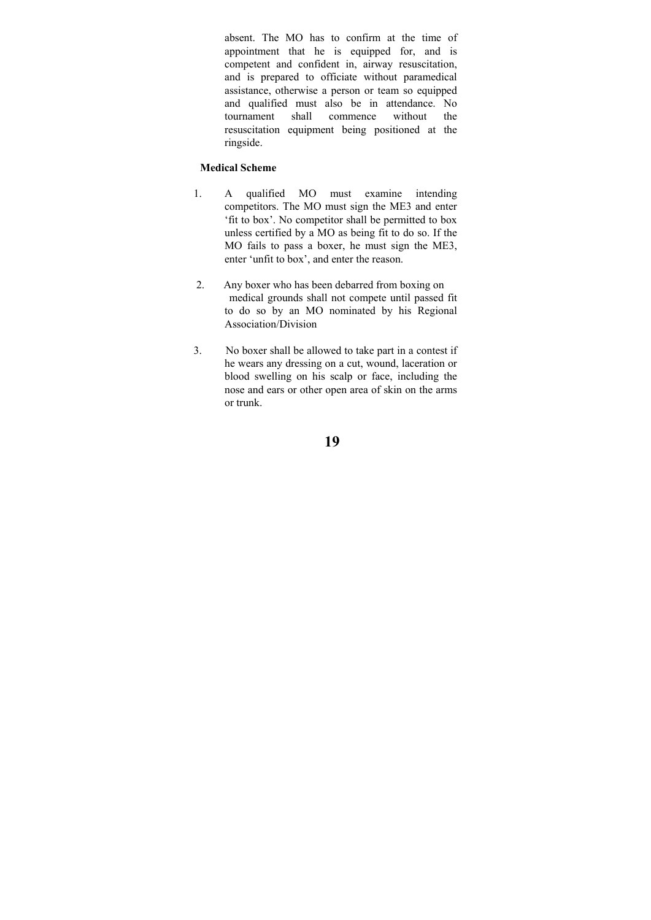absent. The MO has to confirm at the time of appointment that he is equipped for, and is competent and confident in, airway resuscitation, and is prepared to officiate without paramedical assistance, otherwise a person or team so equipped and qualified must also be in attendance. No tournament shall commence without the resuscitation equipment being positioned at the ringside.

#### **Medical Scheme**

- 1. A qualified MO must examine intending competitors. The MO must sign the ME3 and enter 'fit to box'. No competitor shall be permitted to box unless certified by a MO as being fit to do so. If the MO fails to pass a boxer, he must sign the ME3, enter 'unfit to box', and enter the reason.
- 2. Any boxer who has been debarred from boxing on medical grounds shall not compete until passed fit to do so by an MO nominated by his Regional Association/Division
- 3. No boxer shall be allowed to take part in a contest if he wears any dressing on a cut, wound, laceration or blood swelling on his scalp or face, including the nose and ears or other open area of skin on the arms or trunk.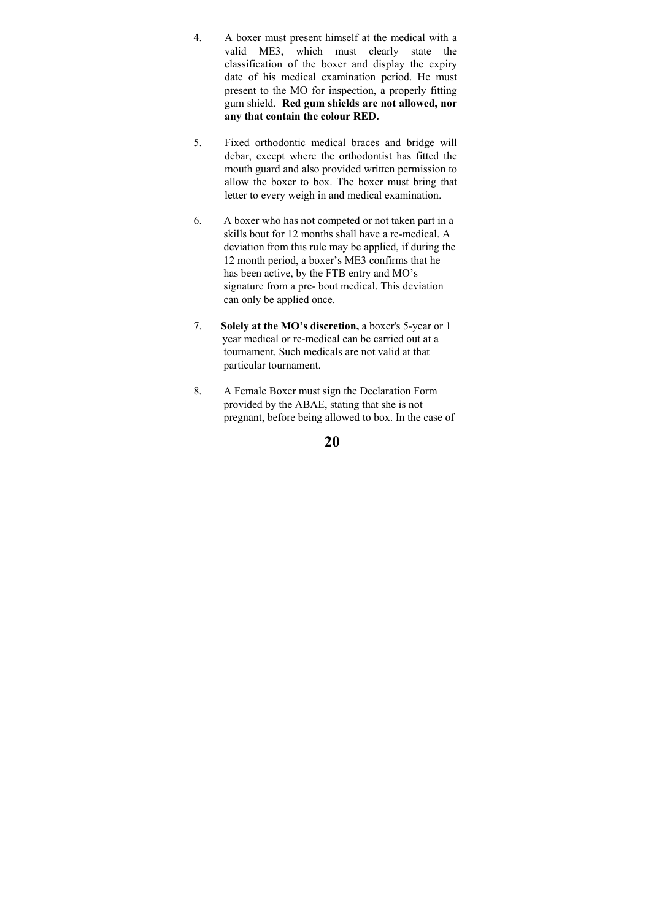- 4. A boxer must present himself at the medical with a valid ME3, which must clearly state the classification of the boxer and display the expiry date of his medical examination period. He must present to the MO for inspection, a properly fitting gum shield. **Red gum shields are not allowed, nor any that contain the colour RED.**
- 5. Fixed orthodontic medical braces and bridge will debar, except where the orthodontist has fitted the mouth guard and also provided written permission to allow the boxer to box. The boxer must bring that letter to every weigh in and medical examination.
- 6. A boxer who has not competed or not taken part in a skills bout for 12 months shall have a re-medical. A deviation from this rule may be applied, if during the 12 month period, a boxer's ME3 confirms that he has been active, by the FTB entry and MO's signature from a pre- bout medical. This deviation can only be applied once.
- 7. **Solely at the MO's discretion,** a boxer's 5-year or 1 year medical or re-medical can be carried out at a tournament. Such medicals are not valid at that particular tournament.
- 8. A Female Boxer must sign the Declaration Form provided by the ABAE, stating that she is not pregnant, before being allowed to box. In the case of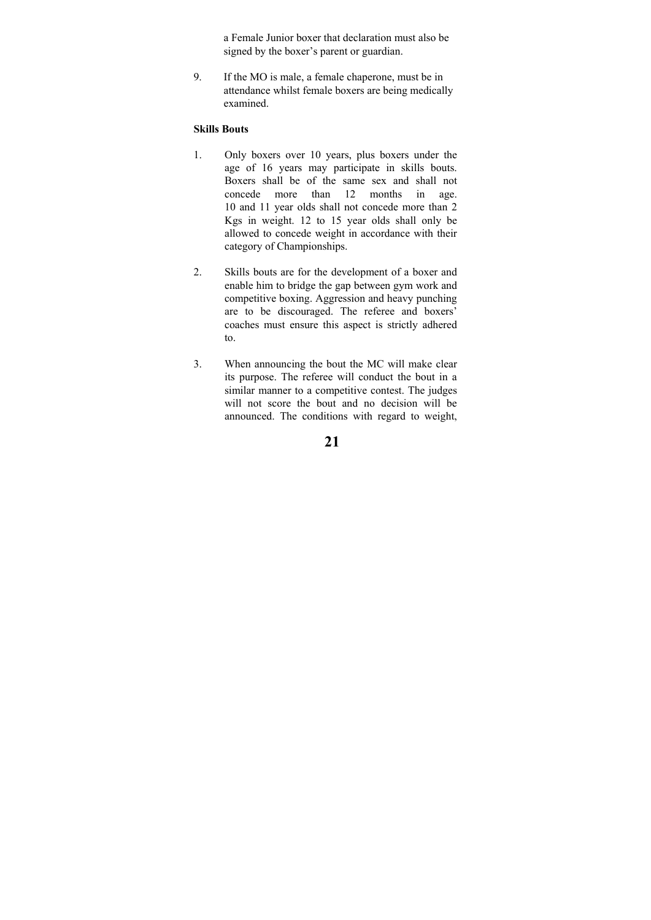a Female Junior boxer that declaration must also be signed by the boxer's parent or guardian.

9. If the MO is male, a female chaperone, must be in attendance whilst female boxers are being medically examined.

### **Skills Bouts**

- 1. Only boxers over 10 years, plus boxers under the age of 16 years may participate in skills bouts. Boxers shall be of the same sex and shall not concede more than 12 months in age. 10 and 11 year olds shall not concede more than 2 Kgs in weight. 12 to 15 year olds shall only be allowed to concede weight in accordance with their category of Championships.
- 2. Skills bouts are for the development of a boxer and enable him to bridge the gap between gym work and competitive boxing. Aggression and heavy punching are to be discouraged. The referee and boxers' coaches must ensure this aspect is strictly adhered to.
- 3. When announcing the bout the MC will make clear its purpose. The referee will conduct the bout in a similar manner to a competitive contest. The judges will not score the bout and no decision will be announced. The conditions with regard to weight,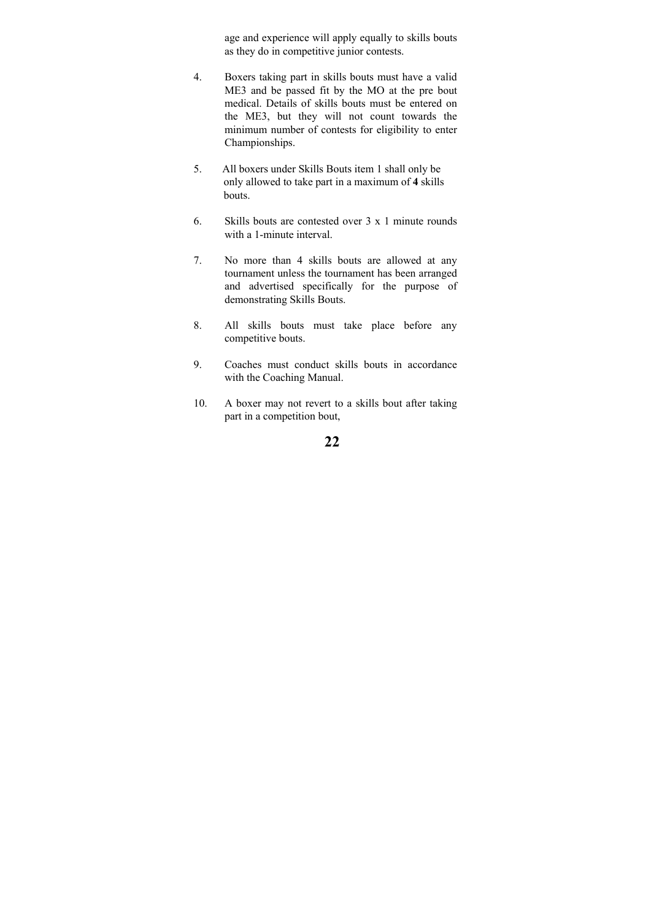age and experience will apply equally to skills bouts as they do in competitive junior contests.

- 4. Boxers taking part in skills bouts must have a valid ME3 and be passed fit by the MO at the pre bout medical. Details of skills bouts must be entered on the ME3, but they will not count towards the minimum number of contests for eligibility to enter Championships.
- 5. All boxers under Skills Bouts item 1 shall only be only allowed to take part in a maximum of **4** skills bouts.
- 6. Skills bouts are contested over 3 x 1 minute rounds with a 1-minute interval.
- 7. No more than 4 skills bouts are allowed at any tournament unless the tournament has been arranged and advertised specifically for the purpose of demonstrating Skills Bouts.
- 8. All skills bouts must take place before any competitive bouts.
- 9. Coaches must conduct skills bouts in accordance with the Coaching Manual.
- 10. A boxer may not revert to a skills bout after taking part in a competition bout,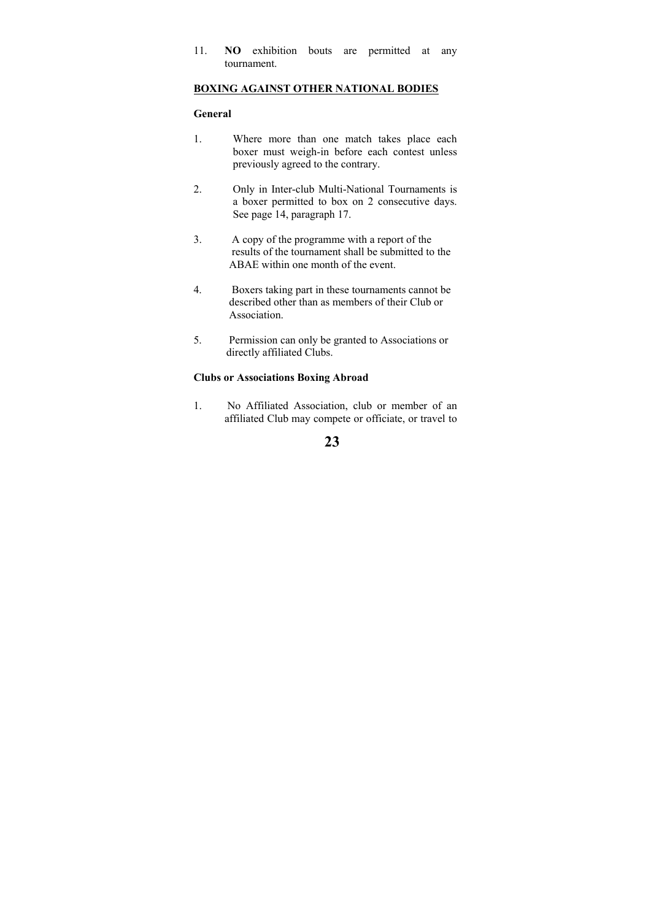11. **NO** exhibition bouts are permitted at any tournament.

#### **BOXING AGAINST OTHER NATIONAL BODIES**

### **General**

- 1. Where more than one match takes place each boxer must weigh-in before each contest unless previously agreed to the contrary.
- 2. Only in Inter-club Multi-National Tournaments is a boxer permitted to box on 2 consecutive days. See page 14, paragraph 17.
- 3. A copy of the programme with a report of the results of the tournament shall be submitted to the ABAE within one month of the event.
- 4. Boxers taking part in these tournaments cannot be described other than as members of their Club or Association.
- 5. Permission can only be granted to Associations or directly affiliated Clubs.

### **Clubs or Associations Boxing Abroad**

1. No Affiliated Association, club or member of an affiliated Club may compete or officiate, or travel to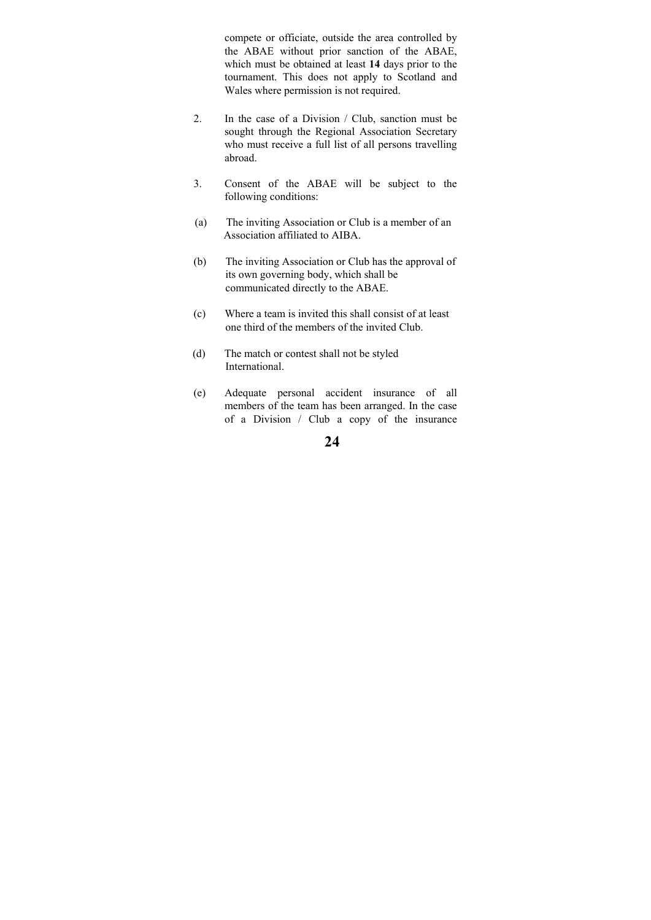compete or officiate, outside the area controlled by the ABAE without prior sanction of the ABAE, which must be obtained at least **14** days prior to the tournament. This does not apply to Scotland and Wales where permission is not required.

- 2. In the case of a Division / Club, sanction must be sought through the Regional Association Secretary who must receive a full list of all persons travelling abroad.
- 3. Consent of the ABAE will be subject to the following conditions:
- (a) The inviting Association or Club is a member of an Association affiliated to AIBA.
- (b) The inviting Association or Club has the approval of its own governing body, which shall be communicated directly to the ABAE.
- (c) Where a team is invited this shall consist of at least one third of the members of the invited Club.
- (d) The match or contest shall not be styled International.
- (e) Adequate personal accident insurance of all members of the team has been arranged. In the case of a Division / Club a copy of the insurance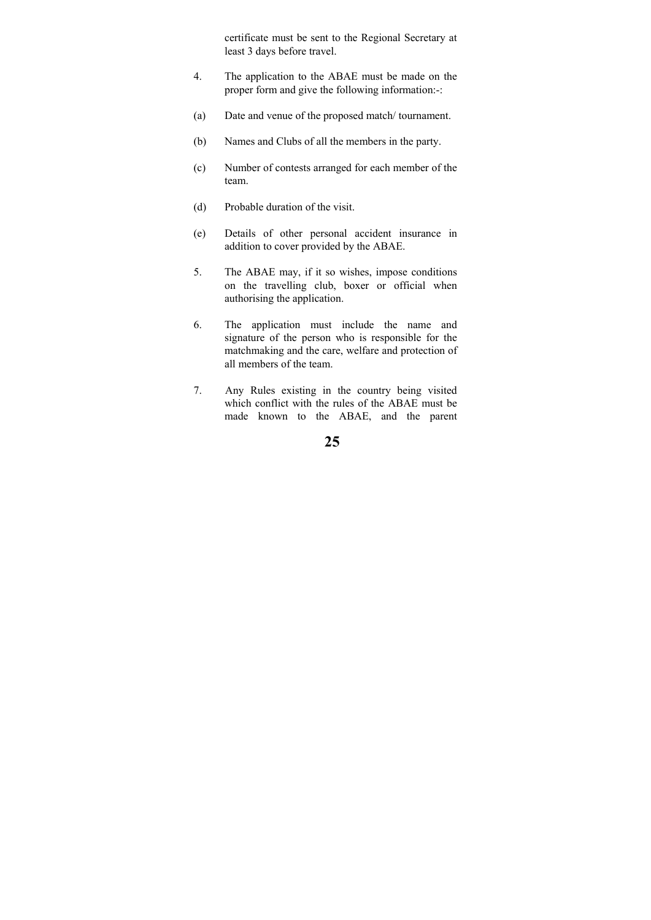certificate must be sent to the Regional Secretary at least 3 days before travel.

- 4. The application to the ABAE must be made on the proper form and give the following information:-:
- (a) Date and venue of the proposed match/ tournament.
- (b) Names and Clubs of all the members in the party.
- (c) Number of contests arranged for each member of the team.
- (d) Probable duration of the visit.
- (e) Details of other personal accident insurance in addition to cover provided by the ABAE.
- 5. The ABAE may, if it so wishes, impose conditions on the travelling club, boxer or official when authorising the application.
- 6. The application must include the name and signature of the person who is responsible for the matchmaking and the care, welfare and protection of all members of the team.
- 7. Any Rules existing in the country being visited which conflict with the rules of the ABAE must be made known to the ABAE, and the parent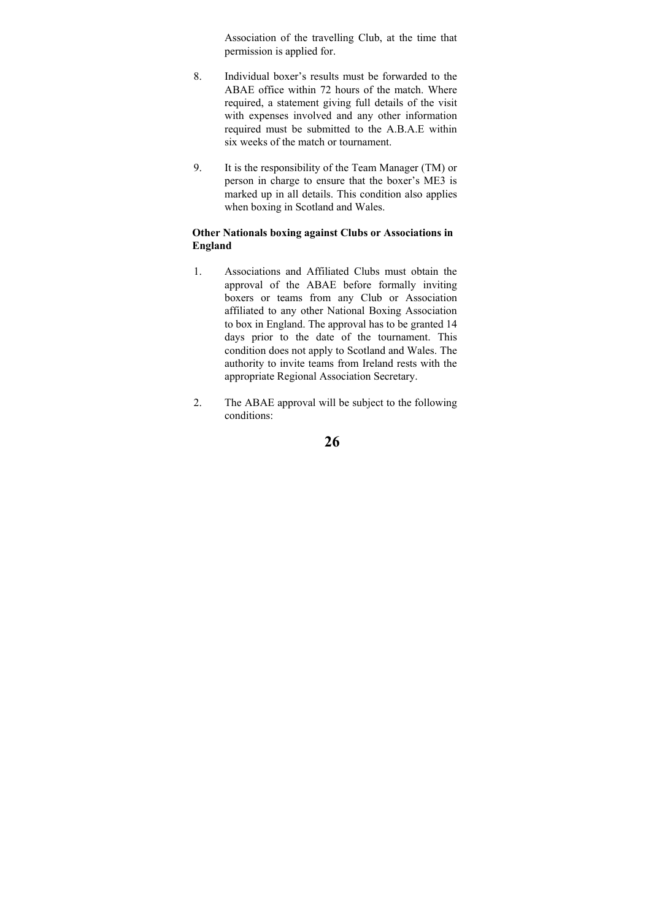Association of the travelling Club, at the time that permission is applied for.

- 8. Individual boxer's results must be forwarded to the ABAE office within 72 hours of the match. Where required, a statement giving full details of the visit with expenses involved and any other information required must be submitted to the A.B.A.E within six weeks of the match or tournament.
- 9. It is the responsibility of the Team Manager (TM) or person in charge to ensure that the boxer's ME3 is marked up in all details. This condition also applies when boxing in Scotland and Wales.

### **Other Nationals boxing against Clubs or Associations in England**

- 1. Associations and Affiliated Clubs must obtain the approval of the ABAE before formally inviting boxers or teams from any Club or Association affiliated to any other National Boxing Association to box in England. The approval has to be granted 14 days prior to the date of the tournament. This condition does not apply to Scotland and Wales. The authority to invite teams from Ireland rests with the appropriate Regional Association Secretary.
- 2. The ABAE approval will be subject to the following conditions: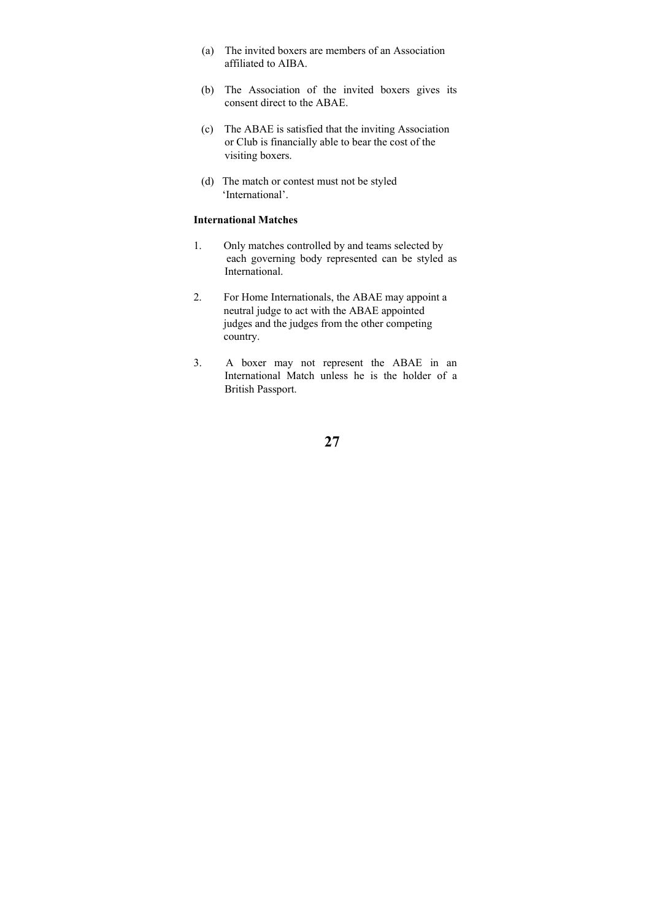- (a) The invited boxers are members of an Association affiliated to AIBA.
- (b) The Association of the invited boxers gives its consent direct to the ABAE.
- (c) The ABAE is satisfied that the inviting Association or Club is financially able to bear the cost of the visiting boxers.
- (d) The match or contest must not be styled 'International'.

#### **International Matches**

- 1. Only matches controlled by and teams selected by each governing body represented can be styled as International.
- 2. For Home Internationals, the ABAE may appoint a neutral judge to act with the ABAE appointed judges and the judges from the other competing country.
- 3. A boxer may not represent the ABAE in an International Match unless he is the holder of a British Passport.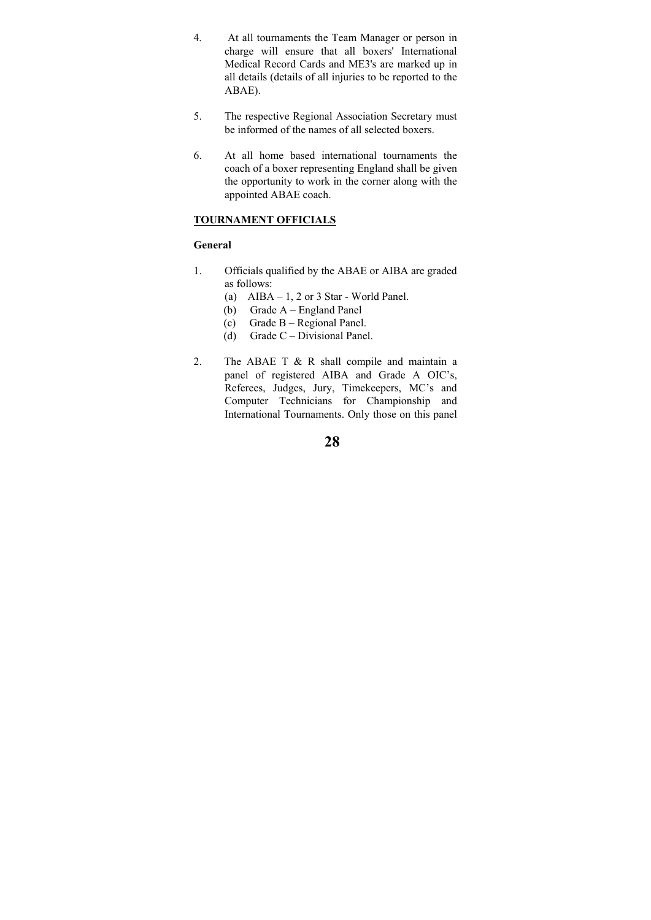- 4. At all tournaments the Team Manager or person in charge will ensure that all boxers' International Medical Record Cards and ME3's are marked up in all details (details of all injuries to be reported to the ABAE).
- 5. The respective Regional Association Secretary must be informed of the names of all selected boxers.
- 6. At all home based international tournaments the coach of a boxer representing England shall be given the opportunity to work in the corner along with the appointed ABAE coach.

### **TOURNAMENT OFFICIALS**

#### **General**

- 1. Officials qualified by the ABAE or AIBA are graded as follows:
	- (a) AIBA  $-1$ , 2 or 3 Star World Panel.
	- (b) Grade A England Panel
	- (c) Grade B Regional Panel.
	- (d) Grade C Divisional Panel.
- 2. The ABAE T & R shall compile and maintain a panel of registered AIBA and Grade A OIC's, Referees, Judges, Jury, Timekeepers, MC's and Computer Technicians for Championship and International Tournaments. Only those on this panel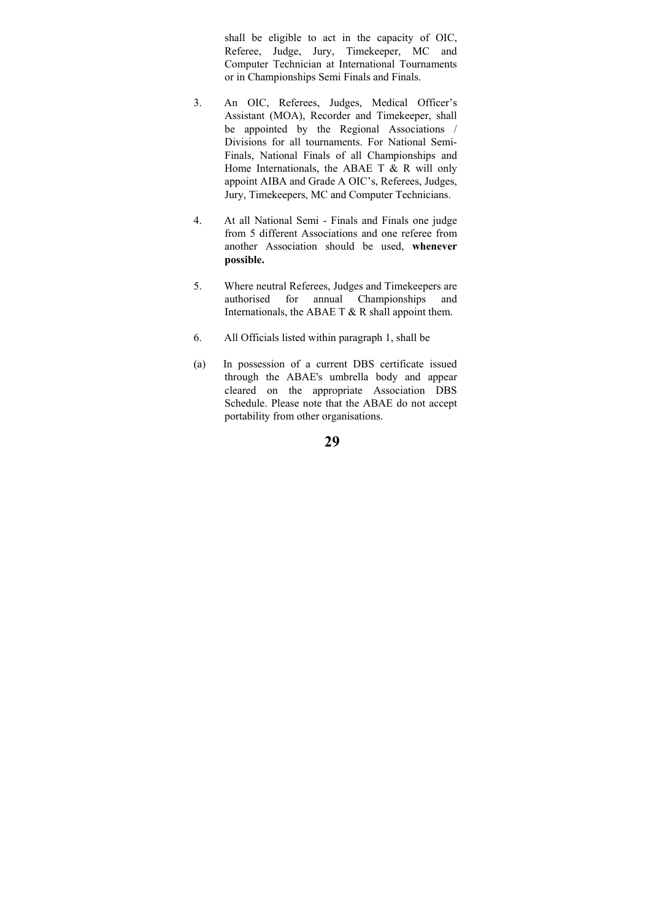shall be eligible to act in the capacity of OIC, Referee, Judge, Jury, Timekeeper, MC and Computer Technician at International Tournaments or in Championships Semi Finals and Finals.

- 3. An OIC, Referees, Judges, Medical Officer's Assistant (MOA), Recorder and Timekeeper, shall be appointed by the Regional Associations / Divisions for all tournaments. For National Semi-Finals, National Finals of all Championships and Home Internationals, the ABAE T & R will only appoint AIBA and Grade A OIC's, Referees, Judges, Jury, Timekeepers, MC and Computer Technicians.
- 4. At all National Semi Finals and Finals one judge from 5 different Associations and one referee from another Association should be used, **whenever possible.**
- 5. Where neutral Referees, Judges and Timekeepers are authorised for annual Championships and Internationals, the ABAE T  $&$  R shall appoint them.
- 6. All Officials listed within paragraph 1, shall be
- (a) In possession of a current DBS certificate issued through the ABAE's umbrella body and appear cleared on the appropriate Association DBS Schedule. Please note that the ABAE do not accept portability from other organisations.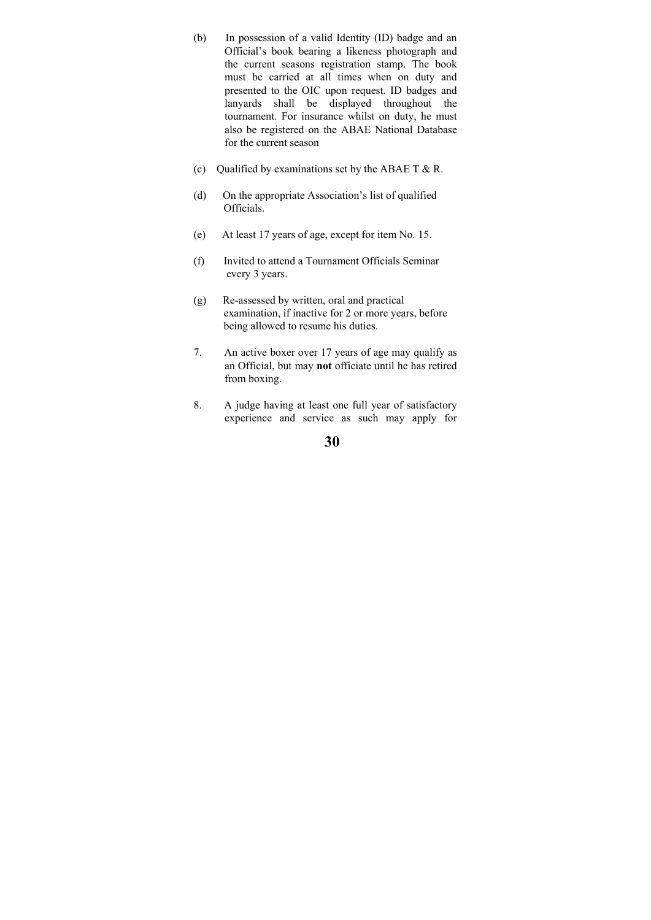- (b) In possession of a valid Identity (ID) badge and an Official's book bearing a likeness photograph and the current seasons registration stamp. The book must be carried at all times when on duty and presented to the OIC upon request. ID badges and lanyards shall be displayed throughout the tournament. For insurance whilst on duty, he must also be registered on the ABAE National Database for the current season
- (c) Qualified by examinations set by the ABAE T  $&R$ .
- (d) On the appropriate Association's list of qualified Officials.
- (e) At least 17 years of age, except for item No. 15.
- (f) Invited to attend a Tournament Officials Seminar every 3 years.
- (g) Re-assessed by written, oral and practical examination, if inactive for 2 or more years, before being allowed to resume his duties.
- 7. An active boxer over 17 years of age may qualify as an Official, but may **not** officiate until he has retired from boxing.
- 8. A judge having at least one full year of satisfactory experience and service as such may apply for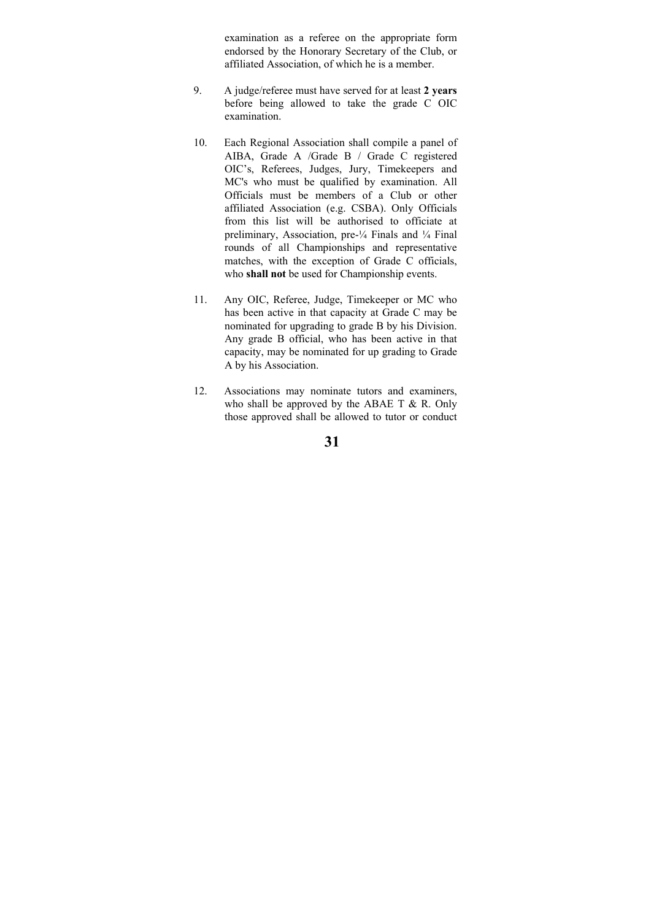examination as a referee on the appropriate form endorsed by the Honorary Secretary of the Club, or affiliated Association, of which he is a member.

- 9. A judge/referee must have served for at least **2 years** before being allowed to take the grade C OIC examination.
- 10. Each Regional Association shall compile a panel of AIBA, Grade A /Grade B / Grade C registered OIC's, Referees, Judges, Jury, Timekeepers and MC's who must be qualified by examination. All Officials must be members of a Club or other affiliated Association (e.g. CSBA). Only Officials from this list will be authorised to officiate at preliminary, Association, pre-¼ Finals and ¼ Final rounds of all Championships and representative matches, with the exception of Grade C officials, who **shall not** be used for Championship events.
- 11. Any OIC, Referee, Judge, Timekeeper or MC who has been active in that capacity at Grade C may be nominated for upgrading to grade B by his Division. Any grade B official, who has been active in that capacity, may be nominated for up grading to Grade A by his Association.
- 12. Associations may nominate tutors and examiners, who shall be approved by the ABAE T  $& R$ . Only those approved shall be allowed to tutor or conduct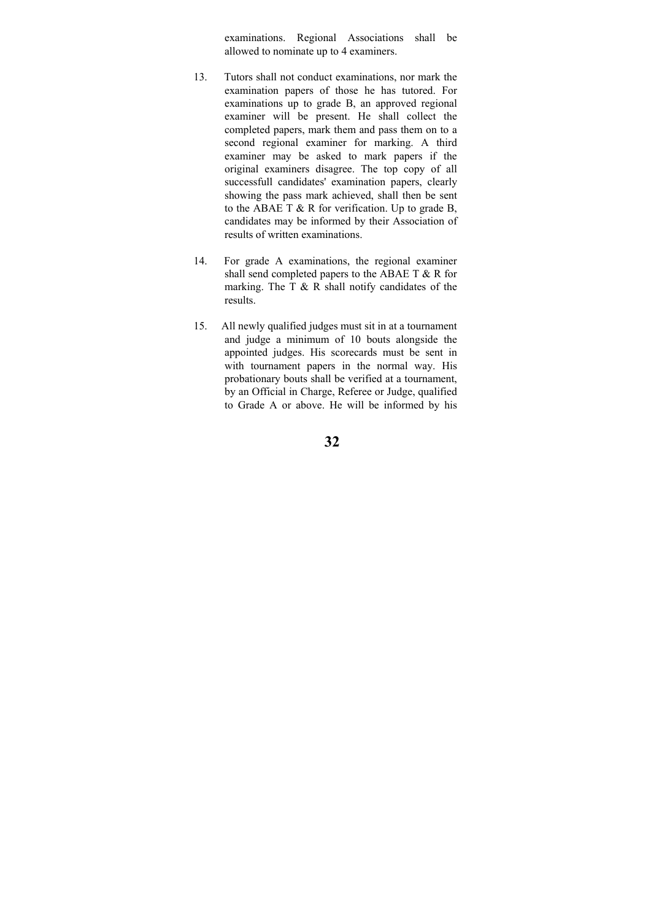examinations. Regional Associations shall be allowed to nominate up to 4 examiners.

- 13. Tutors shall not conduct examinations, nor mark the examination papers of those he has tutored. For examinations up to grade B, an approved regional examiner will be present. He shall collect the completed papers, mark them and pass them on to a second regional examiner for marking. A third examiner may be asked to mark papers if the original examiners disagree. The top copy of all successfull candidates' examination papers, clearly showing the pass mark achieved, shall then be sent to the ABAE T & R for verification. Up to grade B, candidates may be informed by their Association of results of written examinations.
- 14. For grade A examinations, the regional examiner shall send completed papers to the ABAE T & R for marking. The T  $\&$  R shall notify candidates of the results.
- 15. All newly qualified judges must sit in at a tournament and judge a minimum of 10 bouts alongside the appointed judges. His scorecards must be sent in with tournament papers in the normal way. His probationary bouts shall be verified at a tournament, by an Official in Charge, Referee or Judge, qualified to Grade A or above. He will be informed by his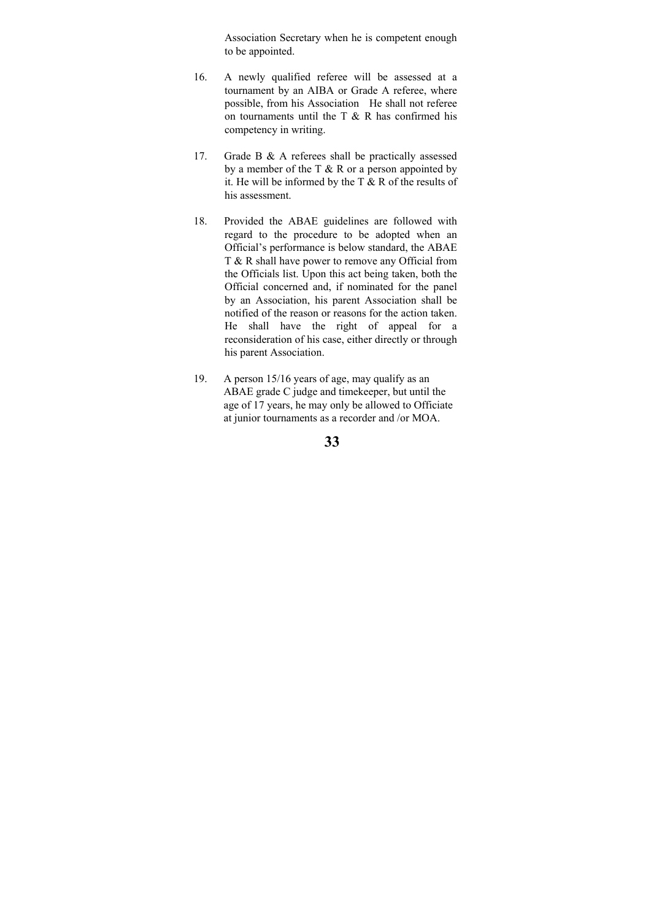Association Secretary when he is competent enough to be appointed.

- 16. A newly qualified referee will be assessed at a tournament by an AIBA or Grade A referee, where possible, from his Association He shall not referee on tournaments until the T  $\&$  R has confirmed his competency in writing.
- 17. Grade B & A referees shall be practically assessed by a member of the  $T \& R$  or a person appointed by it. He will be informed by the T & R of the results of his assessment.
- 18. Provided the ABAE guidelines are followed with regard to the procedure to be adopted when an Official's performance is below standard, the ABAE T & R shall have power to remove any Official from the Officials list. Upon this act being taken, both the Official concerned and, if nominated for the panel by an Association, his parent Association shall be notified of the reason or reasons for the action taken. He shall have the right of appeal for a reconsideration of his case, either directly or through his parent Association.
- 19. A person 15/16 years of age, may qualify as an ABAE grade C judge and timekeeper, but until the age of 17 years, he may only be allowed to Officiate at junior tournaments as a recorder and /or MOA.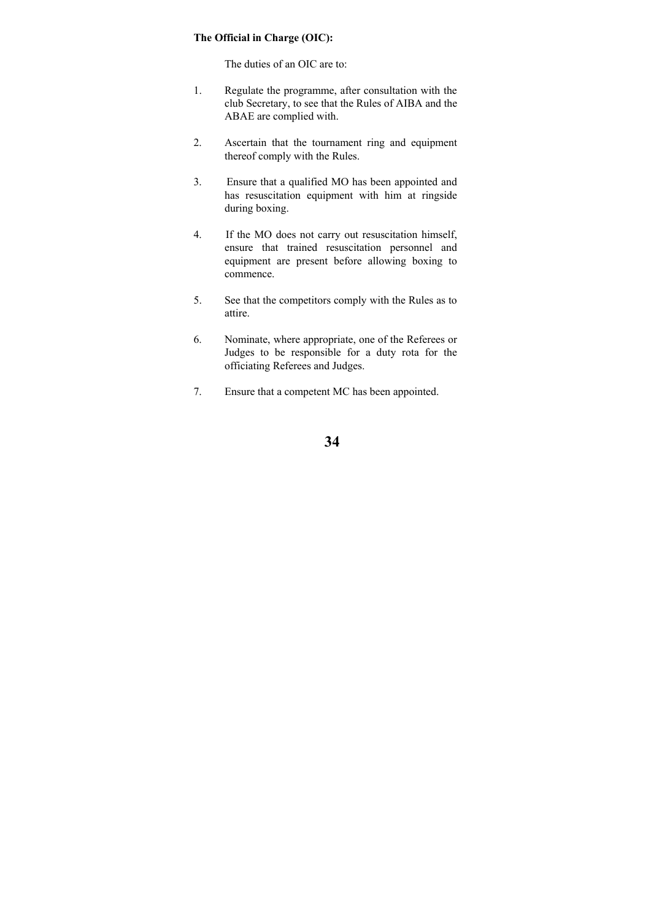### **The Official in Charge (OIC):**

The duties of an OIC are to:

- 1. Regulate the programme, after consultation with the club Secretary, to see that the Rules of AIBA and the ABAE are complied with.
- 2. Ascertain that the tournament ring and equipment thereof comply with the Rules.
- 3. Ensure that a qualified MO has been appointed and has resuscitation equipment with him at ringside during boxing.
- 4. If the MO does not carry out resuscitation himself, ensure that trained resuscitation personnel and equipment are present before allowing boxing to commence.
- 5. See that the competitors comply with the Rules as to attire.
- 6. Nominate, where appropriate, one of the Referees or Judges to be responsible for a duty rota for the officiating Referees and Judges.
- 7. Ensure that a competent MC has been appointed.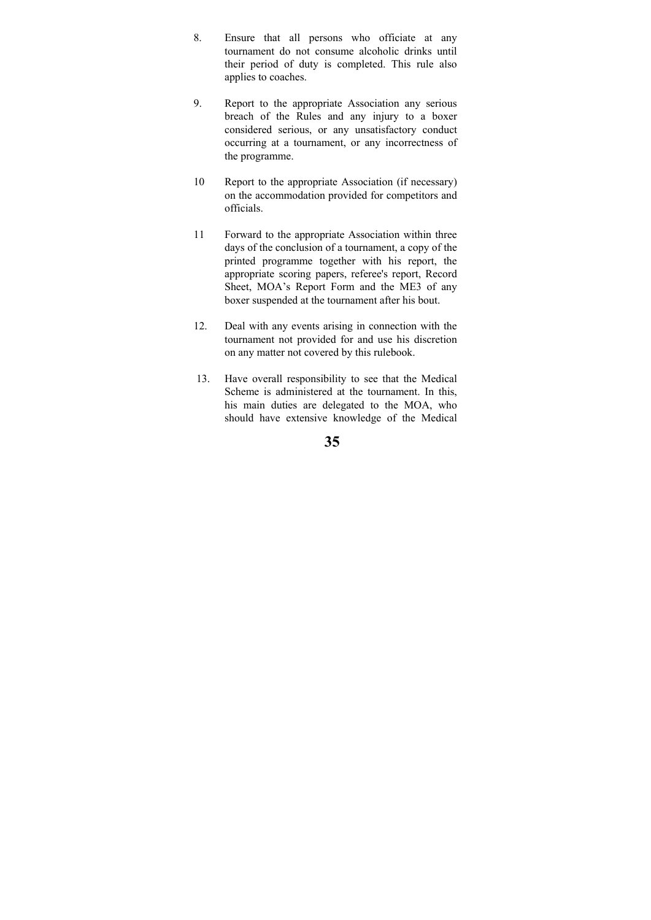- 8. Ensure that all persons who officiate at any tournament do not consume alcoholic drinks until their period of duty is completed. This rule also applies to coaches.
- 9. Report to the appropriate Association any serious breach of the Rules and any injury to a boxer considered serious, or any unsatisfactory conduct occurring at a tournament, or any incorrectness of the programme.
- 10 Report to the appropriate Association (if necessary) on the accommodation provided for competitors and officials.
- 11 Forward to the appropriate Association within three days of the conclusion of a tournament, a copy of the printed programme together with his report, the appropriate scoring papers, referee's report, Record Sheet, MOA's Report Form and the ME3 of any boxer suspended at the tournament after his bout.
- 12. Deal with any events arising in connection with the tournament not provided for and use his discretion on any matter not covered by this rulebook.
- 13. Have overall responsibility to see that the Medical Scheme is administered at the tournament. In this, his main duties are delegated to the MOA, who should have extensive knowledge of the Medical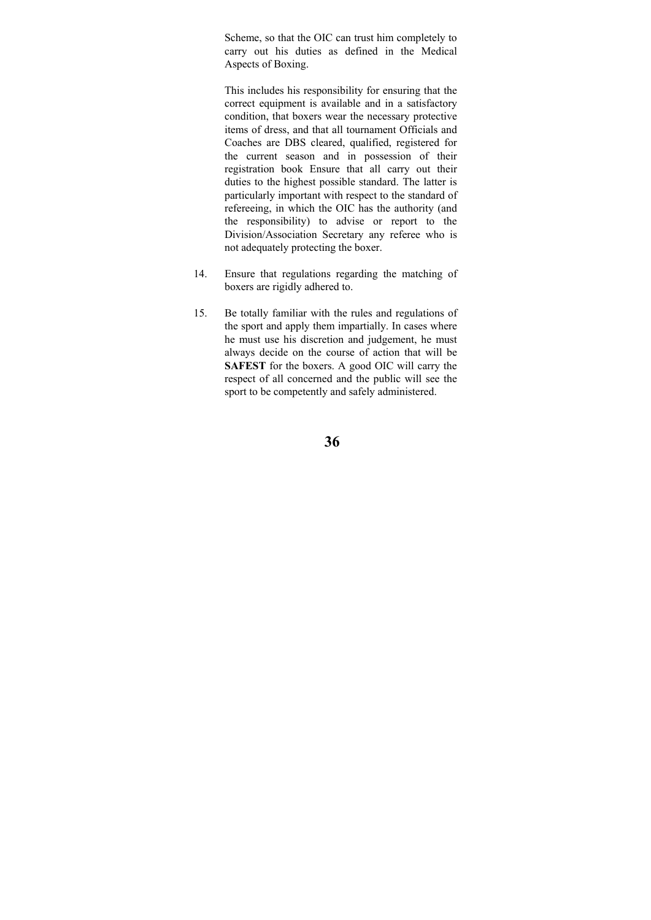Scheme, so that the OIC can trust him completely to carry out his duties as defined in the Medical Aspects of Boxing.

This includes his responsibility for ensuring that the correct equipment is available and in a satisfactory condition, that boxers wear the necessary protective items of dress, and that all tournament Officials and Coaches are DBS cleared, qualified, registered for the current season and in possession of their registration book Ensure that all carry out their duties to the highest possible standard. The latter is particularly important with respect to the standard of refereeing, in which the OIC has the authority (and the responsibility) to advise or report to the Division/Association Secretary any referee who is not adequately protecting the boxer.

- 14. Ensure that regulations regarding the matching of boxers are rigidly adhered to.
- 15. Be totally familiar with the rules and regulations of the sport and apply them impartially. In cases where he must use his discretion and judgement, he must always decide on the course of action that will be **SAFEST** for the boxers. A good OIC will carry the respect of all concerned and the public will see the sport to be competently and safely administered.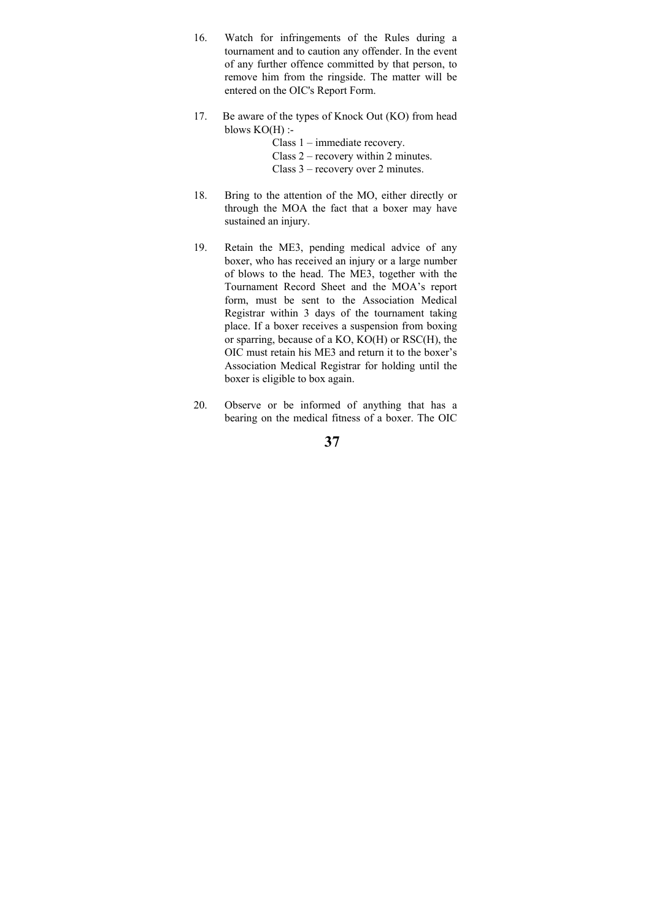- 16. Watch for infringements of the Rules during a tournament and to caution any offender. In the event of any further offence committed by that person, to remove him from the ringside. The matter will be entered on the OIC's Report Form.
- 17. Be aware of the types of Knock Out (KO) from head blows  $KO(H)$  :-

 Class 1 – immediate recovery. Class 2 – recovery within 2 minutes.

Class 3 – recovery over 2 minutes.

- 18. Bring to the attention of the MO, either directly or through the MOA the fact that a boxer may have sustained an injury.
- 19. Retain the ME3, pending medical advice of any boxer, who has received an injury or a large number of blows to the head. The ME3, together with the Tournament Record Sheet and the MOA's report form, must be sent to the Association Medical Registrar within 3 days of the tournament taking place. If a boxer receives a suspension from boxing or sparring, because of a KO, KO(H) or RSC(H), the OIC must retain his ME3 and return it to the boxer's Association Medical Registrar for holding until the boxer is eligible to box again.
- 20. Observe or be informed of anything that has a bearing on the medical fitness of a boxer. The OIC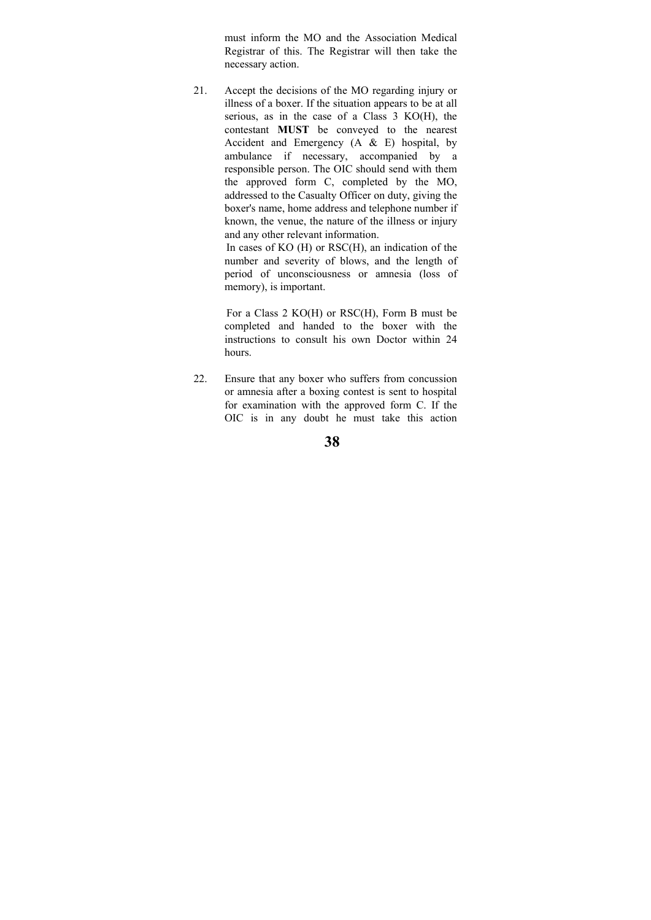must inform the MO and the Association Medical Registrar of this. The Registrar will then take the necessary action.

21. Accept the decisions of the MO regarding injury or illness of a boxer. If the situation appears to be at all serious, as in the case of a Class 3 KO(H), the contestant **MUST** be conveyed to the nearest Accident and Emergency (A & E) hospital, by ambulance if necessary, accompanied by a responsible person. The OIC should send with them the approved form C, completed by the MO, addressed to the Casualty Officer on duty, giving the boxer's name, home address and telephone number if known, the venue, the nature of the illness or injury and any other relevant information.

> In cases of KO (H) or RSC(H), an indication of the number and severity of blows, and the length of period of unconsciousness or amnesia (loss of memory), is important.

> For a Class 2 KO(H) or RSC(H), Form B must be completed and handed to the boxer with the instructions to consult his own Doctor within 24 hours.

22. Ensure that any boxer who suffers from concussion or amnesia after a boxing contest is sent to hospital for examination with the approved form C. If the OIC is in any doubt he must take this action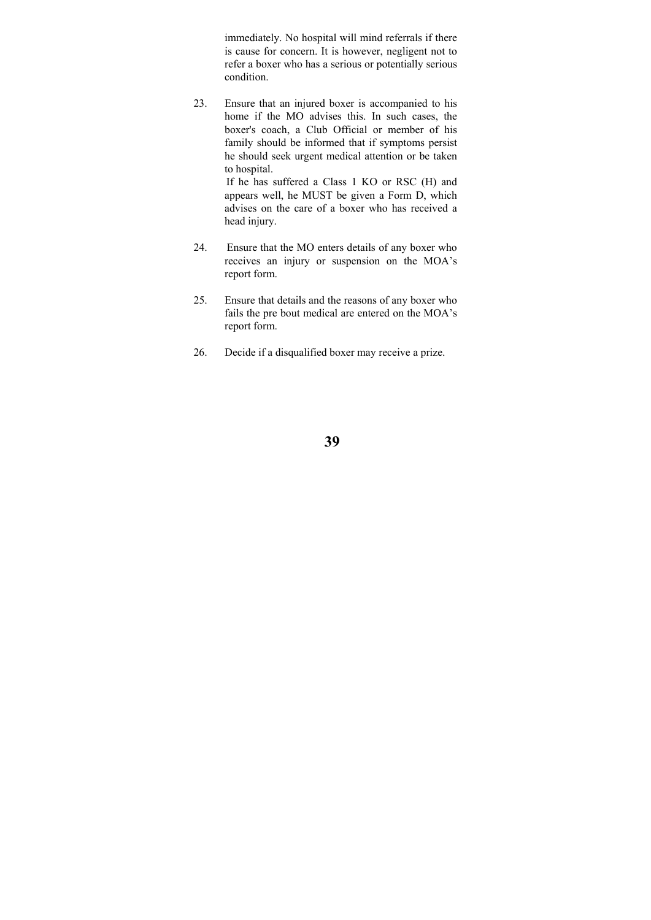immediately. No hospital will mind referrals if there is cause for concern. It is however, negligent not to refer a boxer who has a serious or potentially serious condition.

23. Ensure that an injured boxer is accompanied to his home if the MO advises this. In such cases, the boxer's coach, a Club Official or member of his family should be informed that if symptoms persist he should seek urgent medical attention or be taken to hospital.

 If he has suffered a Class 1 KO or RSC (H) and appears well, he MUST be given a Form D, which advises on the care of a boxer who has received a head injury.

- 24. Ensure that the MO enters details of any boxer who receives an injury or suspension on the MOA's report form.
- 25. Ensure that details and the reasons of any boxer who fails the pre bout medical are entered on the MOA's report form.
- 26. Decide if a disqualified boxer may receive a prize.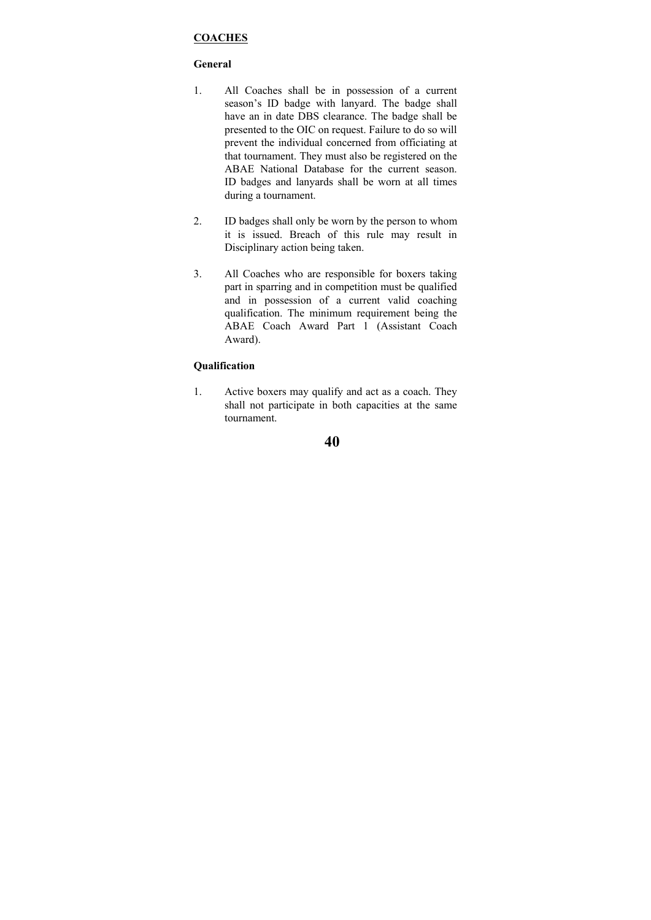## **COACHES**

## **General**

- 1. All Coaches shall be in possession of a current season's ID badge with lanyard. The badge shall have an in date DBS clearance. The badge shall be presented to the OIC on request. Failure to do so will prevent the individual concerned from officiating at that tournament. They must also be registered on the ABAE National Database for the current season. ID badges and lanyards shall be worn at all times during a tournament.
- 2. ID badges shall only be worn by the person to whom it is issued. Breach of this rule may result in Disciplinary action being taken.
- 3. All Coaches who are responsible for boxers taking part in sparring and in competition must be qualified and in possession of a current valid coaching qualification. The minimum requirement being the ABAE Coach Award Part 1 (Assistant Coach Award).

## **Qualification**

1. Active boxers may qualify and act as a coach. They shall not participate in both capacities at the same tournament.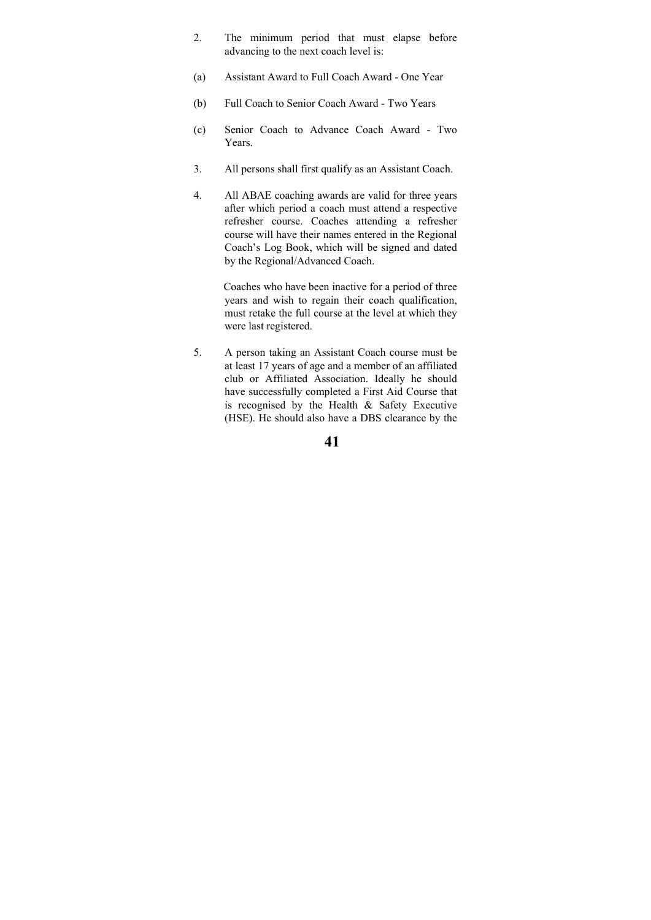- 2. The minimum period that must elapse before advancing to the next coach level is:
- (a) Assistant Award to Full Coach Award One Year
- (b) Full Coach to Senior Coach Award Two Years
- (c) Senior Coach to Advance Coach Award Two Years.
- 3. All persons shall first qualify as an Assistant Coach.
- 4. All ABAE coaching awards are valid for three years after which period a coach must attend a respective refresher course. Coaches attending a refresher course will have their names entered in the Regional Coach's Log Book, which will be signed and dated by the Regional/Advanced Coach.

 Coaches who have been inactive for a period of three years and wish to regain their coach qualification, must retake the full course at the level at which they were last registered.

5. A person taking an Assistant Coach course must be at least 17 years of age and a member of an affiliated club or Affiliated Association. Ideally he should have successfully completed a First Aid Course that is recognised by the Health & Safety Executive (HSE). He should also have a DBS clearance by the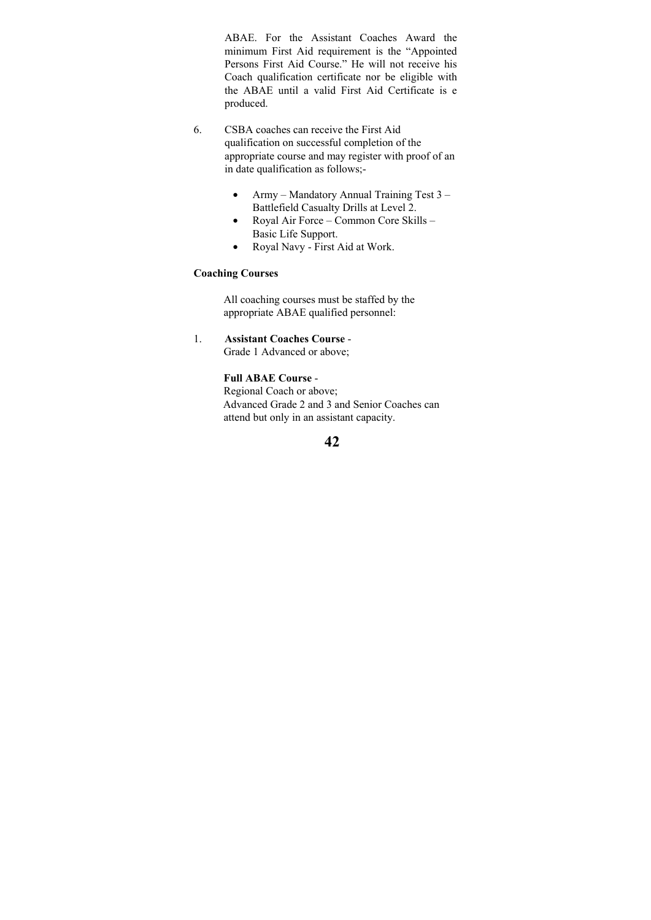ABAE. For the Assistant Coaches Award the minimum First Aid requirement is the "Appointed Persons First Aid Course." He will not receive his Coach qualification certificate nor be eligible with the ABAE until a valid First Aid Certificate is e produced.

- 6. CSBA coaches can receive the First Aid qualification on successful completion of the appropriate course and may register with proof of an in date qualification as follows;-
	- Army Mandatory Annual Training Test 3 Battlefield Casualty Drills at Level 2.
	- Royal Air Force Common Core Skills Basic Life Support.
	- Royal Navy First Aid at Work.

## **Coaching Courses**

 All coaching courses must be staffed by the appropriate ABAE qualified personnel:

1. **Assistant Coaches Course** - Grade 1 Advanced or above;

## **Full ABAE Course** -

 Regional Coach or above; Advanced Grade 2 and 3 and Senior Coaches can attend but only in an assistant capacity.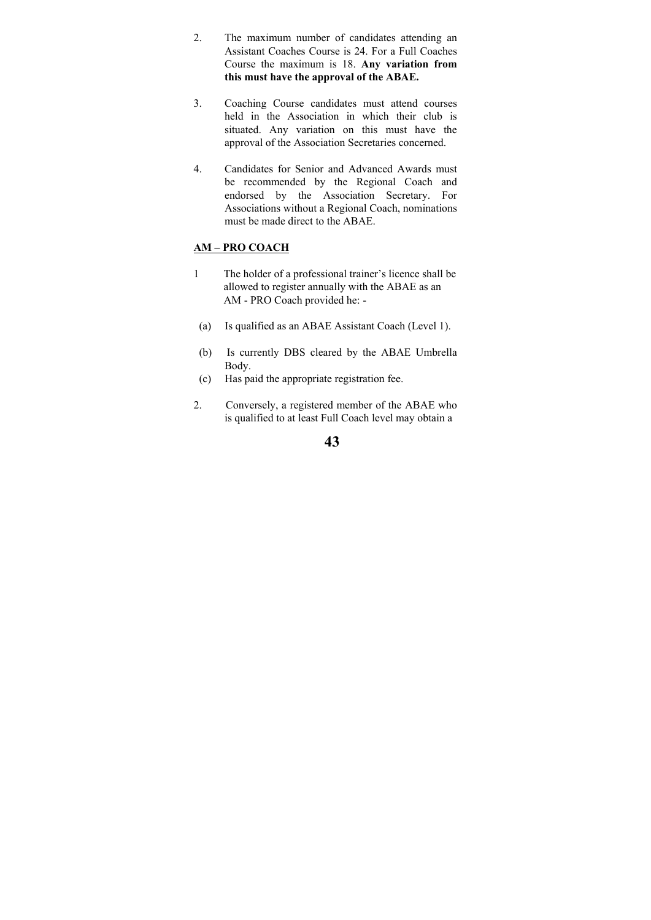- 2. The maximum number of candidates attending an Assistant Coaches Course is 24. For a Full Coaches Course the maximum is 18. **Any variation from this must have the approval of the ABAE.**
- 3. Coaching Course candidates must attend courses held in the Association in which their club is situated. Any variation on this must have the approval of the Association Secretaries concerned.
- 4. Candidates for Senior and Advanced Awards must be recommended by the Regional Coach and endorsed by the Association Secretary. For Associations without a Regional Coach, nominations must be made direct to the ABAE.

## **AM – PRO COACH**

- 1 The holder of a professional trainer's licence shall be allowed to register annually with the ABAE as an AM - PRO Coach provided he: -
- (a) Is qualified as an ABAE Assistant Coach (Level 1).
- (b) Is currently DBS cleared by the ABAE Umbrella Body.
- (c) Has paid the appropriate registration fee.
- 2. Conversely, a registered member of the ABAE who is qualified to at least Full Coach level may obtain a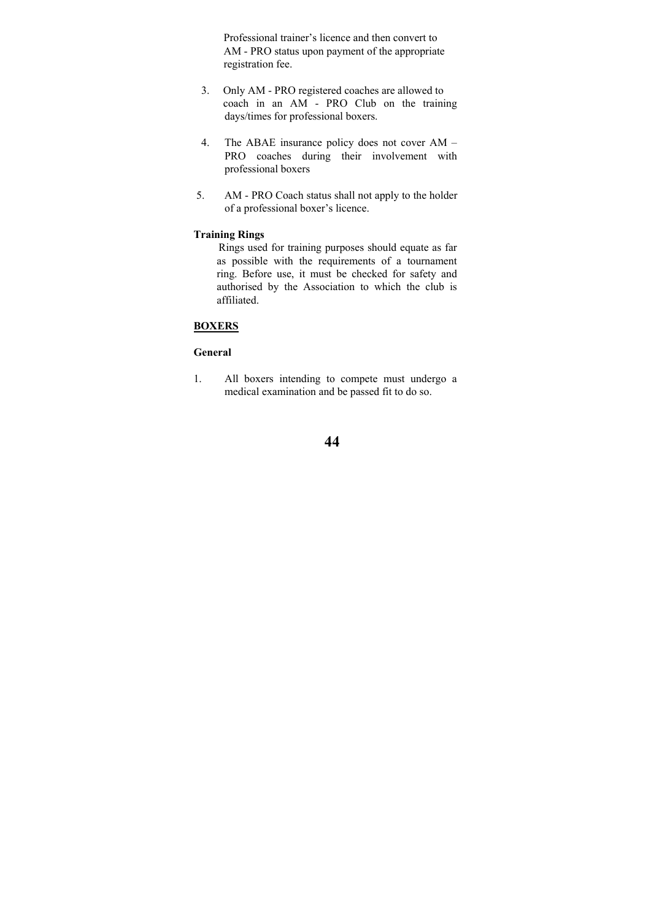Professional trainer's licence and then convert to AM - PRO status upon payment of the appropriate registration fee.

- 3. Only AM PRO registered coaches are allowed to coach in an AM - PRO Club on the training days/times for professional boxers.
- 4. The ABAE insurance policy does not cover AM PRO coaches during their involvement with professional boxers
- 5. AM PRO Coach status shall not apply to the holder of a professional boxer's licence.

## **Training Rings**

 Rings used for training purposes should equate as far as possible with the requirements of a tournament ring. Before use, it must be checked for safety and authorised by the Association to which the club is affiliated.

## **BOXERS**

### **General**

1. All boxers intending to compete must undergo a medical examination and be passed fit to do so.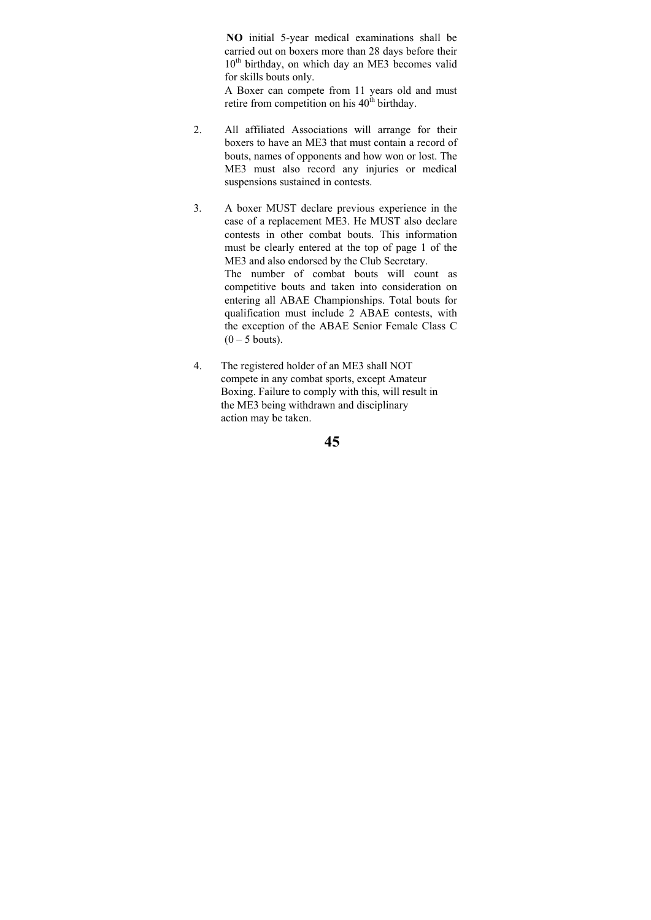**NO** initial 5-year medical examinations shall be carried out on boxers more than 28 days before their  $10<sup>th</sup>$  birthday, on which day an ME3 becomes valid for skills bouts only.

A Boxer can compete from 11 years old and must retire from competition on his  $40^{\text{th}}$  birthday.

- 2. All affiliated Associations will arrange for their boxers to have an ME3 that must contain a record of bouts, names of opponents and how won or lost. The ME3 must also record any injuries or medical suspensions sustained in contests.
- 3. A boxer MUST declare previous experience in the case of a replacement ME3. He MUST also declare contests in other combat bouts. This information must be clearly entered at the top of page 1 of the ME3 and also endorsed by the Club Secretary. The number of combat bouts will count as competitive bouts and taken into consideration on entering all ABAE Championships. Total bouts for qualification must include 2 ABAE contests, with the exception of the ABAE Senior Female Class C  $(0 - 5$  bouts).
- 4. The registered holder of an ME3 shall NOT compete in any combat sports, except Amateur Boxing. Failure to comply with this, will result in the ME3 being withdrawn and disciplinary action may be taken.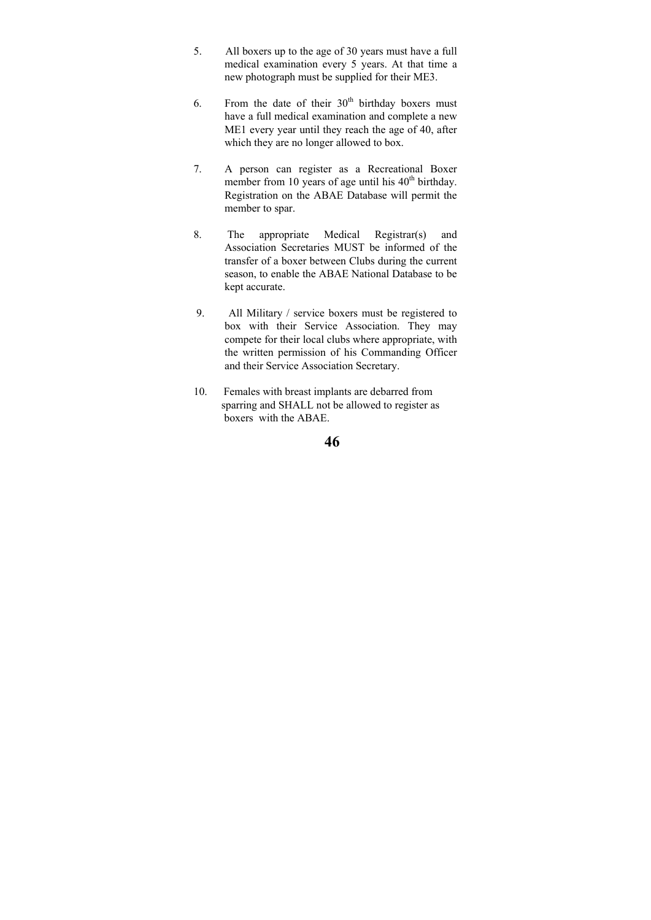- 5. All boxers up to the age of 30 years must have a full medical examination every 5 years. At that time a new photograph must be supplied for their ME3.
- 6. From the date of their  $30<sup>th</sup>$  birthday boxers must have a full medical examination and complete a new ME1 every year until they reach the age of 40, after which they are no longer allowed to box.
- 7. A person can register as a Recreational Boxer member from 10 years of age until his  $40<sup>th</sup>$  birthday. Registration on the ABAE Database will permit the member to spar.
- 8. The appropriate Medical Registrar(s) and Association Secretaries MUST be informed of the transfer of a boxer between Clubs during the current season, to enable the ABAE National Database to be kept accurate.
- 9. All Military / service boxers must be registered to box with their Service Association. They may compete for their local clubs where appropriate, with the written permission of his Commanding Officer and their Service Association Secretary.
- 10. Females with breast implants are debarred from sparring and SHALL not be allowed to register as boxers with the ABAE.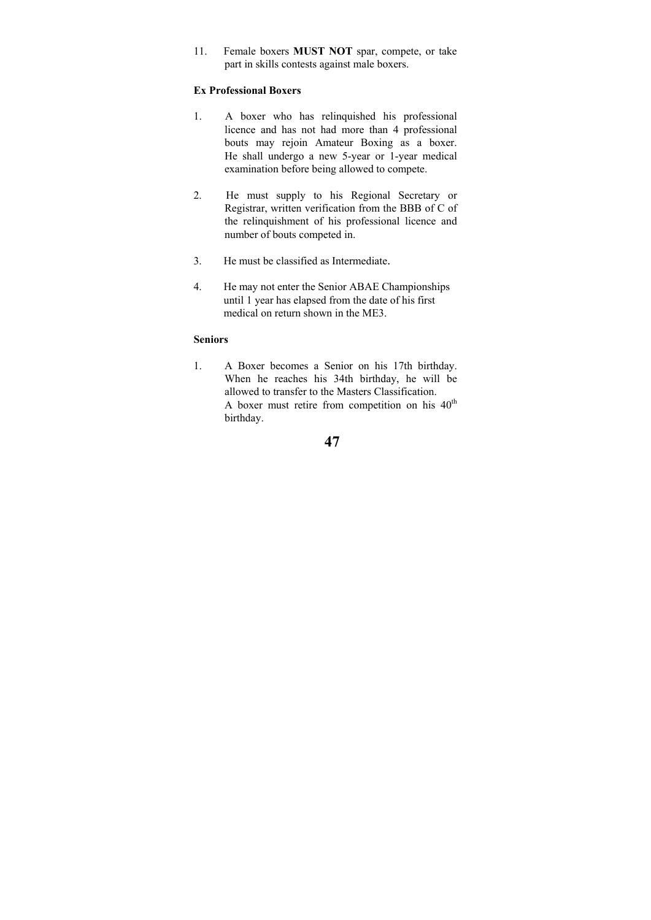11. Female boxers **MUST NOT** spar, compete, or take part in skills contests against male boxers.

## **Ex Professional Boxers**

- 1. A boxer who has relinquished his professional licence and has not had more than 4 professional bouts may rejoin Amateur Boxing as a boxer. He shall undergo a new 5-year or 1-year medical examination before being allowed to compete.
- 2. He must supply to his Regional Secretary or Registrar, written verification from the BBB of C of the relinquishment of his professional licence and number of bouts competed in.
- 3. He must be classified as Intermediate.
- 4. He may not enter the Senior ABAE Championships until 1 year has elapsed from the date of his first medical on return shown in the ME3.

#### **Seniors**

1. A Boxer becomes a Senior on his 17th birthday. When he reaches his 34th birthday, he will be allowed to transfer to the Masters Classification. A boxer must retire from competition on his  $40<sup>th</sup>$ birthday.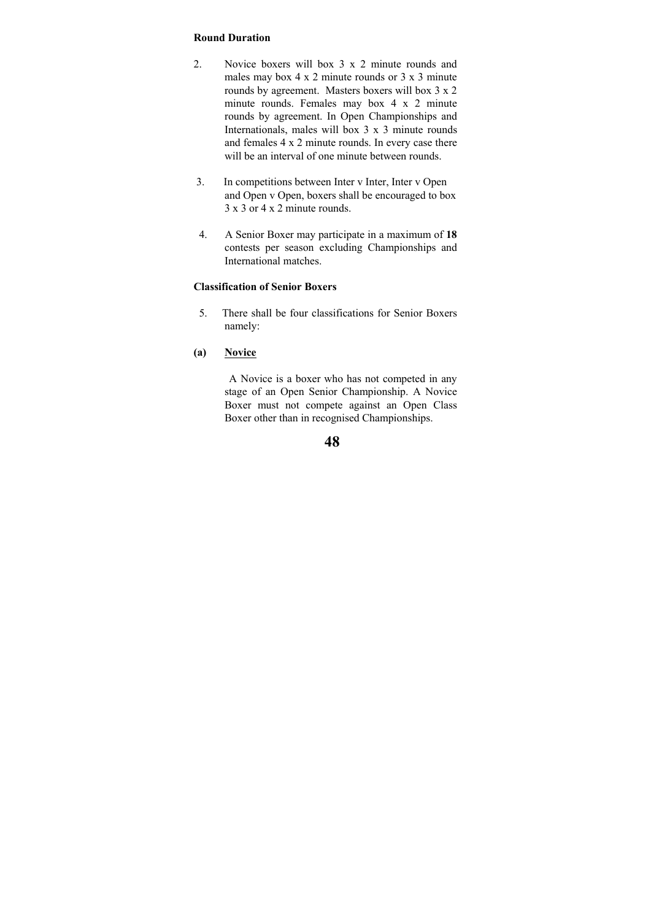#### **Round Duration**

- 2. Novice boxers will box 3 x 2 minute rounds and males may box 4 x 2 minute rounds or 3 x 3 minute rounds by agreement. Masters boxers will box 3 x 2 minute rounds. Females may box 4 x 2 minute rounds by agreement. In Open Championships and Internationals, males will box 3 x 3 minute rounds and females 4 x 2 minute rounds. In every case there will be an interval of one minute between rounds.
- 3. In competitions between Inter v Inter, Inter v Open and Open v Open, boxers shall be encouraged to box 3 x 3 or 4 x 2 minute rounds.
- 4. A Senior Boxer may participate in a maximum of **18**  contests per season excluding Championships and International matches.

## **Classification of Senior Boxers**

- 5. There shall be four classifications for Senior Boxers namely:
- **(a) Novice**

 A Novice is a boxer who has not competed in any stage of an Open Senior Championship. A Novice Boxer must not compete against an Open Class Boxer other than in recognised Championships.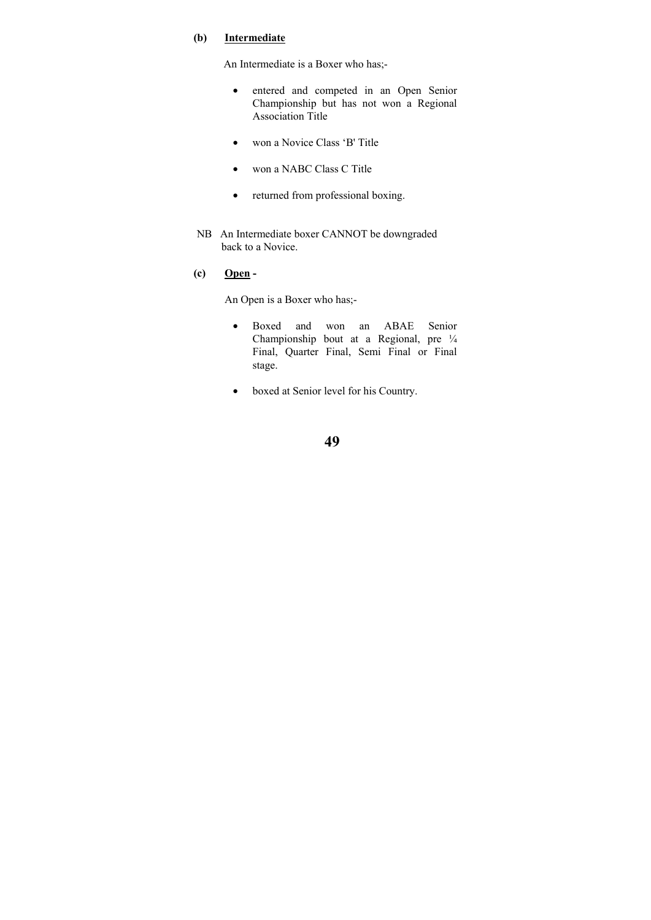### **(b) Intermediate**

An Intermediate is a Boxer who has;-

- entered and competed in an Open Senior Championship but has not won a Regional Association Title
- won a Novice Class 'B' Title
- won a NABC Class C Title
- returned from professional boxing.
- NB An Intermediate boxer CANNOT be downgraded back to a Novice.
- **(c) Open**

An Open is a Boxer who has;-

- Boxed and won an ABAE Senior Championship bout at a Regional, pre ¼ Final, Quarter Final, Semi Final or Final stage.
- boxed at Senior level for his Country.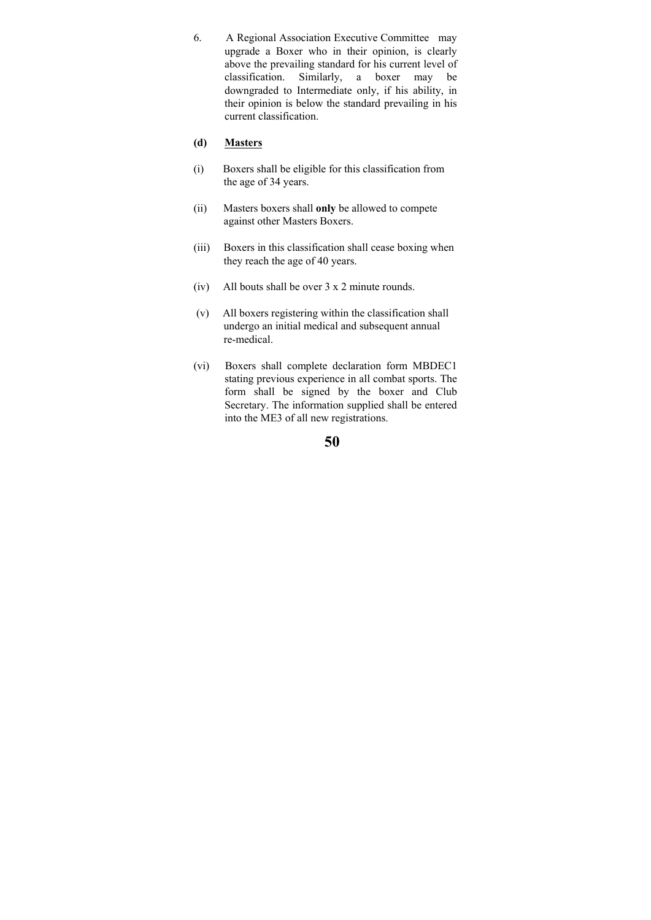6. A Regional Association Executive Committee may upgrade a Boxer who in their opinion, is clearly above the prevailing standard for his current level of classification. Similarly, a boxer may be downgraded to Intermediate only, if his ability, in their opinion is below the standard prevailing in his current classification.

### **(d) Masters**

- (i) Boxers shall be eligible for this classification from the age of 34 years.
- (ii) Masters boxers shall **only** be allowed to compete against other Masters Boxers.
- (iii) Boxers in this classification shall cease boxing when they reach the age of 40 years.
- (iv) All bouts shall be over 3 x 2 minute rounds.
- (v) All boxers registering within the classification shall undergo an initial medical and subsequent annual re-medical.
- (vi) Boxers shall complete declaration form MBDEC1 stating previous experience in all combat sports. The form shall be signed by the boxer and Club Secretary. The information supplied shall be entered into the ME3 of all new registrations.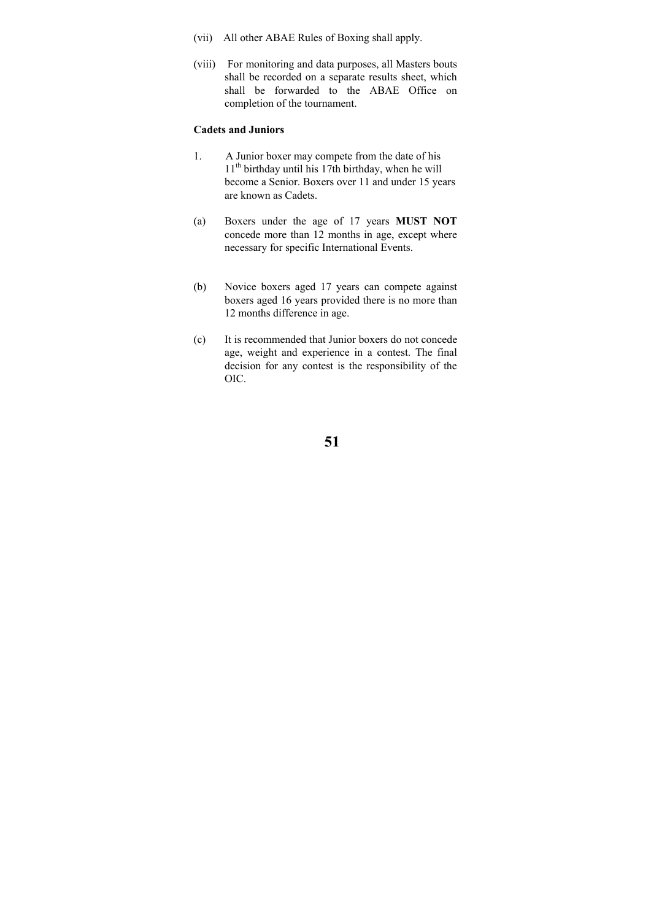- (vii) All other ABAE Rules of Boxing shall apply.
- (viii) For monitoring and data purposes, all Masters bouts shall be recorded on a separate results sheet, which shall be forwarded to the ABAE Office on completion of the tournament.

### **Cadets and Juniors**

- 1. A Junior boxer may compete from the date of his  $11<sup>th</sup>$  birthday until his 17th birthday, when he will become a Senior. Boxers over 11 and under 15 years are known as Cadets.
- (a) Boxers under the age of 17 years **MUST NOT** concede more than 12 months in age, except where necessary for specific International Events.
- (b) Novice boxers aged 17 years can compete against boxers aged 16 years provided there is no more than 12 months difference in age.
- (c) It is recommended that Junior boxers do not concede age, weight and experience in a contest. The final decision for any contest is the responsibility of the OIC.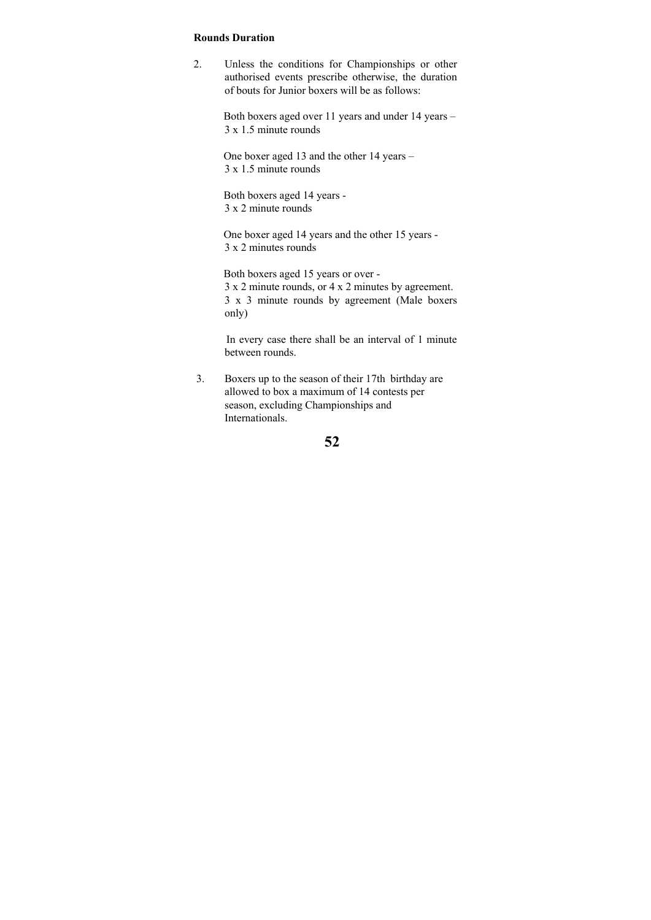#### **Rounds Duration**

2. Unless the conditions for Championships or other authorised events prescribe otherwise, the duration of bouts for Junior boxers will be as follows:

> Both boxers aged over 11 years and under 14 years – 3 x 1.5 minute rounds

 One boxer aged 13 and the other 14 years – 3 x 1.5 minute rounds

 Both boxers aged 14 years - 3 x 2 minute rounds

 One boxer aged 14 years and the other 15 years - 3 x 2 minutes rounds

 Both boxers aged 15 years or over - 3 x 2 minute rounds, or 4 x 2 minutes by agreement. 3 x 3 minute rounds by agreement (Male boxers only)

 In every case there shall be an interval of 1 minute between rounds.

 3. Boxers up to the season of their 17th birthday are allowed to box a maximum of 14 contests per season, excluding Championships and Internationals.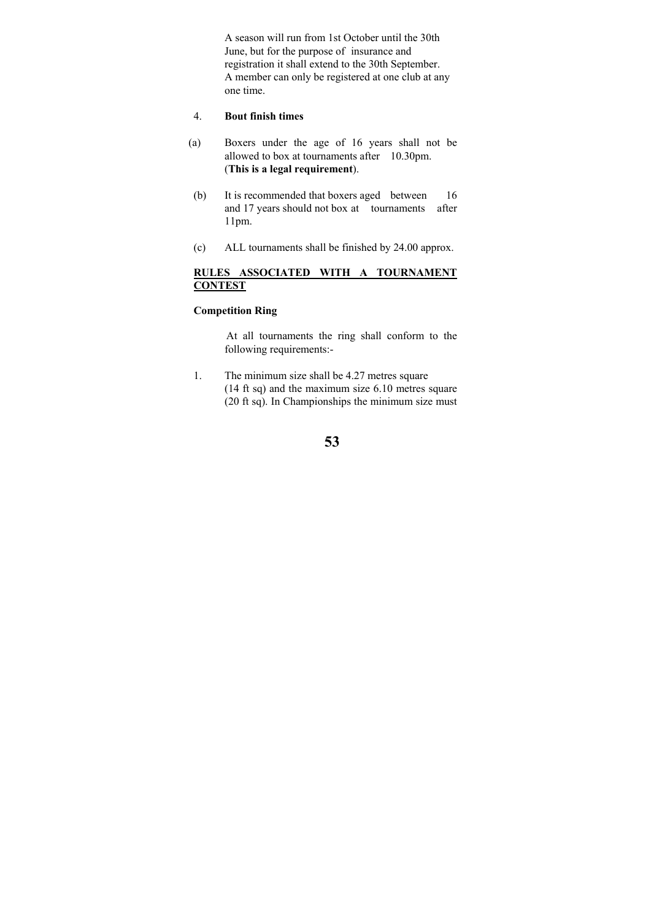A season will run from 1st October until the 30th June, but for the purpose of insurance and registration it shall extend to the 30th September. A member can only be registered at one club at any one time.

#### 4. **Bout finish times**

- (a) Boxers under the age of 16 years shall not be allowed to box at tournaments after 10.30pm. (**This is a legal requirement**).
- (b) It is recommended that boxers aged between 16 and 17 years should not box at tournaments after 11pm.
- (c) ALL tournaments shall be finished by 24.00 approx.

### **RULES ASSOCIATED WITH A TOURNAMENT CONTEST**

## **Competition Ring**

 At all tournaments the ring shall conform to the following requirements:-

1. The minimum size shall be 4.27 metres square (14 ft sq) and the maximum size 6.10 metres square (20 ft sq). In Championships the minimum size must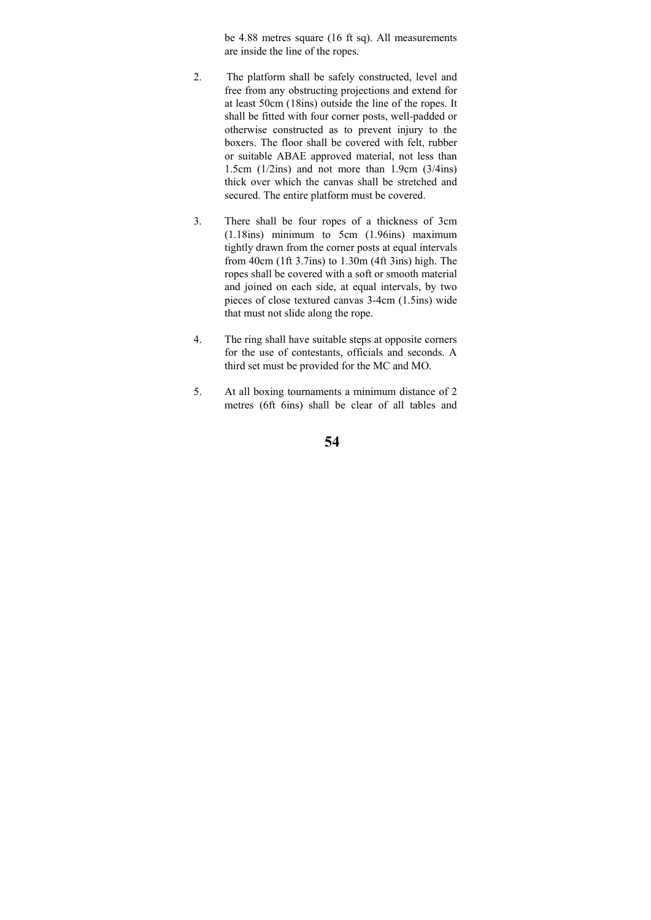be 4.88 metres square (16 ft sq). All measurements are inside the line of the ropes.

- 2. The platform shall be safely constructed, level and free from any obstructing projections and extend for at least 50cm (18ins) outside the line of the ropes. It shall be fitted with four corner posts, well-padded or otherwise constructed as to prevent injury to the boxers. The floor shall be covered with felt, rubber or suitable ABAE approved material, not less than 1.5cm (1/2ins) and not more than 1.9cm (3/4ins) thick over which the canvas shall be stretched and secured. The entire platform must be covered.
- 3. There shall be four ropes of a thickness of 3cm (1.18ins) minimum to 5cm (1.96ins) maximum tightly drawn from the corner posts at equal intervals from 40cm (1ft 3.7ins) to 1.30m (4ft 3ins) high. The ropes shall be covered with a soft or smooth material and joined on each side, at equal intervals, by two pieces of close textured canvas 3-4cm (1.5ins) wide that must not slide along the rope.
- 4. The ring shall have suitable steps at opposite corners for the use of contestants, officials and seconds. A third set must be provided for the MC and MO.
- 5. At all boxing tournaments a minimum distance of 2 metres (6ft 6ins) shall be clear of all tables and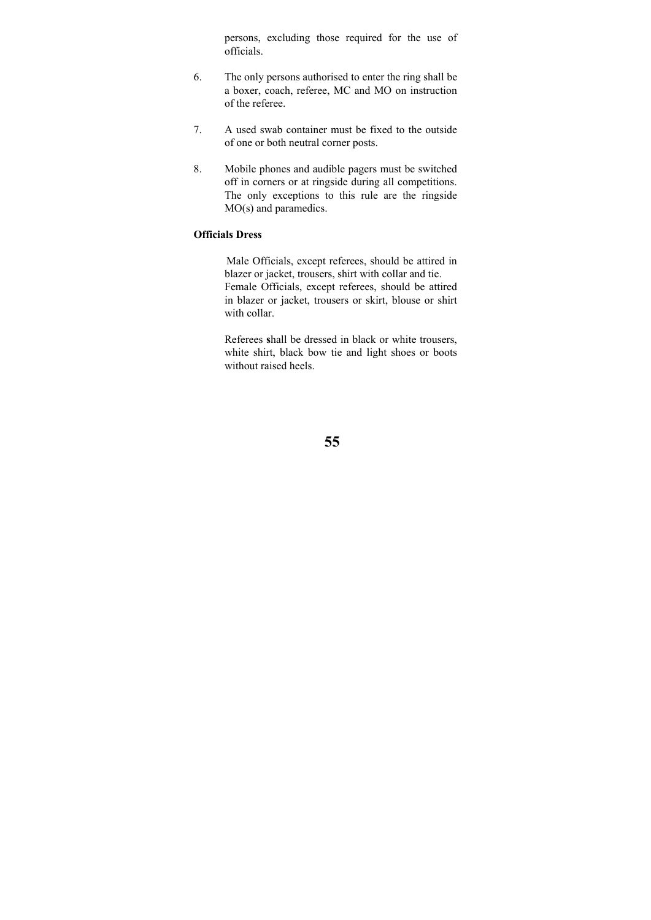persons, excluding those required for the use of officials.

- 6. The only persons authorised to enter the ring shall be a boxer, coach, referee, MC and MO on instruction of the referee.
- 7. A used swab container must be fixed to the outside of one or both neutral corner posts.
- 8. Mobile phones and audible pagers must be switched off in corners or at ringside during all competitions. The only exceptions to this rule are the ringside MO(s) and paramedics.

## **Officials Dress**

 Male Officials, except referees, should be attired in blazer or jacket, trousers, shirt with collar and tie. Female Officials, except referees, should be attired in blazer or jacket, trousers or skirt, blouse or shirt with collar.

Referees **s**hall be dressed in black or white trousers, white shirt, black bow tie and light shoes or boots without raised heels.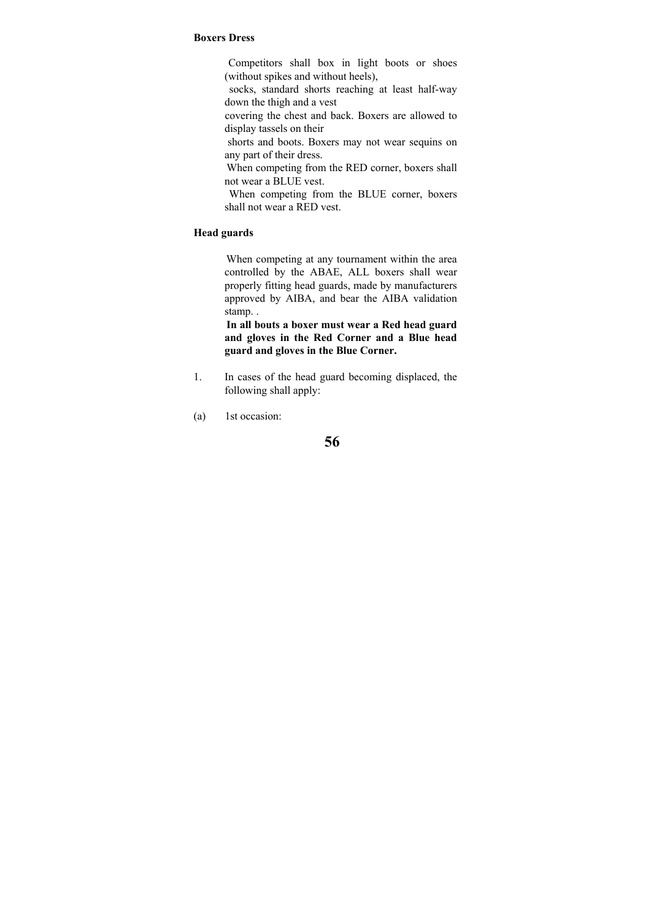#### **Boxers Dress**

 Competitors shall box in light boots or shoes (without spikes and without heels),

 socks, standard shorts reaching at least half-way down the thigh and a vest

 covering the chest and back. Boxers are allowed to display tassels on their

 shorts and boots. Boxers may not wear sequins on any part of their dress.

 When competing from the RED corner, boxers shall not wear a BLUE vest.

 When competing from the BLUE corner, boxers shall not wear a RED vest.

### **Head guards**

 When competing at any tournament within the area controlled by the ABAE, ALL boxers shall wear properly fitting head guards, made by manufacturers approved by AIBA, and bear the AIBA validation stamp. .

 **In all bouts a boxer must wear a Red head guard and gloves in the Red Corner and a Blue head guard and gloves in the Blue Corner.** 

- 1. In cases of the head guard becoming displaced, the following shall apply:
- (a) 1st occasion: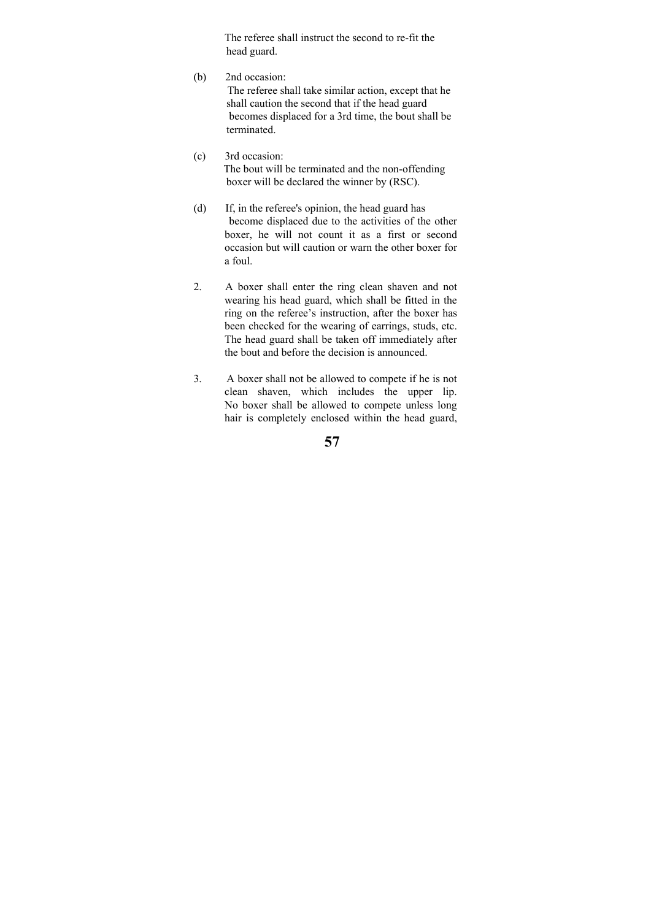The referee shall instruct the second to re-fit the head guard.

- (b) 2nd occasion: The referee shall take similar action, except that he shall caution the second that if the head guard becomes displaced for a 3rd time, the bout shall be terminated.
- (c) 3rd occasion: The bout will be terminated and the non-offending boxer will be declared the winner by (RSC).
- (d) If, in the referee's opinion, the head guard has become displaced due to the activities of the other boxer, he will not count it as a first or second occasion but will caution or warn the other boxer for a foul.
- 2. A boxer shall enter the ring clean shaven and not wearing his head guard, which shall be fitted in the ring on the referee's instruction, after the boxer has been checked for the wearing of earrings, studs, etc. The head guard shall be taken off immediately after the bout and before the decision is announced.
- 3. A boxer shall not be allowed to compete if he is not clean shaven, which includes the upper lip. No boxer shall be allowed to compete unless long hair is completely enclosed within the head guard,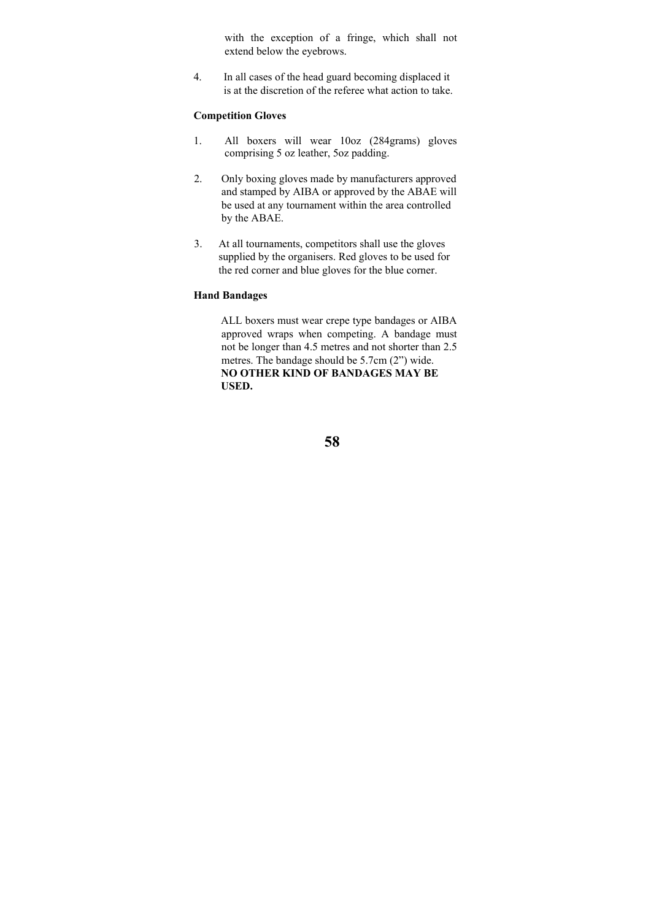with the exception of a fringe, which shall not extend below the eyebrows.

4. In all cases of the head guard becoming displaced it is at the discretion of the referee what action to take.

### **Competition Gloves**

- 1. All boxers will wear 10oz (284grams) gloves comprising 5 oz leather, 5oz padding.
- 2. Only boxing gloves made by manufacturers approved and stamped by AIBA or approved by the ABAE will be used at any tournament within the area controlled by the ABAE.
- 3. At all tournaments, competitors shall use the gloves supplied by the organisers. Red gloves to be used for the red corner and blue gloves for the blue corner.

### **Hand Bandages**

 ALL boxers must wear crepe type bandages or AIBA approved wraps when competing. A bandage must not be longer than 4.5 metres and not shorter than 2.5 metres. The bandage should be 5.7cm (2") wide. **NO OTHER KIND OF BANDAGES MAY BE USED.**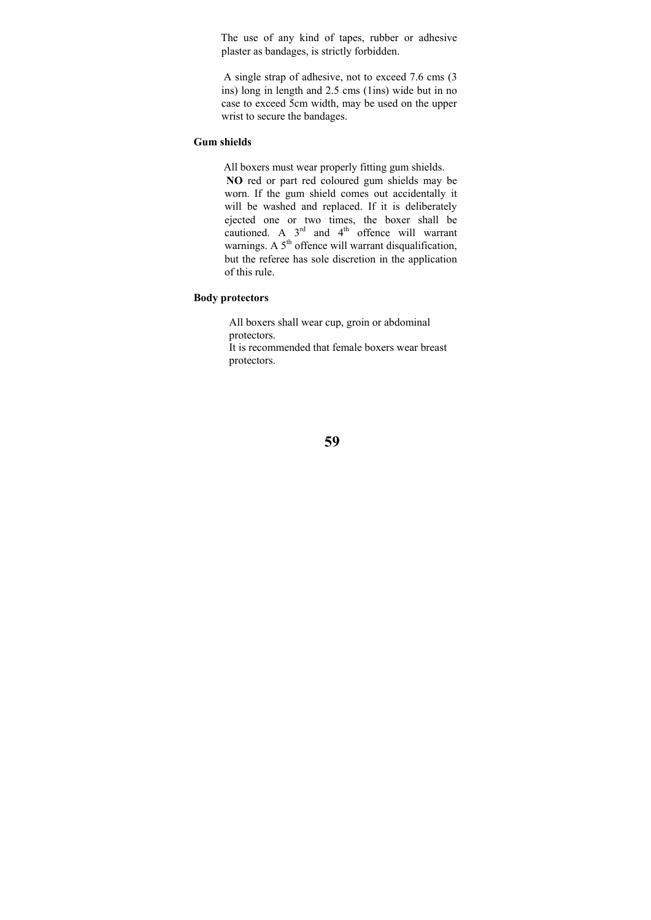The use of any kind of tapes, rubber or adhesive plaster as bandages, is strictly forbidden.

 A single strap of adhesive, not to exceed 7.6 cms (3 ins) long in length and 2.5 cms (1ins) wide but in no case to exceed 5cm width, may be used on the upper wrist to secure the bandages.

## **Gum shields**

 All boxers must wear properly fitting gum shields.  **NO** red or part red coloured gum shields may be worn. If the gum shield comes out accidentally it will be washed and replaced. If it is deliberately ejected one or two times, the boxer shall be cautioned. A  $3<sup>rd</sup>$  and  $4<sup>th</sup>$  offence will warrant warnings. A  $5<sup>th</sup>$  offence will warrant disqualification, but the referee has sole discretion in the application of this rule.

### **Body protectors**

 All boxers shall wear cup, groin or abdominal protectors.

 It is recommended that female boxers wear breast protectors.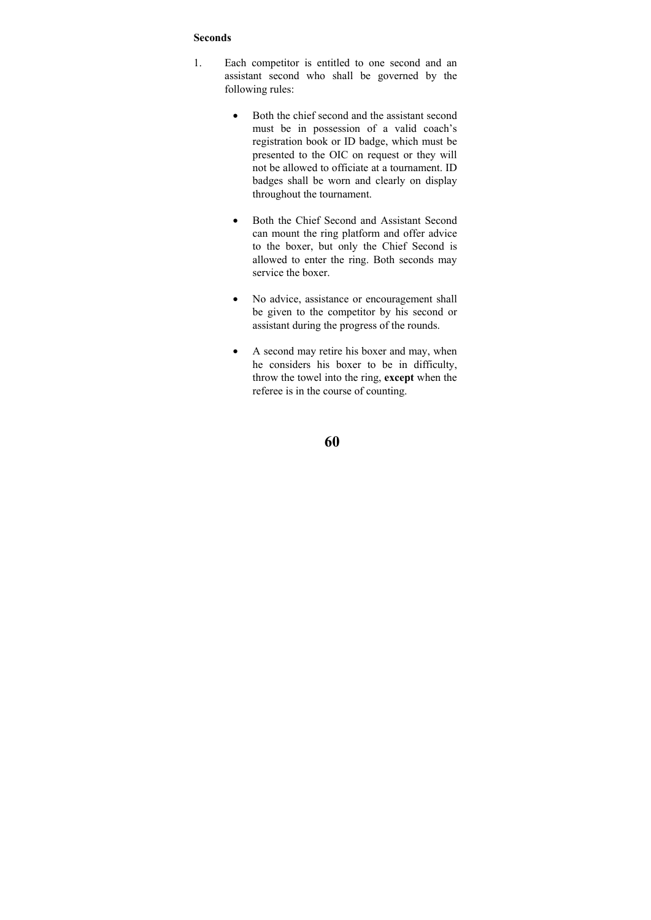### **Seconds**

- 1. Each competitor is entitled to one second and an assistant second who shall be governed by the following rules:
	- Both the chief second and the assistant second must be in possession of a valid coach's registration book or ID badge, which must be presented to the OIC on request or they will not be allowed to officiate at a tournament. ID badges shall be worn and clearly on display throughout the tournament.
	- Both the Chief Second and Assistant Second can mount the ring platform and offer advice to the boxer, but only the Chief Second is allowed to enter the ring. Both seconds may service the boxer.
	- No advice, assistance or encouragement shall be given to the competitor by his second or assistant during the progress of the rounds.
	- A second may retire his boxer and may, when he considers his boxer to be in difficulty, throw the towel into the ring, **except** when the referee is in the course of counting.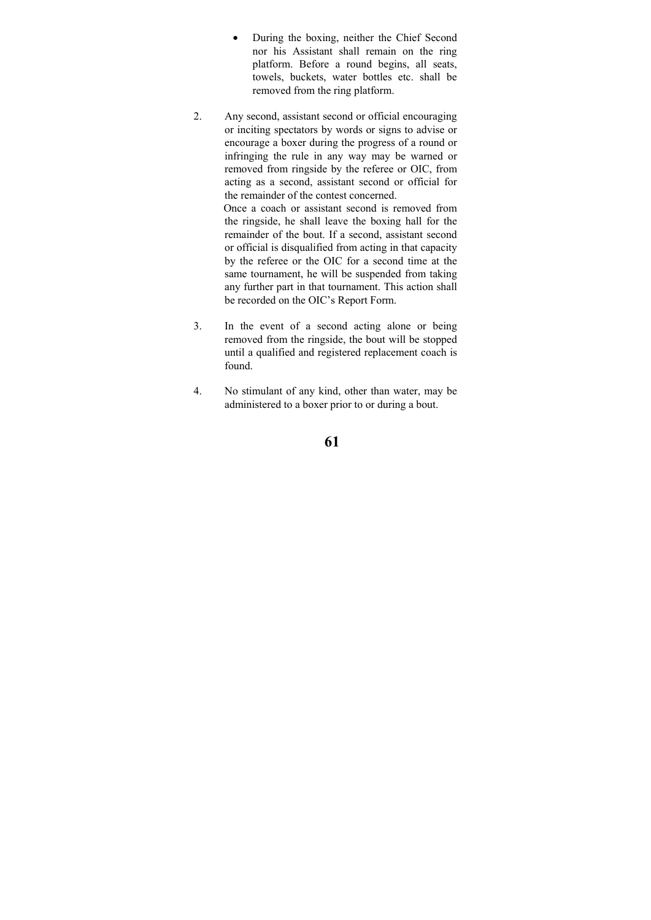- During the boxing, neither the Chief Second nor his Assistant shall remain on the ring platform. Before a round begins, all seats, towels, buckets, water bottles etc. shall be removed from the ring platform.
- 2. Any second, assistant second or official encouraging or inciting spectators by words or signs to advise or encourage a boxer during the progress of a round or infringing the rule in any way may be warned or removed from ringside by the referee or OIC, from acting as a second, assistant second or official for the remainder of the contest concerned.

 Once a coach or assistant second is removed from the ringside, he shall leave the boxing hall for the remainder of the bout. If a second, assistant second or official is disqualified from acting in that capacity by the referee or the OIC for a second time at the same tournament, he will be suspended from taking any further part in that tournament. This action shall be recorded on the OIC's Report Form.

- 3. In the event of a second acting alone or being removed from the ringside, the bout will be stopped until a qualified and registered replacement coach is found.
- 4. No stimulant of any kind, other than water, may be administered to a boxer prior to or during a bout.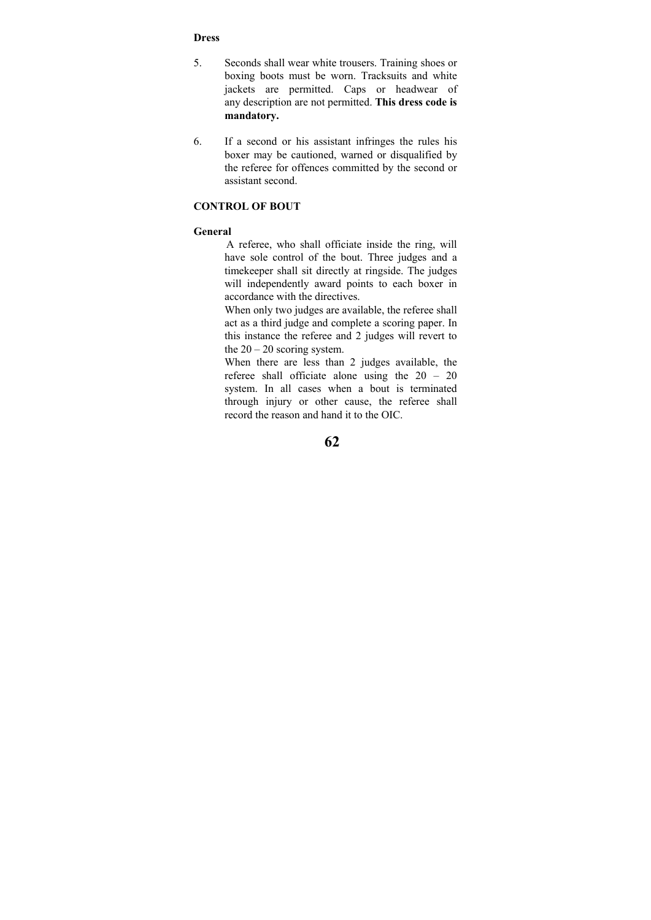### **Dress**

- 5. Seconds shall wear white trousers. Training shoes or boxing boots must be worn. Tracksuits and white jackets are permitted. Caps or headwear of any description are not permitted. **This dress code is mandatory.**
- 6. If a second or his assistant infringes the rules his boxer may be cautioned, warned or disqualified by the referee for offences committed by the second or assistant second.

#### **CONTROL OF BOUT**

### **General**

 A referee, who shall officiate inside the ring, will have sole control of the bout. Three judges and a timekeeper shall sit directly at ringside. The judges will independently award points to each boxer in accordance with the directives.

When only two judges are available, the referee shall act as a third judge and complete a scoring paper. In this instance the referee and 2 judges will revert to the  $20 - 20$  scoring system.

When there are less than 2 judges available, the referee shall officiate alone using the 20 – 20 system. In all cases when a bout is terminated through injury or other cause, the referee shall record the reason and hand it to the OIC.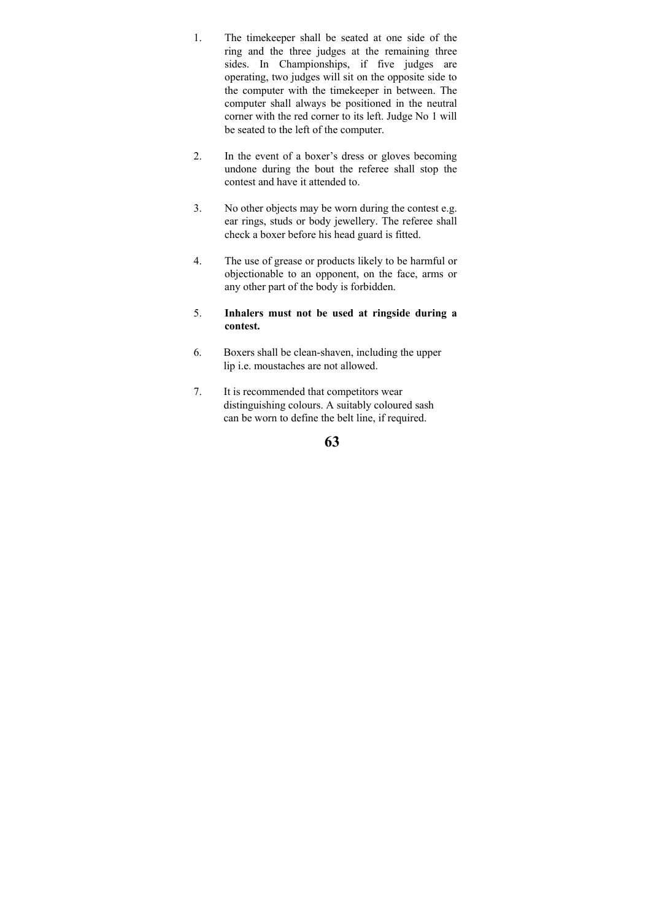- 1. The timekeeper shall be seated at one side of the ring and the three judges at the remaining three sides. In Championships, if five judges are operating, two judges will sit on the opposite side to the computer with the timekeeper in between. The computer shall always be positioned in the neutral corner with the red corner to its left. Judge No 1 will be seated to the left of the computer.
- 2. In the event of a boxer's dress or gloves becoming undone during the bout the referee shall stop the contest and have it attended to.
- 3. No other objects may be worn during the contest e.g. ear rings, studs or body jewellery. The referee shall check a boxer before his head guard is fitted.
- 4. The use of grease or products likely to be harmful or objectionable to an opponent, on the face, arms or any other part of the body is forbidden.
- 5. **Inhalers must not be used at ringside during a contest.**
- 6. Boxers shall be clean-shaven, including the upper lip i.e. moustaches are not allowed.
- 7. It is recommended that competitors wear distinguishing colours. A suitably coloured sash can be worn to define the belt line, if required.

**<sup>63</sup>**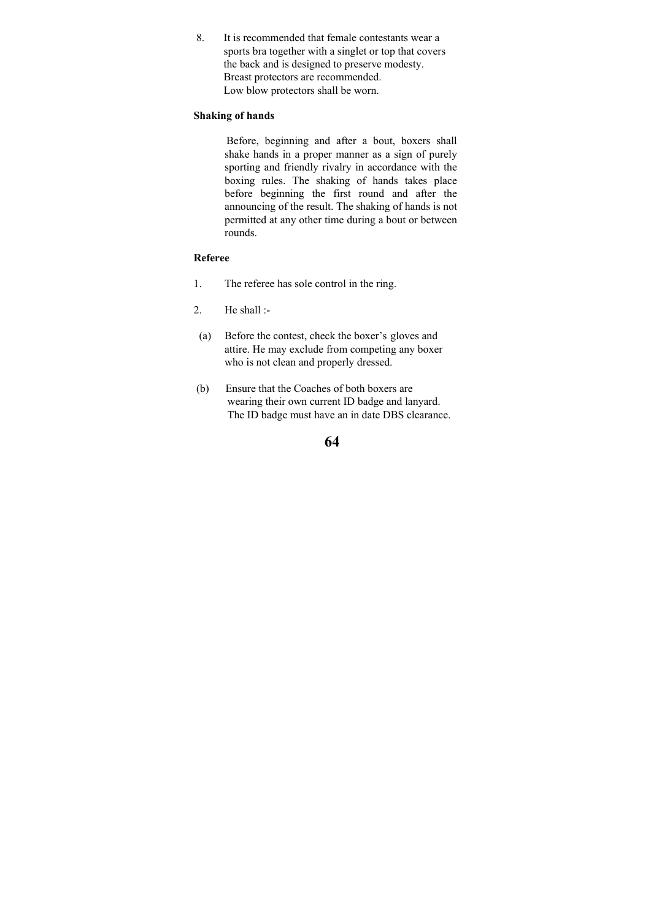8. It is recommended that female contestants wear a sports bra together with a singlet or top that covers the back and is designed to preserve modesty. Breast protectors are recommended. Low blow protectors shall be worn.

### **Shaking of hands**

 Before, beginning and after a bout, boxers shall shake hands in a proper manner as a sign of purely sporting and friendly rivalry in accordance with the boxing rules. The shaking of hands takes place before beginning the first round and after the announcing of the result. The shaking of hands is not permitted at any other time during a bout or between rounds.

## **Referee**

- 1. The referee has sole control in the ring.
- 2. He shall :-
- (a) Before the contest, check the boxer's gloves and attire. He may exclude from competing any boxer who is not clean and properly dressed.
- (b) Ensure that the Coaches of both boxers are wearing their own current ID badge and lanyard. The ID badge must have an in date DBS clearance.

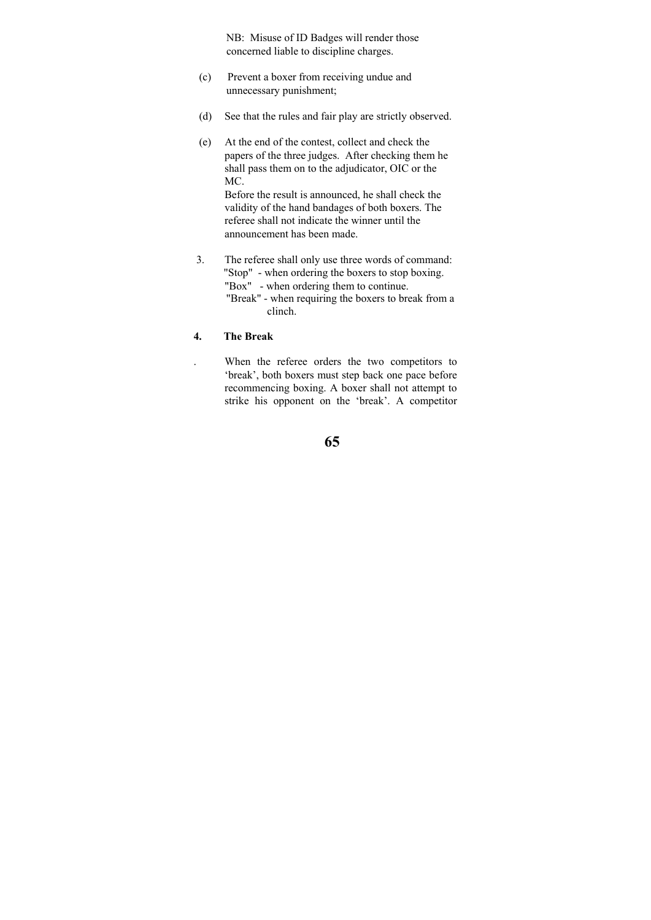NB: Misuse of ID Badges will render those concerned liable to discipline charges.

- (c) Prevent a boxer from receiving undue and unnecessary punishment;
- (d) See that the rules and fair play are strictly observed.
- (e) At the end of the contest, collect and check the papers of the three judges. After checking them he shall pass them on to the adjudicator, OIC or the MC.

Before the result is announced, he shall check the validity of the hand bandages of both boxers. The referee shall not indicate the winner until the announcement has been made.

 3. The referee shall only use three words of command: "Stop" - when ordering the boxers to stop boxing. "Box" - when ordering them to continue. "Break" - when requiring the boxers to break from a clinch.

### **4. The Break**

. When the referee orders the two competitors to 'break', both boxers must step back one pace before recommencing boxing. A boxer shall not attempt to strike his opponent on the 'break'. A competitor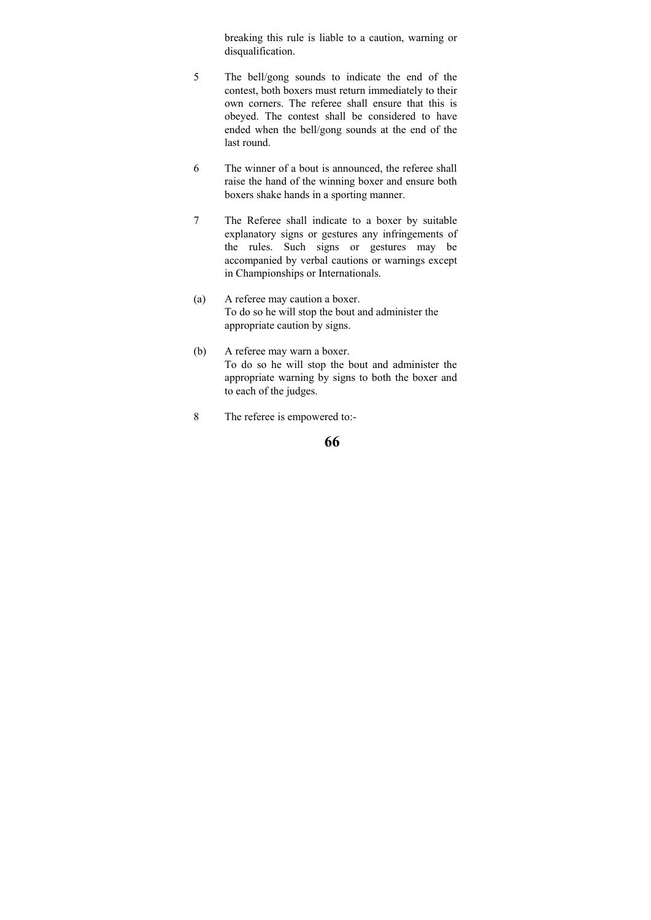breaking this rule is liable to a caution, warning or disqualification.

- 5 The bell/gong sounds to indicate the end of the contest, both boxers must return immediately to their own corners. The referee shall ensure that this is obeyed. The contest shall be considered to have ended when the bell/gong sounds at the end of the last round.
- 6 The winner of a bout is announced, the referee shall raise the hand of the winning boxer and ensure both boxers shake hands in a sporting manner.
- 7 The Referee shall indicate to a boxer by suitable explanatory signs or gestures any infringements of the rules. Such signs or gestures may be accompanied by verbal cautions or warnings except in Championships or Internationals.
- (a) A referee may caution a boxer. To do so he will stop the bout and administer the appropriate caution by signs.
- (b) A referee may warn a boxer. To do so he will stop the bout and administer the appropriate warning by signs to both the boxer and to each of the judges.
- 8 The referee is empowered to:-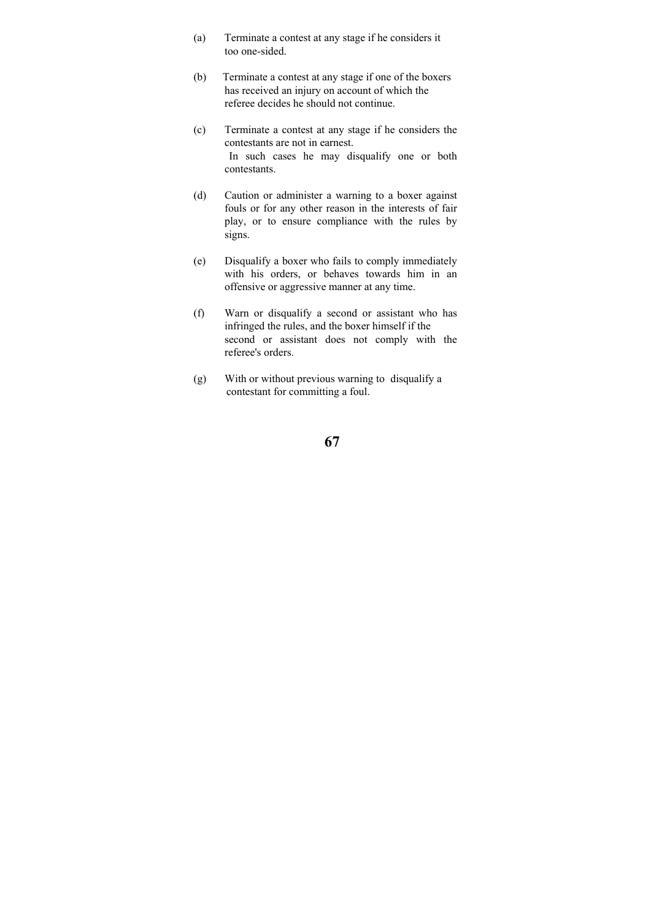- (a) Terminate a contest at any stage if he considers it too one-sided.
- (b) Terminate a contest at any stage if one of the boxers has received an injury on account of which the referee decides he should not continue.
- (c) Terminate a contest at any stage if he considers the contestants are not in earnest. In such cases he may disqualify one or both contestants.
- (d) Caution or administer a warning to a boxer against fouls or for any other reason in the interests of fair play, or to ensure compliance with the rules by signs.
- (e) Disqualify a boxer who fails to comply immediately with his orders, or behaves towards him in an offensive or aggressive manner at any time.
- (f) Warn or disqualify a second or assistant who has infringed the rules, and the boxer himself if the second or assistant does not comply with the referee's orders.
- (g) With or without previous warning to disqualify a contestant for committing a foul.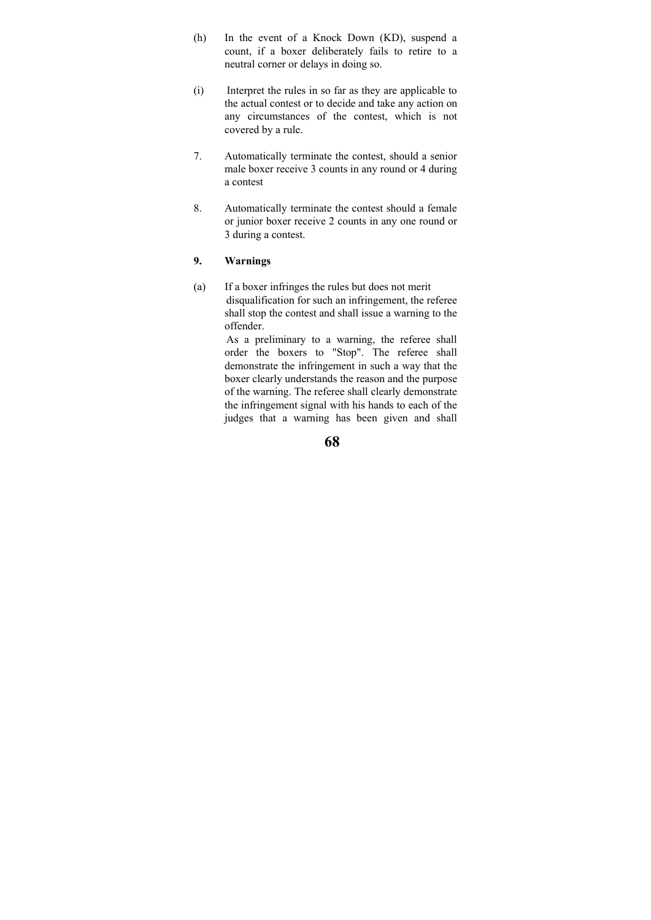- (h) In the event of a Knock Down (KD), suspend a count, if a boxer deliberately fails to retire to a neutral corner or delays in doing so.
- (i) Interpret the rules in so far as they are applicable to the actual contest or to decide and take any action on any circumstances of the contest, which is not covered by a rule.
- 7. Automatically terminate the contest, should a senior male boxer receive 3 counts in any round or 4 during a contest
- 8. Automatically terminate the contest should a female or junior boxer receive 2 counts in any one round or 3 during a contest.

### **9. Warnings**

(a) If a boxer infringes the rules but does not merit disqualification for such an infringement, the referee shall stop the contest and shall issue a warning to the offender.

> As a preliminary to a warning, the referee shall order the boxers to "Stop". The referee shall demonstrate the infringement in such a way that the boxer clearly understands the reason and the purpose of the warning. The referee shall clearly demonstrate the infringement signal with his hands to each of the judges that a warning has been given and shall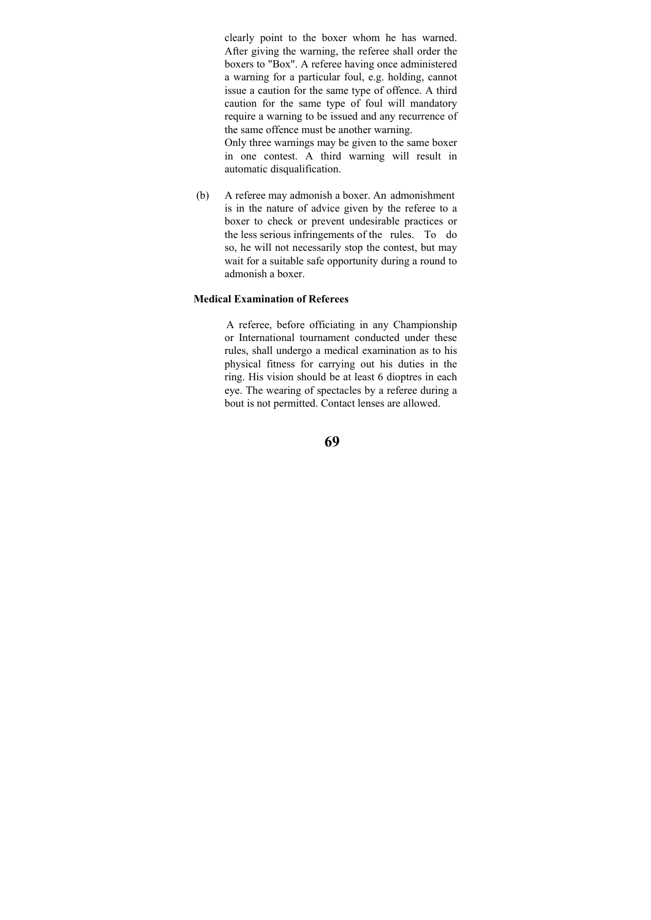clearly point to the boxer whom he has warned. After giving the warning, the referee shall order the boxers to "Box". A referee having once administered a warning for a particular foul, e.g. holding, cannot issue a caution for the same type of offence. A third caution for the same type of foul will mandatory require a warning to be issued and any recurrence of the same offence must be another warning.

Only three warnings may be given to the same boxer in one contest. A third warning will result in automatic disqualification.

 (b) A referee may admonish a boxer. An admonishment is in the nature of advice given by the referee to a boxer to check or prevent undesirable practices or the less serious infringements of the rules. To do so, he will not necessarily stop the contest, but may wait for a suitable safe opportunity during a round to admonish a boxer.

### **Medical Examination of Referees**

 A referee, before officiating in any Championship or International tournament conducted under these rules, shall undergo a medical examination as to his physical fitness for carrying out his duties in the ring. His vision should be at least 6 dioptres in each eye. The wearing of spectacles by a referee during a bout is not permitted. Contact lenses are allowed.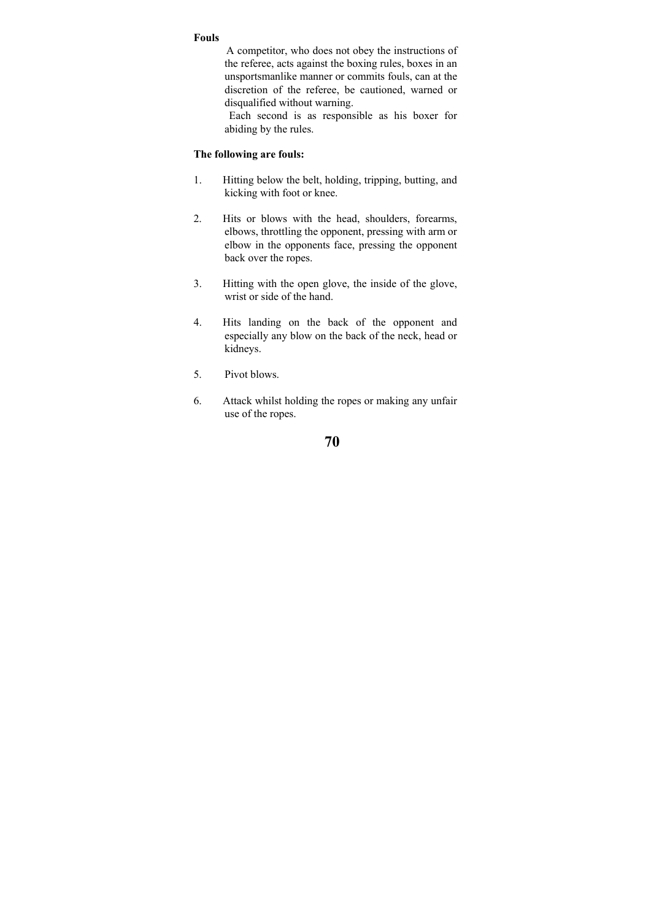#### **Fouls**

 A competitor, who does not obey the instructions of the referee, acts against the boxing rules, boxes in an unsportsmanlike manner or commits fouls, can at the discretion of the referee, be cautioned, warned or disqualified without warning.

 Each second is as responsible as his boxer for abiding by the rules.

## **The following are fouls:**

- 1. Hitting below the belt, holding, tripping, butting, and kicking with foot or knee.
- 2. Hits or blows with the head, shoulders, forearms, elbows, throttling the opponent, pressing with arm or elbow in the opponents face, pressing the opponent back over the ropes.
- 3. Hitting with the open glove, the inside of the glove, wrist or side of the hand.
- 4. Hits landing on the back of the opponent and especially any blow on the back of the neck, head or kidneys.
- 5. Pivot blows.
- 6. Attack whilst holding the ropes or making any unfair use of the ropes.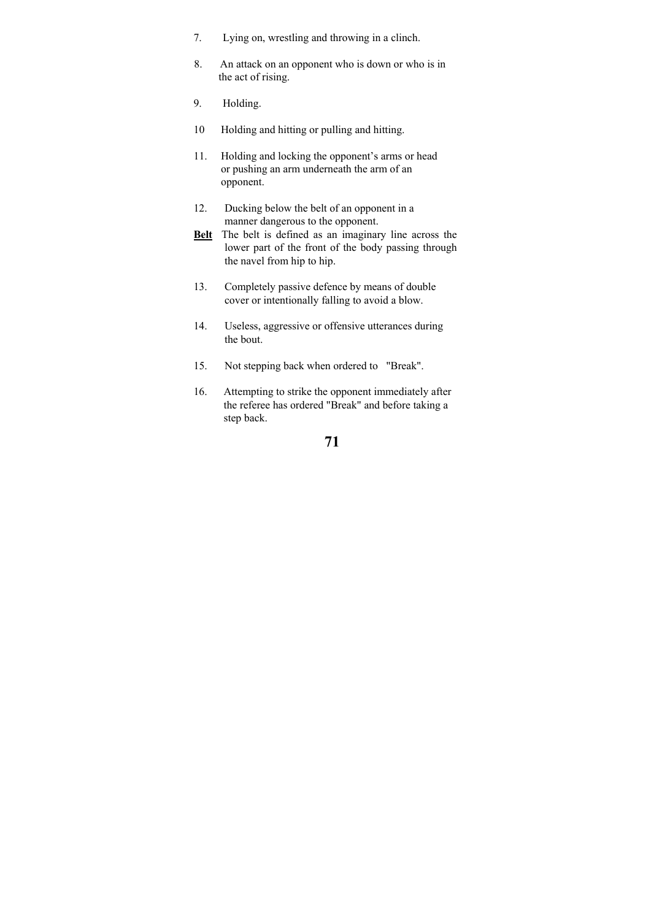- 7. Lying on, wrestling and throwing in a clinch.
- 8. An attack on an opponent who is down or who is in the act of rising.
- 9. Holding.
- 10 Holding and hitting or pulling and hitting.
- 11. Holding and locking the opponent's arms or head or pushing an arm underneath the arm of an opponent.
- 12. Ducking below the belt of an opponent in a manner dangerous to the opponent.
- **Belt** The belt is defined as an imaginary line across the lower part of the front of the body passing through the navel from hip to hip.
- 13. Completely passive defence by means of double cover or intentionally falling to avoid a blow.
- 14. Useless, aggressive or offensive utterances during the bout.
- 15. Not stepping back when ordered to "Break".
- 16. Attempting to strike the opponent immediately after the referee has ordered "Break" and before taking a step back.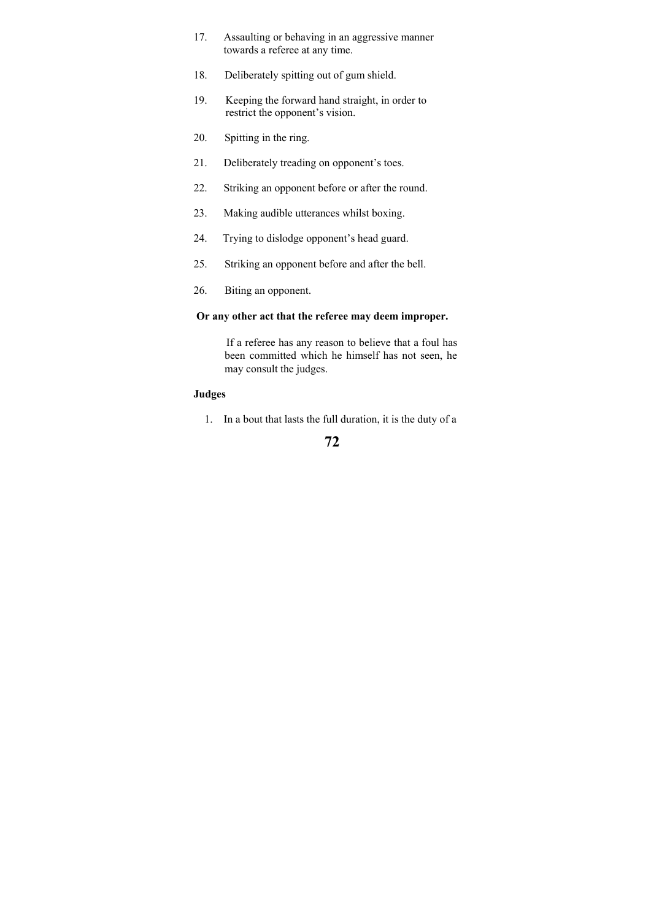- 17. Assaulting or behaving in an aggressive manner towards a referee at any time.
- 18. Deliberately spitting out of gum shield.
- 19. Keeping the forward hand straight, in order to restrict the opponent's vision.
- 20. Spitting in the ring.
- 21. Deliberately treading on opponent's toes.
- 22. Striking an opponent before or after the round.
- 23. Making audible utterances whilst boxing.
- 24. Trying to dislodge opponent's head guard.
- 25. Striking an opponent before and after the bell.
- 26. Biting an opponent.

### **Or any other act that the referee may deem improper.**

 If a referee has any reason to believe that a foul has been committed which he himself has not seen, he may consult the judges.

### **Judges**

1. In a bout that lasts the full duration, it is the duty of a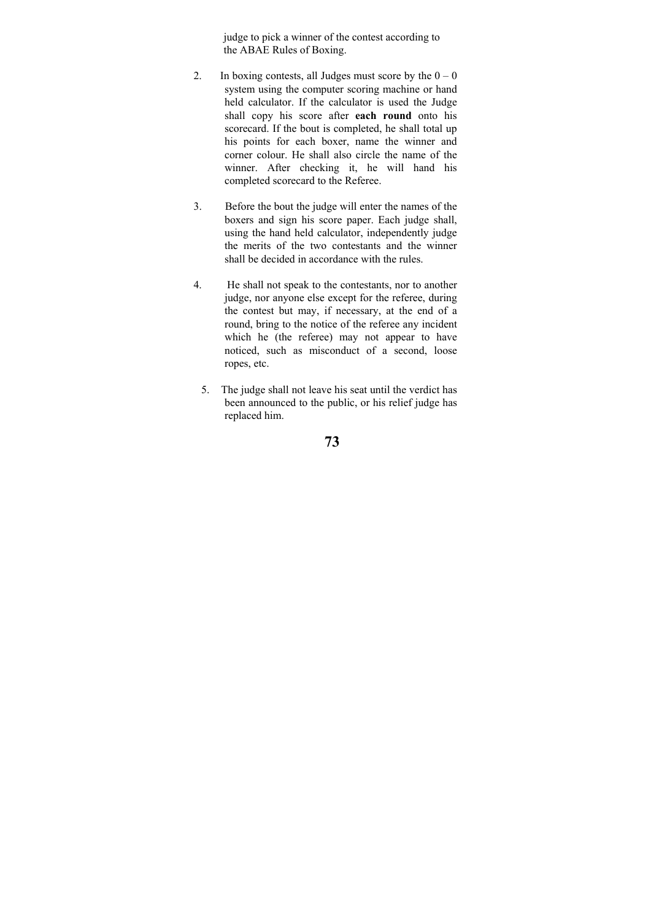judge to pick a winner of the contest according to the ABAE Rules of Boxing.

- 2. In boxing contests, all Judges must score by the  $0 0$ system using the computer scoring machine or hand held calculator. If the calculator is used the Judge shall copy his score after **each round** onto his scorecard. If the bout is completed, he shall total up his points for each boxer, name the winner and corner colour. He shall also circle the name of the winner. After checking it, he will hand his completed scorecard to the Referee.
- 3. Before the bout the judge will enter the names of the boxers and sign his score paper. Each judge shall, using the hand held calculator, independently judge the merits of the two contestants and the winner shall be decided in accordance with the rules.
- 4. He shall not speak to the contestants, nor to another judge, nor anyone else except for the referee, during the contest but may, if necessary, at the end of a round, bring to the notice of the referee any incident which he (the referee) may not appear to have noticed, such as misconduct of a second, loose ropes, etc.
	- 5. The judge shall not leave his seat until the verdict has been announced to the public, or his relief judge has replaced him.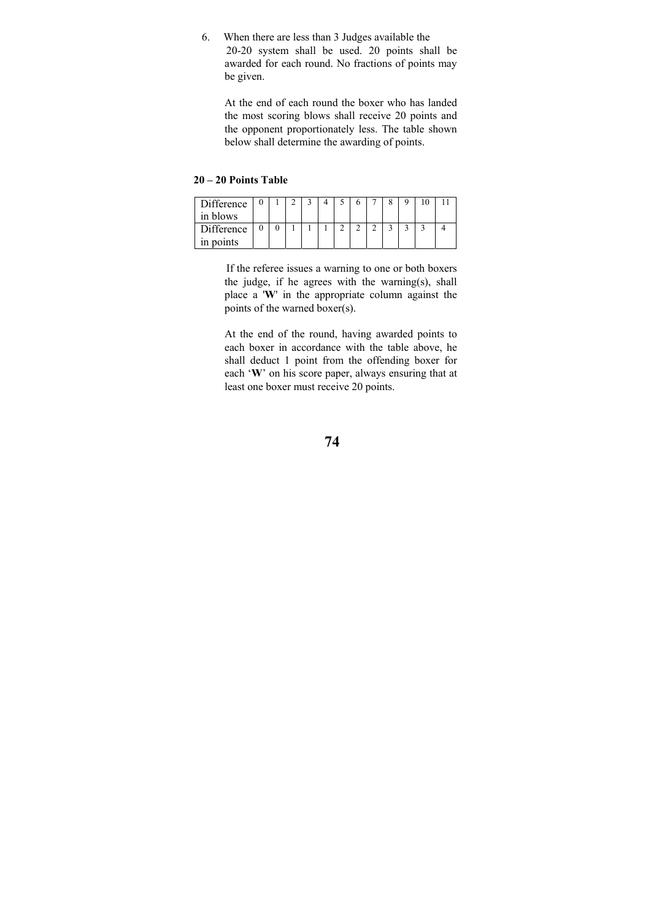6. When there are less than 3 Judges available the 20-20 system shall be used. 20 points shall be awarded for each round. No fractions of points may be given.

 At the end of each round the boxer who has landed the most scoring blows shall receive 20 points and the opponent proportionately less. The table shown below shall determine the awarding of points.

### **20 – 20 Points Table**

| Difference<br>in blows |  |  |  |  |  |  |
|------------------------|--|--|--|--|--|--|
| Difference             |  |  |  |  |  |  |
| in points              |  |  |  |  |  |  |

 If the referee issues a warning to one or both boxers the judge, if he agrees with the warning(s), shall place a '**W**' in the appropriate column against the points of the warned boxer(s).

At the end of the round, having awarded points to each boxer in accordance with the table above, he shall deduct 1 point from the offending boxer for each '**W**' on his score paper, always ensuring that at least one boxer must receive 20 points.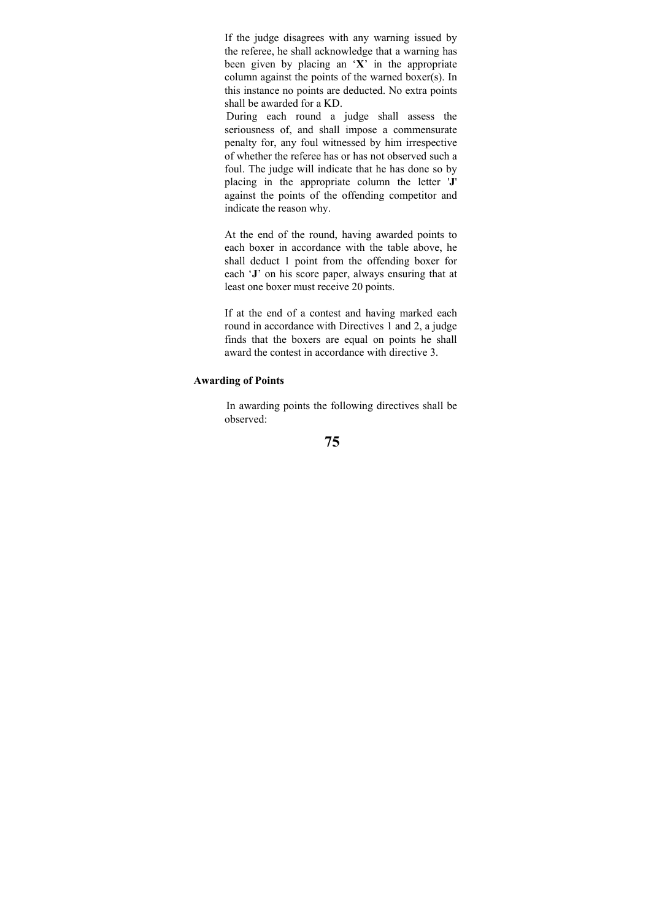If the judge disagrees with any warning issued by the referee, he shall acknowledge that a warning has been given by placing an '**X**' in the appropriate column against the points of the warned boxer(s). In this instance no points are deducted. No extra points shall be awarded for a KD.

 During each round a judge shall assess the seriousness of, and shall impose a commensurate penalty for, any foul witnessed by him irrespective of whether the referee has or has not observed such a foul. The judge will indicate that he has done so by placing in the appropriate column the letter '**J**' against the points of the offending competitor and indicate the reason why.

At the end of the round, having awarded points to each boxer in accordance with the table above, he shall deduct 1 point from the offending boxer for each '**J**' on his score paper, always ensuring that at least one boxer must receive 20 points.

If at the end of a contest and having marked each round in accordance with Directives 1 and 2, a judge finds that the boxers are equal on points he shall award the contest in accordance with directive 3.

# **Awarding of Points**

 In awarding points the following directives shall be observed: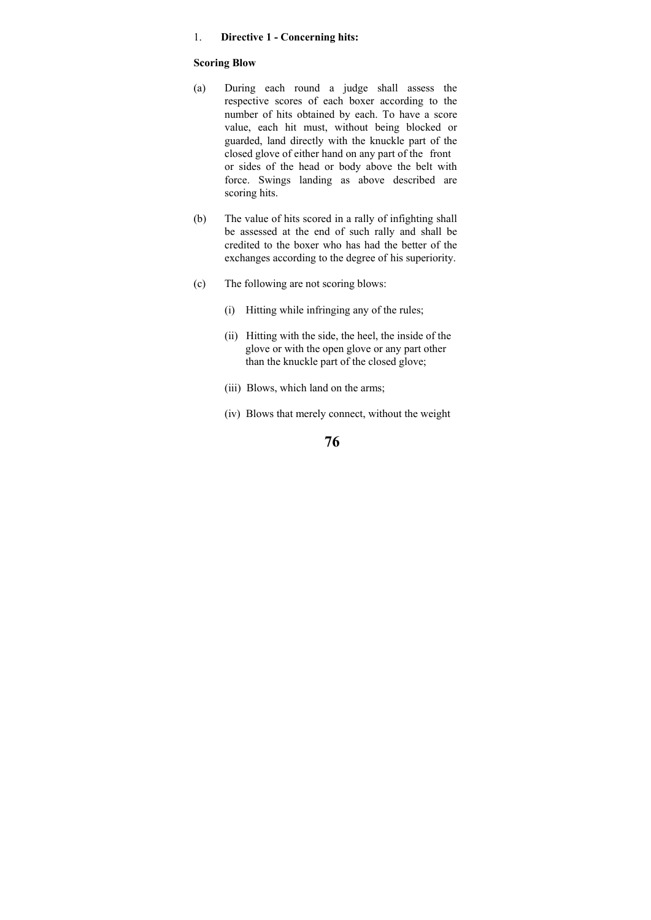#### 1. **Directive 1 - Concerning hits:**

#### **Scoring Blow**

- (a) During each round a judge shall assess the respective scores of each boxer according to the number of hits obtained by each. To have a score value, each hit must, without being blocked or guarded, land directly with the knuckle part of the closed glove of either hand on any part of the front or sides of the head or body above the belt with force. Swings landing as above described are scoring hits.
- (b) The value of hits scored in a rally of infighting shall be assessed at the end of such rally and shall be credited to the boxer who has had the better of the exchanges according to the degree of his superiority.
- (c) The following are not scoring blows:
	- (i) Hitting while infringing any of the rules;
	- (ii) Hitting with the side, the heel, the inside of the glove or with the open glove or any part other than the knuckle part of the closed glove;
	- (iii) Blows, which land on the arms;
	- (iv) Blows that merely connect, without the weight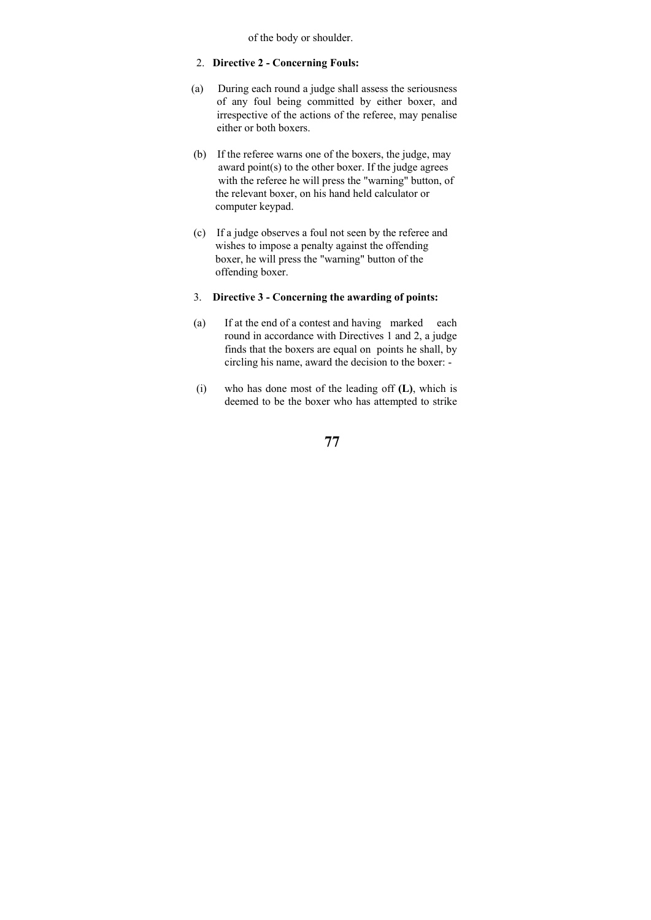of the body or shoulder.

### 2. **Directive 2 - Concerning Fouls:**

- (a) During each round a judge shall assess the seriousness of any foul being committed by either boxer, and irrespective of the actions of the referee, may penalise either or both boxers.
- (b) If the referee warns one of the boxers, the judge, may award point(s) to the other boxer. If the judge agrees with the referee he will press the "warning" button, of the relevant boxer, on his hand held calculator or computer keypad.
- (c) If a judge observes a foul not seen by the referee and wishes to impose a penalty against the offending boxer, he will press the "warning" button of the offending boxer.

### 3. **Directive 3 - Concerning the awarding of points:**

- (a) If at the end of a contest and having marked each round in accordance with Directives 1 and 2, a judge finds that the boxers are equal on points he shall, by circling his name, award the decision to the boxer: -
- (i) who has done most of the leading off **(L)**, which is deemed to be the boxer who has attempted to strike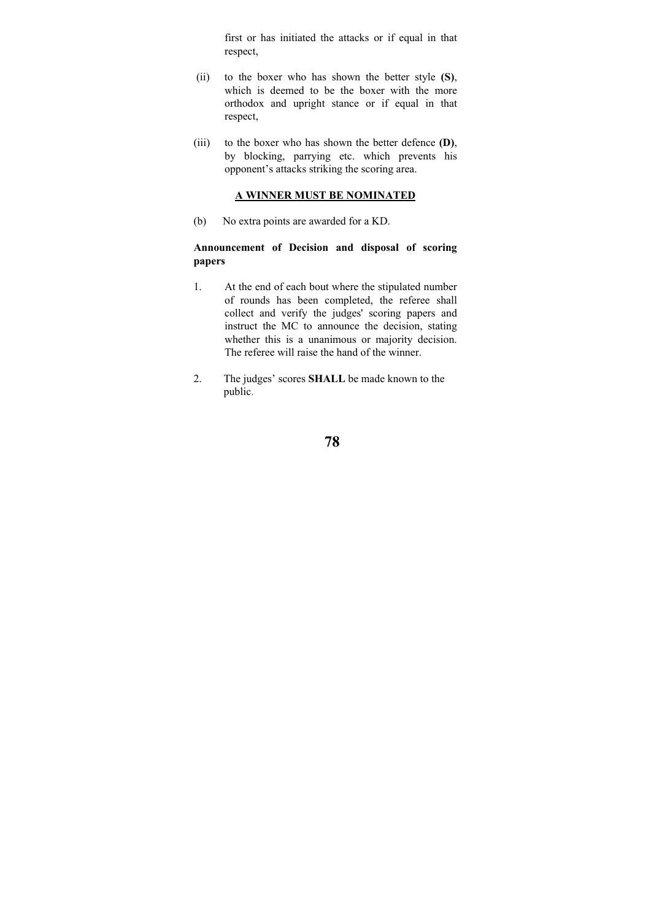first or has initiated the attacks or if equal in that respect,

- (ii) to the boxer who has shown the better style **(S)**, which is deemed to be the boxer with the more orthodox and upright stance or if equal in that respect,
- (iii) to the boxer who has shown the better defence **(D)**, by blocking, parrying etc. which prevents his opponent's attacks striking the scoring area.

## **A WINNER MUST BE NOMINATED**

(b) No extra points are awarded for a KD.

# **Announcement of Decision and disposal of scoring papers**

- 1. At the end of each bout where the stipulated number of rounds has been completed, the referee shall collect and verify the judges' scoring papers and instruct the MC to announce the decision, stating whether this is a unanimous or majority decision. The referee will raise the hand of the winner.
- 2. The judges' scores **SHALL** be made known to the public.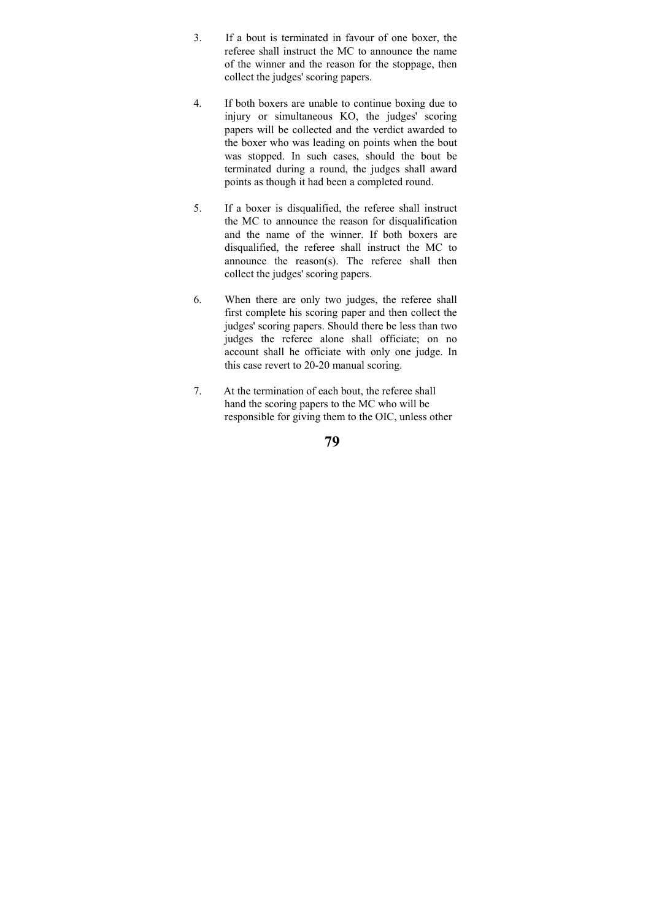- 3. If a bout is terminated in favour of one boxer, the referee shall instruct the MC to announce the name of the winner and the reason for the stoppage, then collect the judges' scoring papers.
- 4. If both boxers are unable to continue boxing due to injury or simultaneous KO, the judges' scoring papers will be collected and the verdict awarded to the boxer who was leading on points when the bout was stopped. In such cases, should the bout be terminated during a round, the judges shall award points as though it had been a completed round.
- 5. If a boxer is disqualified, the referee shall instruct the MC to announce the reason for disqualification and the name of the winner. If both boxers are disqualified, the referee shall instruct the MC to announce the reason(s). The referee shall then collect the judges' scoring papers.
- 6. When there are only two judges, the referee shall first complete his scoring paper and then collect the judges' scoring papers. Should there be less than two judges the referee alone shall officiate; on no account shall he officiate with only one judge. In this case revert to 20-20 manual scoring.
- 7. At the termination of each bout, the referee shall hand the scoring papers to the MC who will be responsible for giving them to the OIC, unless other

| ۰. | ı<br>۰.<br>۰,<br>۰. |
|----|---------------------|
|    |                     |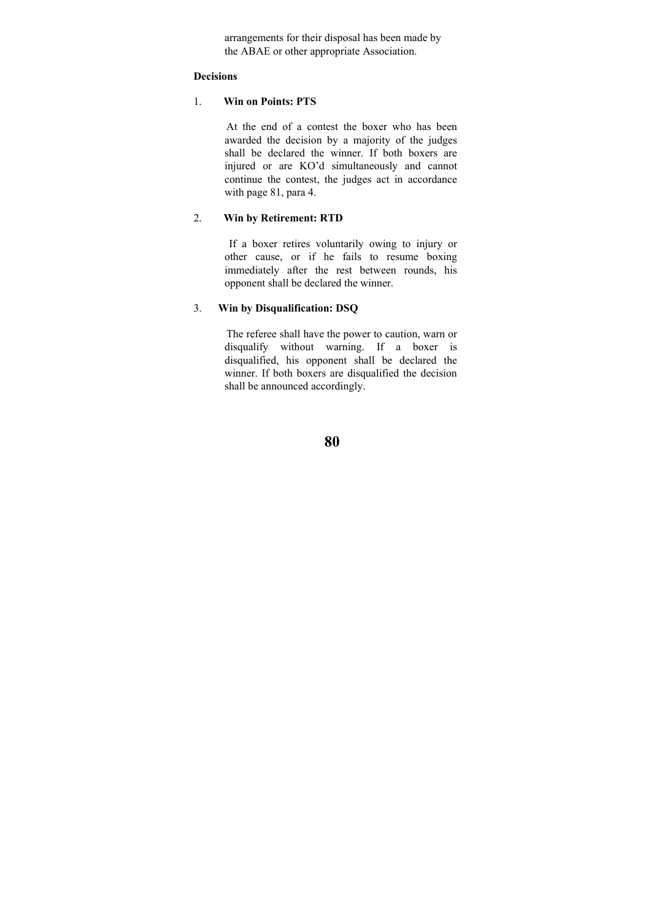arrangements for their disposal has been made by the ABAE or other appropriate Association.

### **Decisions**

#### 1. **Win on Points: PTS**

 At the end of a contest the boxer who has been awarded the decision by a majority of the judges shall be declared the winner. If both boxers are injured or are KO'd simultaneously and cannot continue the contest, the judges act in accordance with page 81, para 4.

### 2. **Win by Retirement: RTD**

 If a boxer retires voluntarily owing to injury or other cause, or if he fails to resume boxing immediately after the rest between rounds, his opponent shall be declared the winner.

### 3. **Win by Disqualification: DSQ**

 The referee shall have the power to caution, warn or disqualify without warning. If a boxer is disqualified, his opponent shall be declared the winner. If both boxers are disqualified the decision shall be announced accordingly.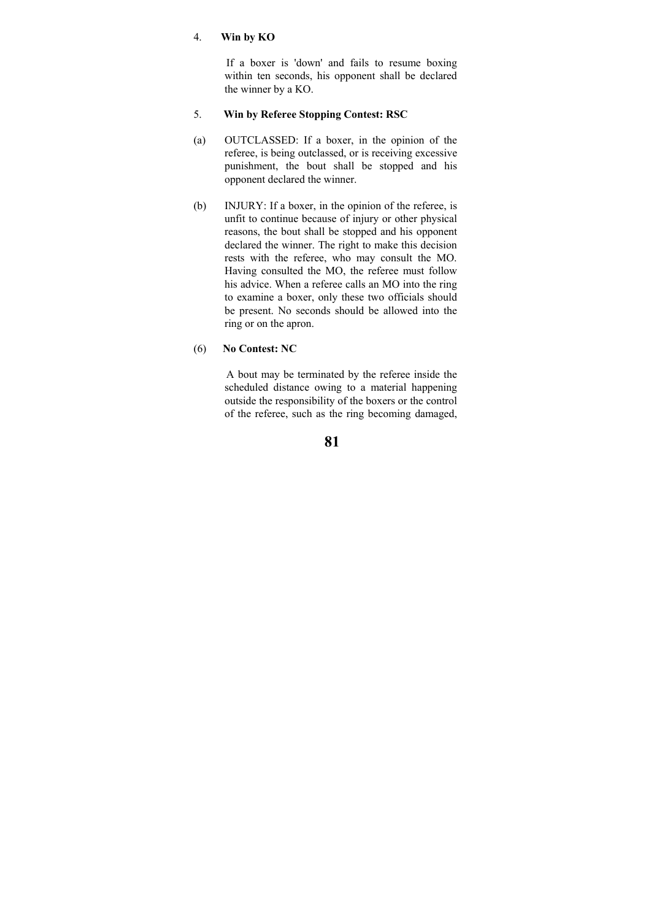### 4. **Win by KO**

 If a boxer is 'down' and fails to resume boxing within ten seconds, his opponent shall be declared the winner by a KO.

### 5. **Win by Referee Stopping Contest: RSC**

- (a) OUTCLASSED: If a boxer, in the opinion of the referee, is being outclassed, or is receiving excessive punishment, the bout shall be stopped and his opponent declared the winner.
- (b) INJURY: If a boxer, in the opinion of the referee, is unfit to continue because of injury or other physical reasons, the bout shall be stopped and his opponent declared the winner. The right to make this decision rests with the referee, who may consult the MO. Having consulted the MO, the referee must follow his advice. When a referee calls an MO into the ring to examine a boxer, only these two officials should be present. No seconds should be allowed into the ring or on the apron.

#### (6) **No Contest: NC**

 A bout may be terminated by the referee inside the scheduled distance owing to a material happening outside the responsibility of the boxers or the control of the referee, such as the ring becoming damaged,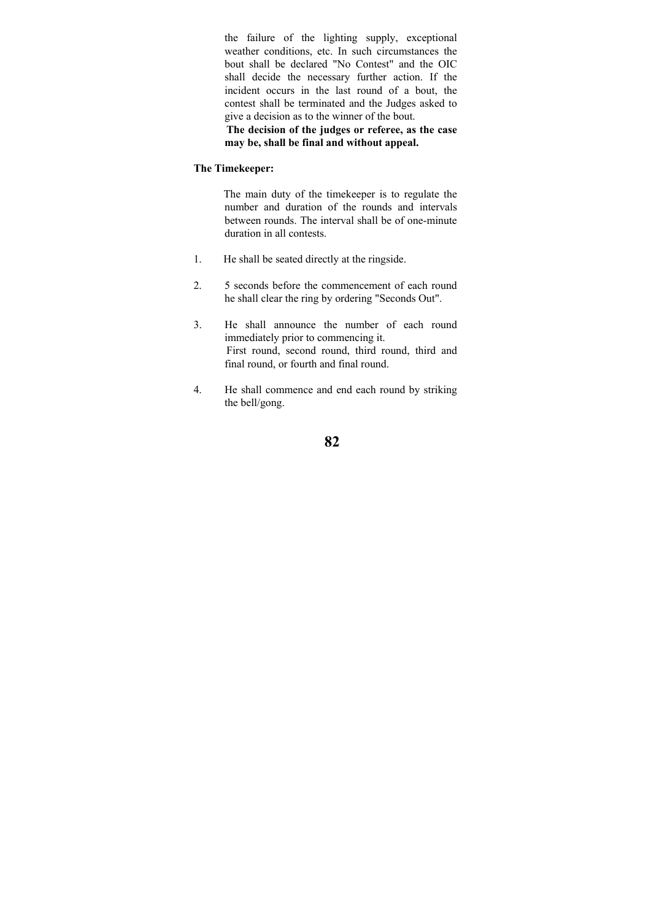the failure of the lighting supply, exceptional weather conditions, etc. In such circumstances the bout shall be declared "No Contest" and the OIC shall decide the necessary further action. If the incident occurs in the last round of a bout, the contest shall be terminated and the Judges asked to give a decision as to the winner of the bout.

 **The decision of the judges or referee, as the case may be, shall be final and without appeal.** 

#### **The Timekeeper:**

 The main duty of the timekeeper is to regulate the number and duration of the rounds and intervals between rounds. The interval shall be of one-minute duration in all contests.

- 1. He shall be seated directly at the ringside.
- 2. 5 seconds before the commencement of each round he shall clear the ring by ordering "Seconds Out".
- 3. He shall announce the number of each round immediately prior to commencing it. First round, second round, third round, third and final round, or fourth and final round.
- 4. He shall commence and end each round by striking the bell/gong.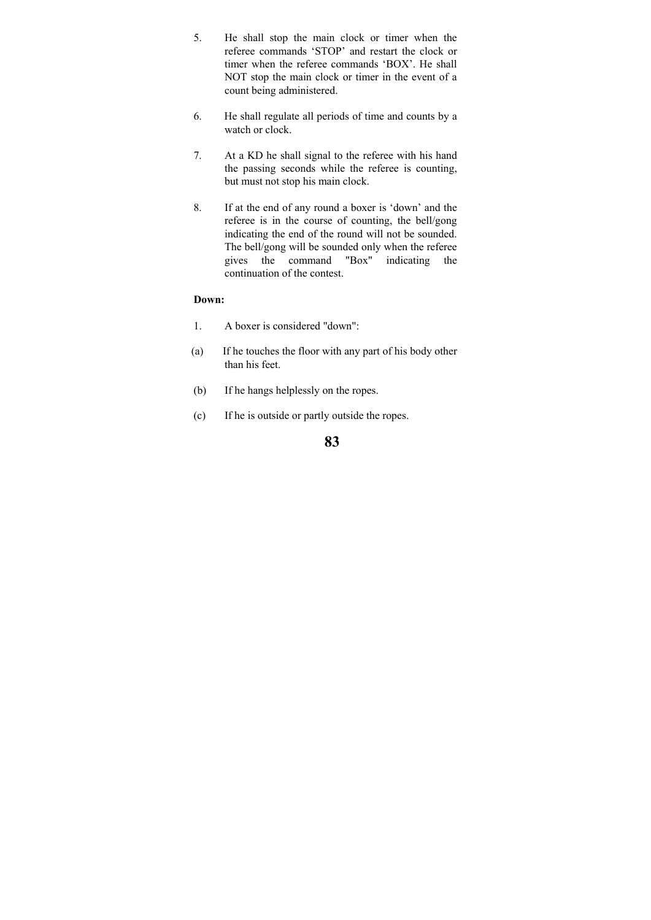- 5. He shall stop the main clock or timer when the referee commands 'STOP' and restart the clock or timer when the referee commands 'BOX'. He shall NOT stop the main clock or timer in the event of a count being administered.
- 6. He shall regulate all periods of time and counts by a watch or clock.
- 7. At a KD he shall signal to the referee with his hand the passing seconds while the referee is counting, but must not stop his main clock.
- 8. If at the end of any round a boxer is 'down' and the referee is in the course of counting, the bell/gong indicating the end of the round will not be sounded. The bell/gong will be sounded only when the referee gives the command "Box" indicating the continuation of the contest.

### **Down:**

- 1. A boxer is considered "down":
- (a) If he touches the floor with any part of his body other than his feet.
- (b) If he hangs helplessly on the ropes.
- (c) If he is outside or partly outside the ropes.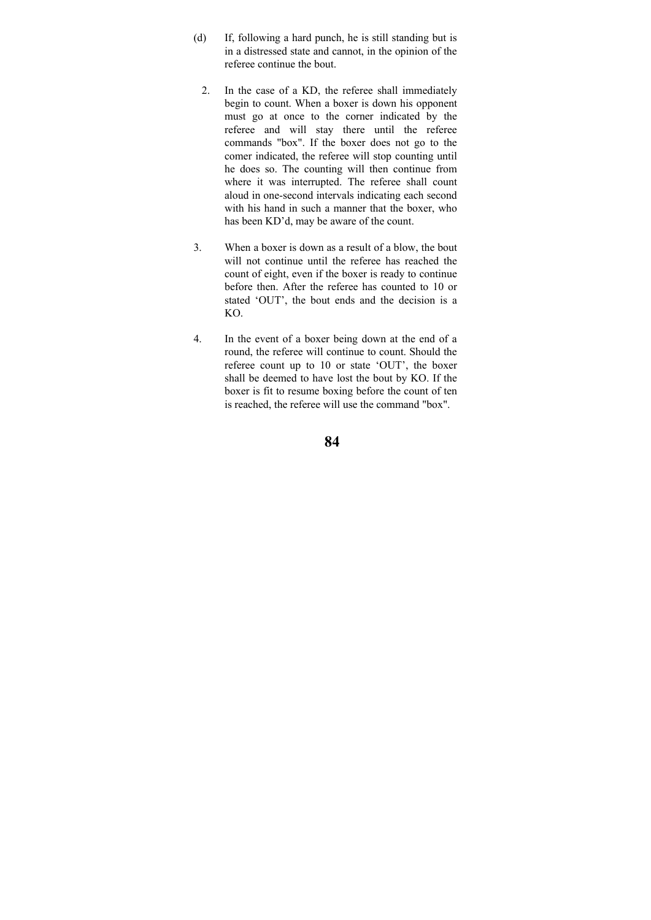- (d) If, following a hard punch, he is still standing but is in a distressed state and cannot, in the opinion of the referee continue the bout.
	- 2. In the case of a KD, the referee shall immediately begin to count. When a boxer is down his opponent must go at once to the corner indicated by the referee and will stay there until the referee commands "box". If the boxer does not go to the comer indicated, the referee will stop counting until he does so. The counting will then continue from where it was interrupted. The referee shall count aloud in one-second intervals indicating each second with his hand in such a manner that the boxer, who has been KD'd, may be aware of the count.
- 3. When a boxer is down as a result of a blow, the bout will not continue until the referee has reached the count of eight, even if the boxer is ready to continue before then. After the referee has counted to 10 or stated 'OUT', the bout ends and the decision is a KO.
- 4. In the event of a boxer being down at the end of a round, the referee will continue to count. Should the referee count up to 10 or state 'OUT', the boxer shall be deemed to have lost the bout by KO. If the boxer is fit to resume boxing before the count of ten is reached, the referee will use the command "box".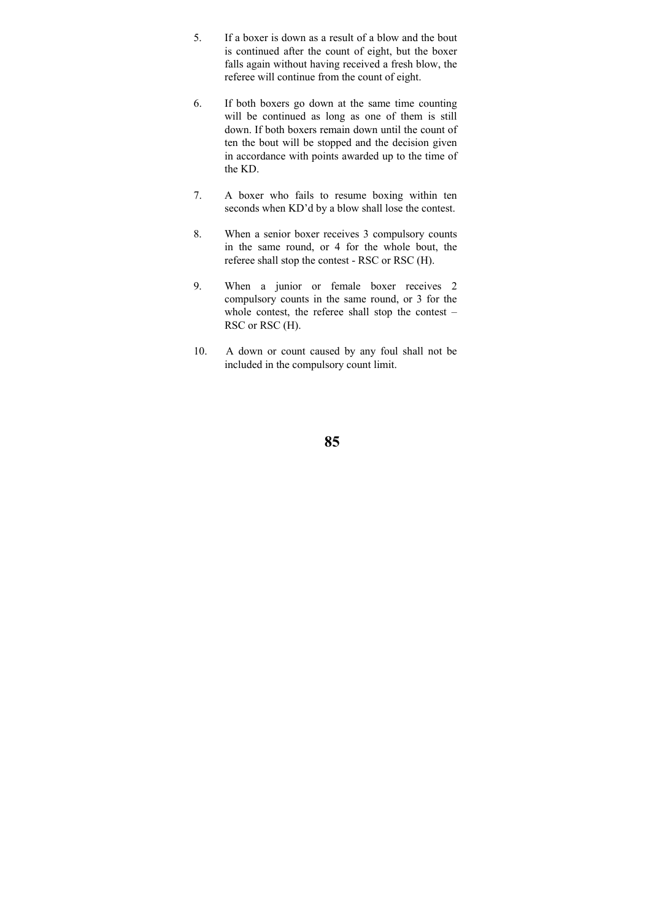- 5. If a boxer is down as a result of a blow and the bout is continued after the count of eight, but the boxer falls again without having received a fresh blow, the referee will continue from the count of eight.
- 6. If both boxers go down at the same time counting will be continued as long as one of them is still down. If both boxers remain down until the count of ten the bout will be stopped and the decision given in accordance with points awarded up to the time of the KD.
- 7. A boxer who fails to resume boxing within ten seconds when KD'd by a blow shall lose the contest.
- 8. When a senior boxer receives 3 compulsory counts in the same round, or 4 for the whole bout, the referee shall stop the contest - RSC or RSC (H).
- 9. When a junior or female boxer receives 2 compulsory counts in the same round, or 3 for the whole contest, the referee shall stop the contest – RSC or RSC (H).
- 10. A down or count caused by any foul shall not be included in the compulsory count limit.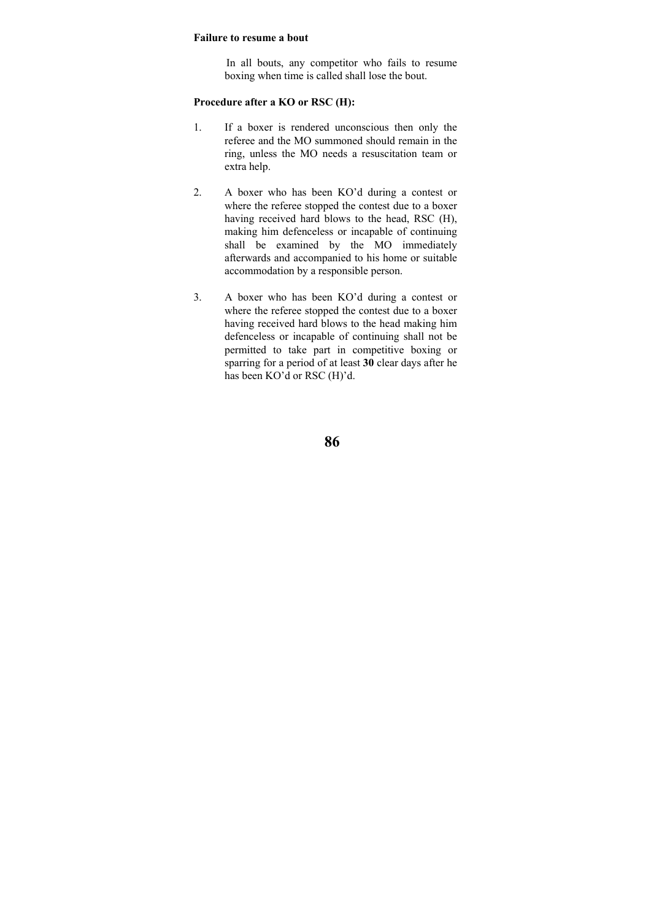#### **Failure to resume a bout**

 In all bouts, any competitor who fails to resume boxing when time is called shall lose the bout.

# **Procedure after a KO or RSC (H):**

- 1. If a boxer is rendered unconscious then only the referee and the MO summoned should remain in the ring, unless the MO needs a resuscitation team or extra help.
- 2. A boxer who has been KO'd during a contest or where the referee stopped the contest due to a boxer having received hard blows to the head, RSC (H), making him defenceless or incapable of continuing shall be examined by the MO immediately afterwards and accompanied to his home or suitable accommodation by a responsible person.
- 3. A boxer who has been KO'd during a contest or where the referee stopped the contest due to a boxer having received hard blows to the head making him defenceless or incapable of continuing shall not be permitted to take part in competitive boxing or sparring for a period of at least **30** clear days after he has been KO'd or RSC (H)'d.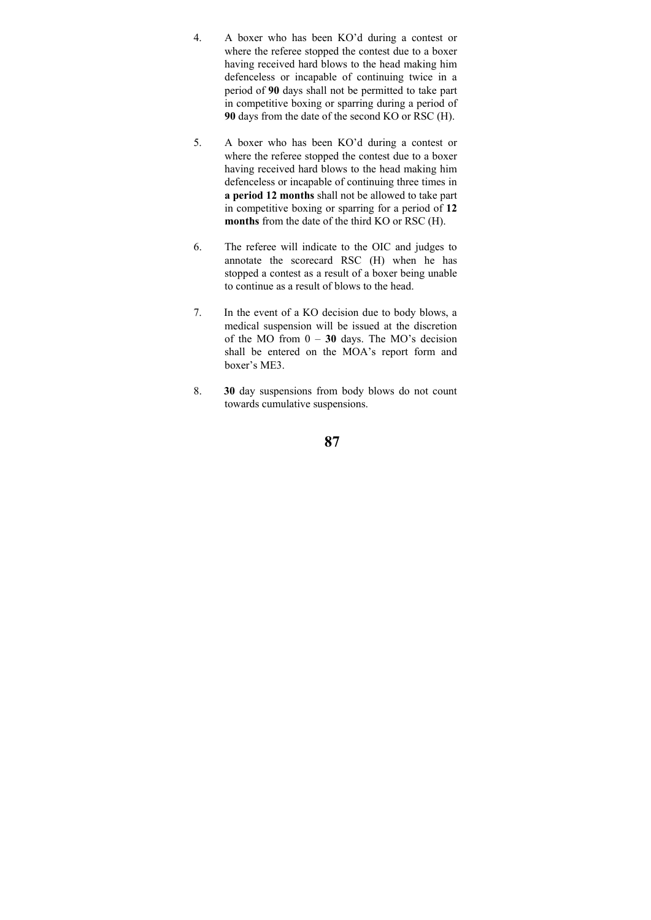- 4. A boxer who has been KO'd during a contest or where the referee stopped the contest due to a boxer having received hard blows to the head making him defenceless or incapable of continuing twice in a period of **90** days shall not be permitted to take part in competitive boxing or sparring during a period of **90** days from the date of the second KO or RSC (H).
- 5. A boxer who has been KO'd during a contest or where the referee stopped the contest due to a boxer having received hard blows to the head making him defenceless or incapable of continuing three times in **a period 12 months** shall not be allowed to take part in competitive boxing or sparring for a period of **12 months** from the date of the third KO or RSC (H).
- 6. The referee will indicate to the OIC and judges to annotate the scorecard RSC (H) when he has stopped a contest as a result of a boxer being unable to continue as a result of blows to the head.
- 7. In the event of a KO decision due to body blows, a medical suspension will be issued at the discretion of the MO from 0 – **30** days. The MO's decision shall be entered on the MOA's report form and boxer's ME3.
- 8. **30** day suspensions from body blows do not count towards cumulative suspensions.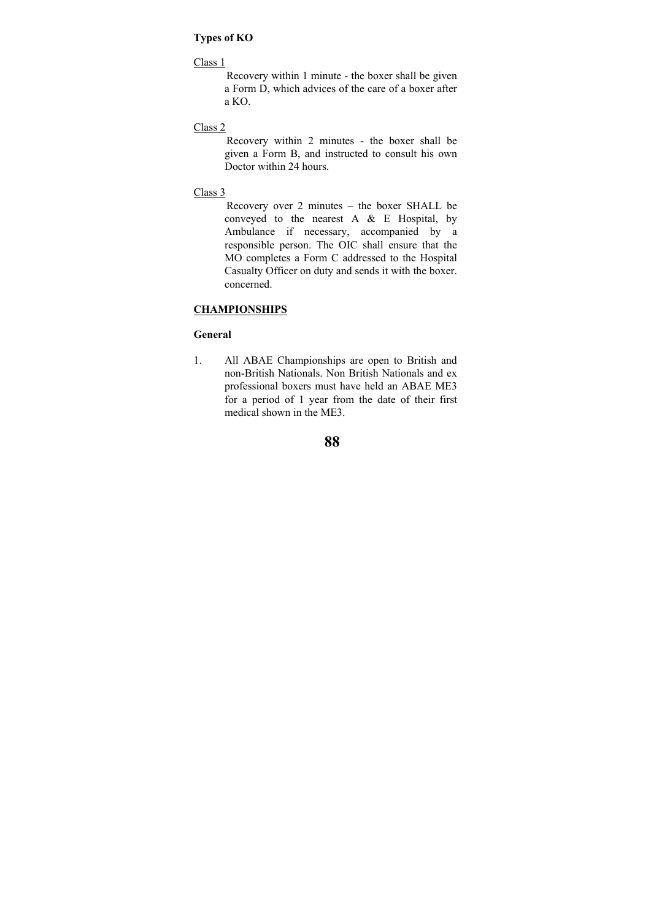# **Types of KO**

### Class 1

 Recovery within 1 minute - the boxer shall be given a Form D, which advices of the care of a boxer after a KO.

# Class 2

 Recovery within 2 minutes - the boxer shall be given a Form B, and instructed to consult his own Doctor within 24 hours.

#### Class 3

 Recovery over 2 minutes – the boxer SHALL be conveyed to the nearest A & E Hospital, by Ambulance if necessary, accompanied by a responsible person. The OIC shall ensure that the MO completes a Form C addressed to the Hospital Casualty Officer on duty and sends it with the boxer. concerned.

# **CHAMPIONSHIPS**

#### **General**

1. All ABAE Championships are open to British and non-British Nationals. Non British Nationals and ex professional boxers must have held an ABAE ME3 for a period of 1 year from the date of their first medical shown in the ME3.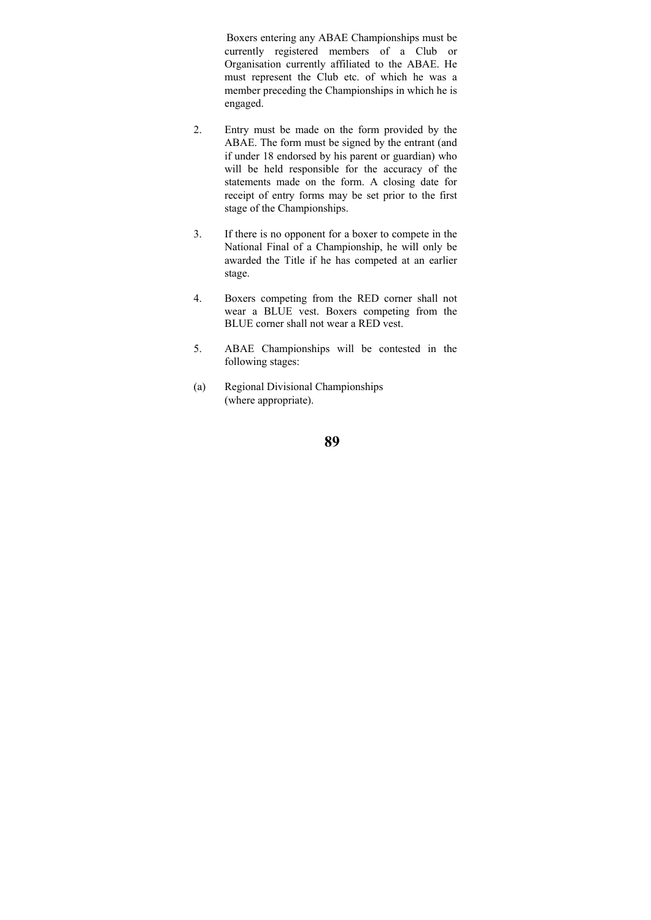Boxers entering any ABAE Championships must be currently registered members of a Club or Organisation currently affiliated to the ABAE. He must represent the Club etc. of which he was a member preceding the Championships in which he is engaged.

- 2. Entry must be made on the form provided by the ABAE. The form must be signed by the entrant (and if under 18 endorsed by his parent or guardian) who will be held responsible for the accuracy of the statements made on the form. A closing date for receipt of entry forms may be set prior to the first stage of the Championships.
- 3. If there is no opponent for a boxer to compete in the National Final of a Championship, he will only be awarded the Title if he has competed at an earlier stage.
- 4. Boxers competing from the RED corner shall not wear a BLUE vest. Boxers competing from the BLUE corner shall not wear a RED vest.
- 5. ABAE Championships will be contested in the following stages:
- (a) Regional Divisional Championships (where appropriate).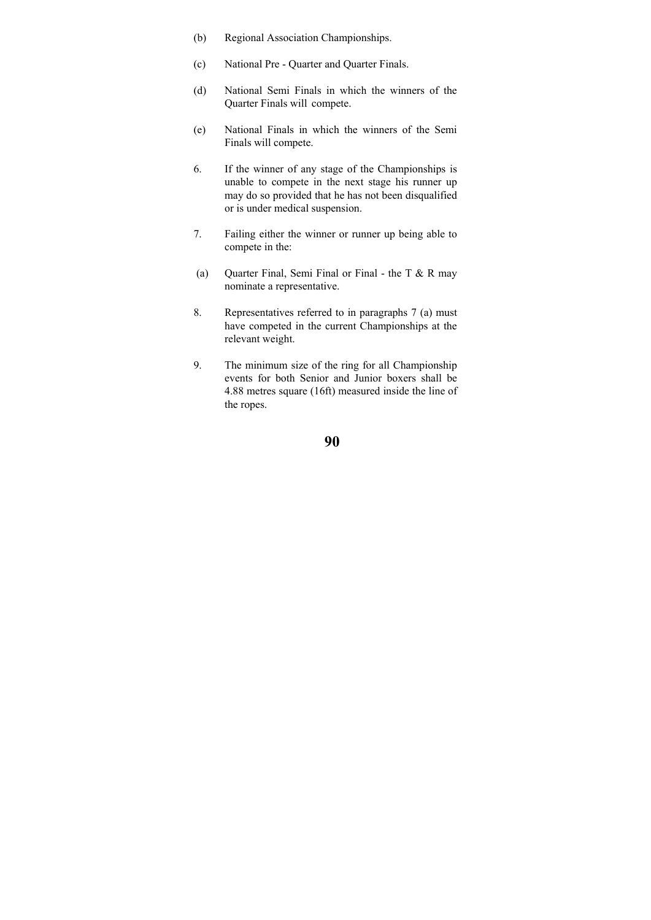- (b) Regional Association Championships.
- (c) National Pre Quarter and Quarter Finals.
- (d) National Semi Finals in which the winners of the Quarter Finals will compete.
- (e) National Finals in which the winners of the Semi Finals will compete.
- 6. If the winner of any stage of the Championships is unable to compete in the next stage his runner up may do so provided that he has not been disqualified or is under medical suspension.
- 7. Failing either the winner or runner up being able to compete in the:
- (a) Quarter Final, Semi Final or Final the T  $&$  R may nominate a representative.
- 8. Representatives referred to in paragraphs 7 (a) must have competed in the current Championships at the relevant weight.
- 9. The minimum size of the ring for all Championship events for both Senior and Junior boxers shall be 4.88 metres square (16ft) measured inside the line of the ropes.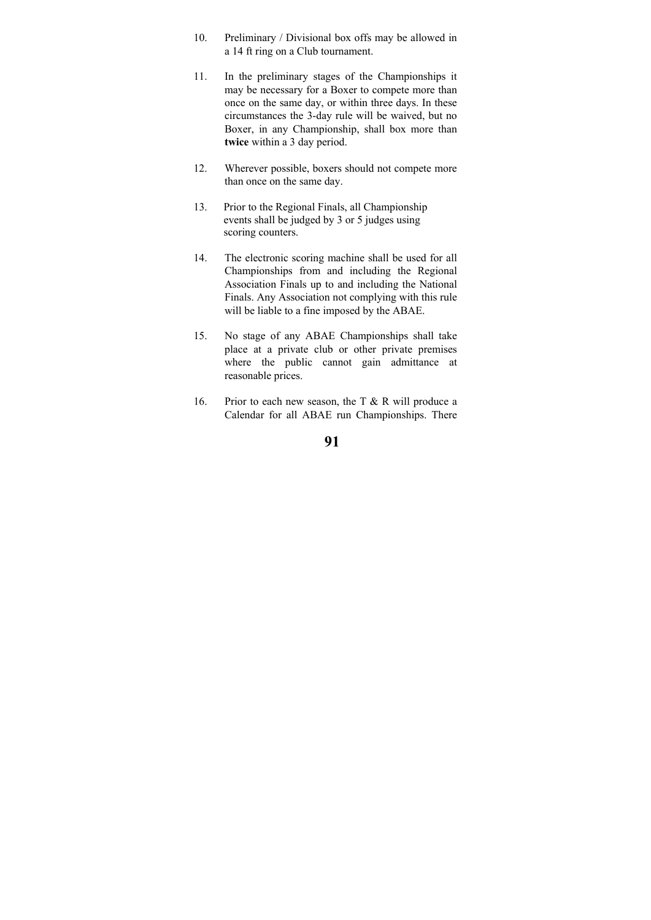- 10. Preliminary / Divisional box offs may be allowed in a 14 ft ring on a Club tournament.
- 11. In the preliminary stages of the Championships it may be necessary for a Boxer to compete more than once on the same day, or within three days. In these circumstances the 3-day rule will be waived, but no Boxer, in any Championship, shall box more than **twice** within a 3 day period.
- 12. Wherever possible, boxers should not compete more than once on the same day.
- 13. Prior to the Regional Finals, all Championship events shall be judged by 3 or 5 judges using scoring counters.
- 14. The electronic scoring machine shall be used for all Championships from and including the Regional Association Finals up to and including the National Finals. Any Association not complying with this rule will be liable to a fine imposed by the ABAE.
- 15. No stage of any ABAE Championships shall take place at a private club or other private premises where the public cannot gain admittance at reasonable prices.
- 16. Prior to each new season, the T  $&$  R will produce a Calendar for all ABAE run Championships. There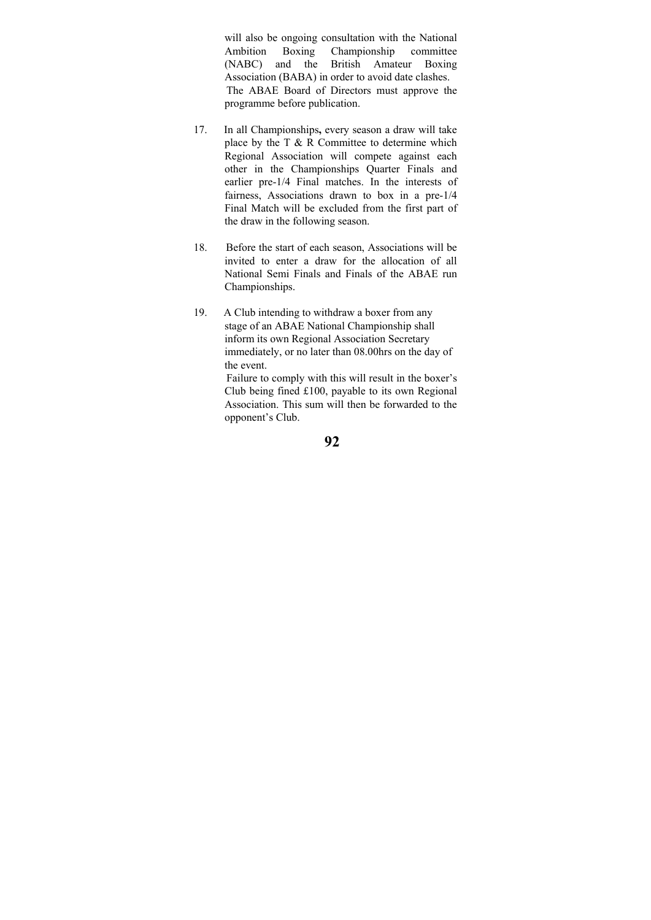will also be ongoing consultation with the National Ambition Boxing Championship committee (NABC) and the British Amateur Boxing Association (BABA) in order to avoid date clashes. The ABAE Board of Directors must approve the programme before publication.

- 17. In all Championships**,** every season a draw will take place by the T  $\&$  R Committee to determine which Regional Association will compete against each other in the Championships Quarter Finals and earlier pre-1/4 Final matches. In the interests of fairness, Associations drawn to box in a pre-1/4 Final Match will be excluded from the first part of the draw in the following season.
- 18. Before the start of each season, Associations will be invited to enter a draw for the allocation of all National Semi Finals and Finals of the ABAE run Championships.
- 19. A Club intending to withdraw a boxer from any stage of an ABAE National Championship shall inform its own Regional Association Secretary immediately, or no later than 08.00hrs on the day of the event.

 Failure to comply with this will result in the boxer's Club being fined £100, payable to its own Regional Association. This sum will then be forwarded to the opponent's Club.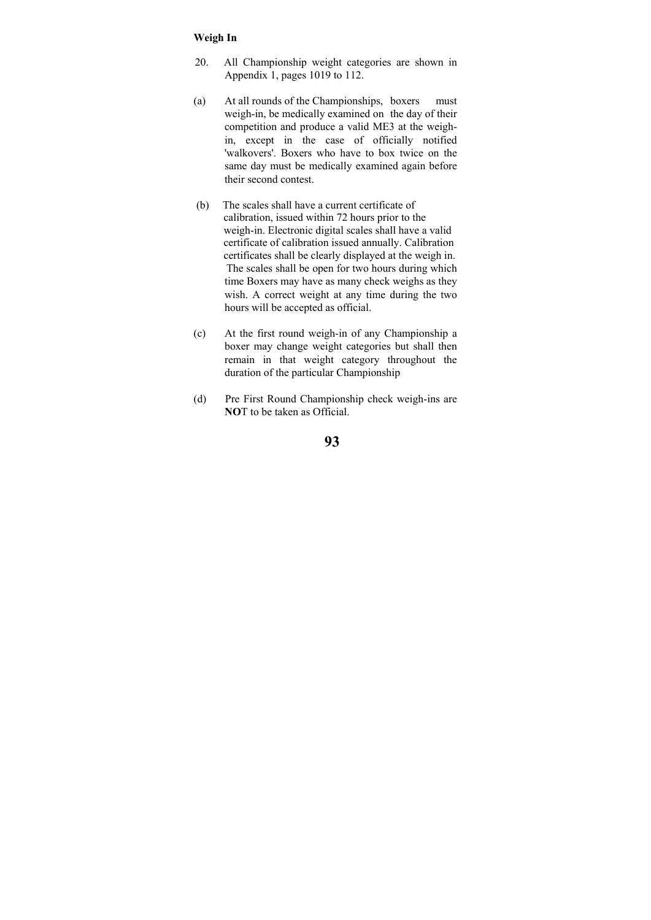### **Weigh In**

- 20. All Championship weight categories are shown in Appendix 1, pages 1019 to 112.
- (a) At all rounds of the Championships, boxers must weigh-in, be medically examined on the day of their competition and produce a valid ME3 at the weighin, except in the case of officially notified 'walkovers'. Boxers who have to box twice on the same day must be medically examined again before their second contest.
- (b) The scales shall have a current certificate of calibration, issued within 72 hours prior to the weigh-in. Electronic digital scales shall have a valid certificate of calibration issued annually. Calibration certificates shall be clearly displayed at the weigh in. The scales shall be open for two hours during which time Boxers may have as many check weighs as they wish. A correct weight at any time during the two hours will be accepted as official.
- (c) At the first round weigh-in of any Championship a boxer may change weight categories but shall then remain in that weight category throughout the duration of the particular Championship
- (d) Pre First Round Championship check weigh-ins are **NO**T to be taken as Official.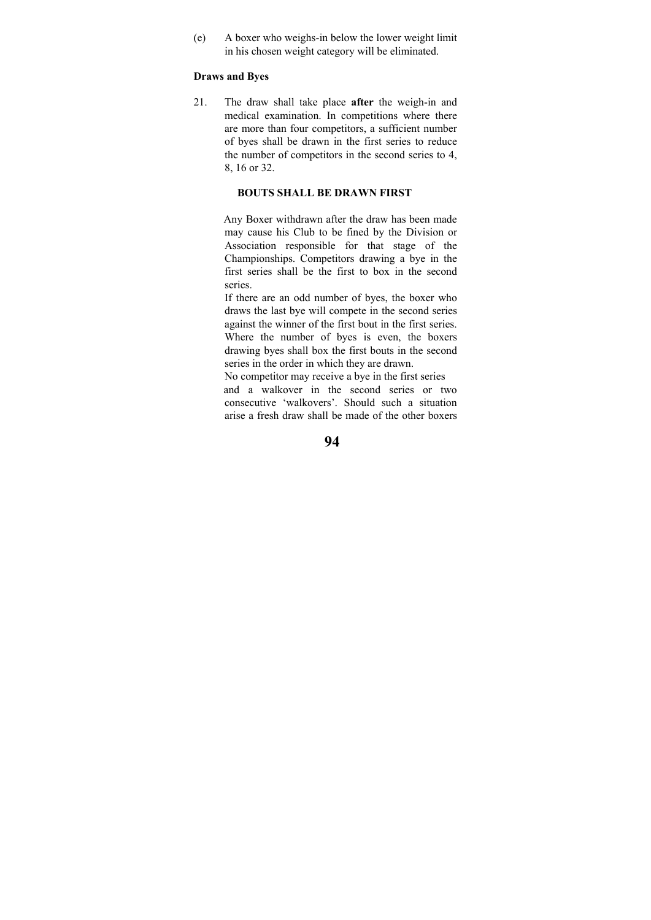(e) A boxer who weighs-in below the lower weight limit in his chosen weight category will be eliminated.

### **Draws and Byes**

21. The draw shall take place **after** the weigh-in and medical examination. In competitions where there are more than four competitors, a sufficient number of byes shall be drawn in the first series to reduce the number of competitors in the second series to 4, 8, 16 or 32.

#### **BOUTS SHALL BE DRAWN FIRST**

 Any Boxer withdrawn after the draw has been made may cause his Club to be fined by the Division or Association responsible for that stage of the Championships. Competitors drawing a bye in the first series shall be the first to box in the second series.

 If there are an odd number of byes, the boxer who draws the last bye will compete in the second series against the winner of the first bout in the first series. Where the number of byes is even, the boxers drawing byes shall box the first bouts in the second series in the order in which they are drawn.

 No competitor may receive a bye in the first series and a walkover in the second series or two consecutive 'walkovers'. Should such a situation arise a fresh draw shall be made of the other boxers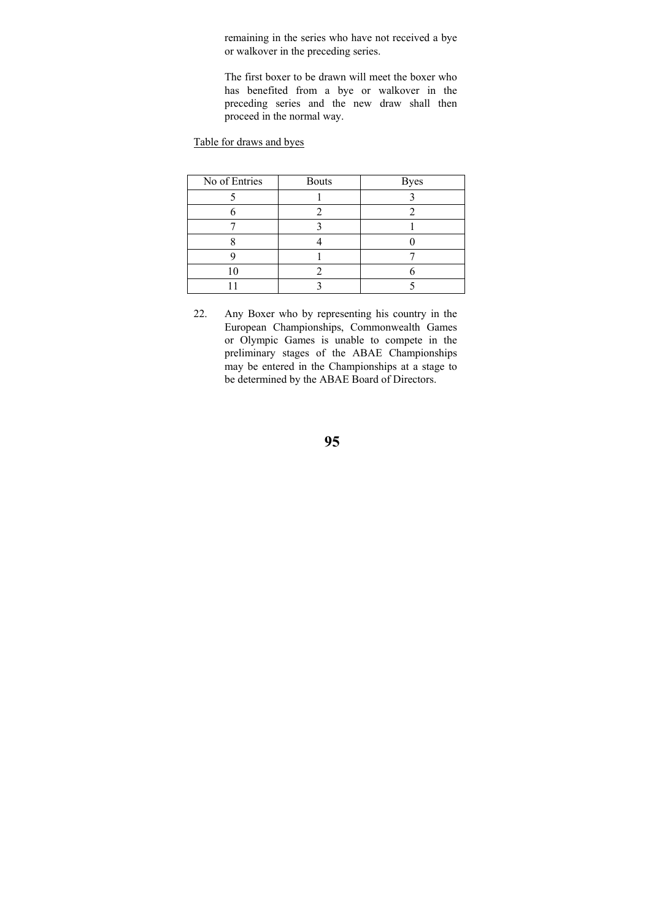remaining in the series who have not received a bye or walkover in the preceding series.

 The first boxer to be drawn will meet the boxer who has benefited from a bye or walkover in the preceding series and the new draw shall then proceed in the normal way.

Table for draws and byes

| No of Entries | <b>Bouts</b> | <b>Byes</b> |
|---------------|--------------|-------------|
|               |              |             |
|               |              |             |
|               |              |             |
|               |              |             |
|               |              |             |
|               |              |             |
|               |              |             |

22. Any Boxer who by representing his country in the European Championships, Commonwealth Games or Olympic Games is unable to compete in the preliminary stages of the ABAE Championships may be entered in the Championships at a stage to be determined by the ABAE Board of Directors.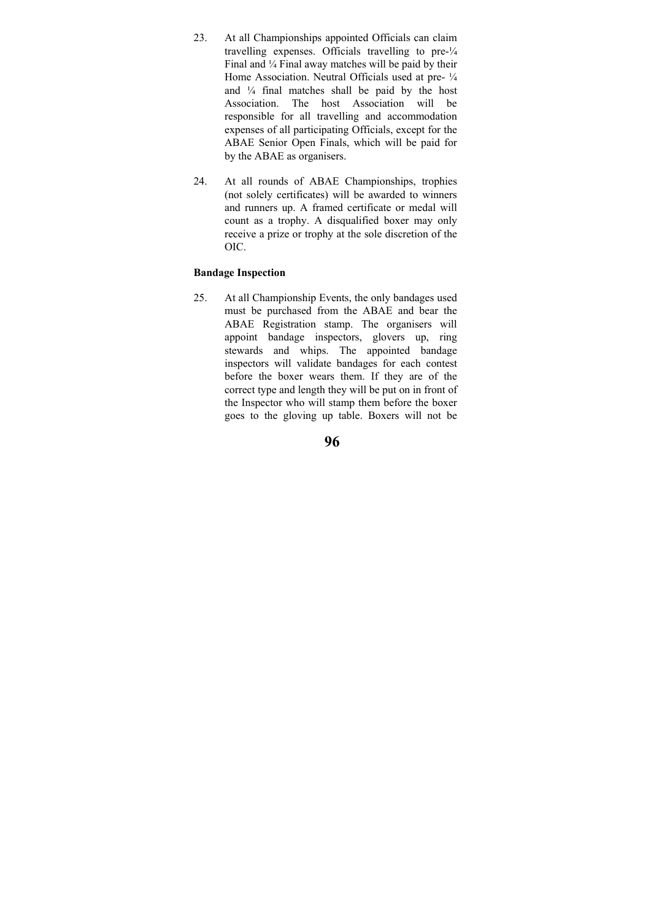- 23. At all Championships appointed Officials can claim travelling expenses. Officials travelling to pre-¼ Final and  $\frac{1}{4}$  Final away matches will be paid by their Home Association. Neutral Officials used at pre-  $\frac{1}{4}$ and ¼ final matches shall be paid by the host Association. The host Association will be responsible for all travelling and accommodation expenses of all participating Officials, except for the ABAE Senior Open Finals, which will be paid for by the ABAE as organisers.
- 24. At all rounds of ABAE Championships, trophies (not solely certificates) will be awarded to winners and runners up. A framed certificate or medal will count as a trophy. A disqualified boxer may only receive a prize or trophy at the sole discretion of the OIC.

### **Bandage Inspection**

25. At all Championship Events, the only bandages used must be purchased from the ABAE and bear the ABAE Registration stamp. The organisers will appoint bandage inspectors, glovers up, ring stewards and whips. The appointed bandage inspectors will validate bandages for each contest before the boxer wears them. If they are of the correct type and length they will be put on in front of the Inspector who will stamp them before the boxer goes to the gloving up table. Boxers will not be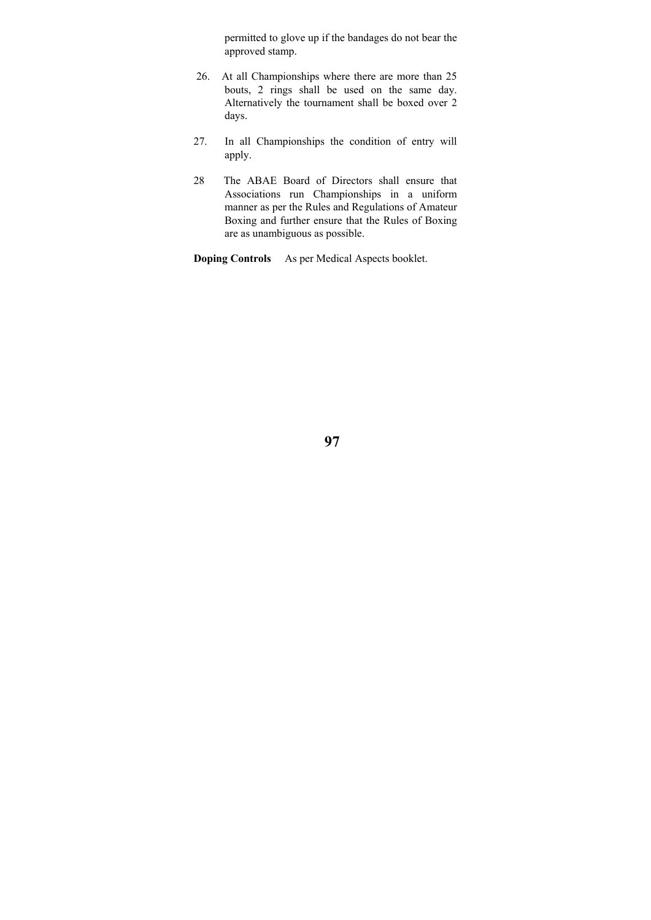permitted to glove up if the bandages do not bear the approved stamp.

- 26. At all Championships where there are more than 25 bouts, 2 rings shall be used on the same day. Alternatively the tournament shall be boxed over 2 days.
- 27. In all Championships the condition of entry will apply.
- 28 The ABAE Board of Directors shall ensure that Associations run Championships in a uniform manner as per the Rules and Regulations of Amateur Boxing and further ensure that the Rules of Boxing are as unambiguous as possible.

**Doping Controls** As per Medical Aspects booklet.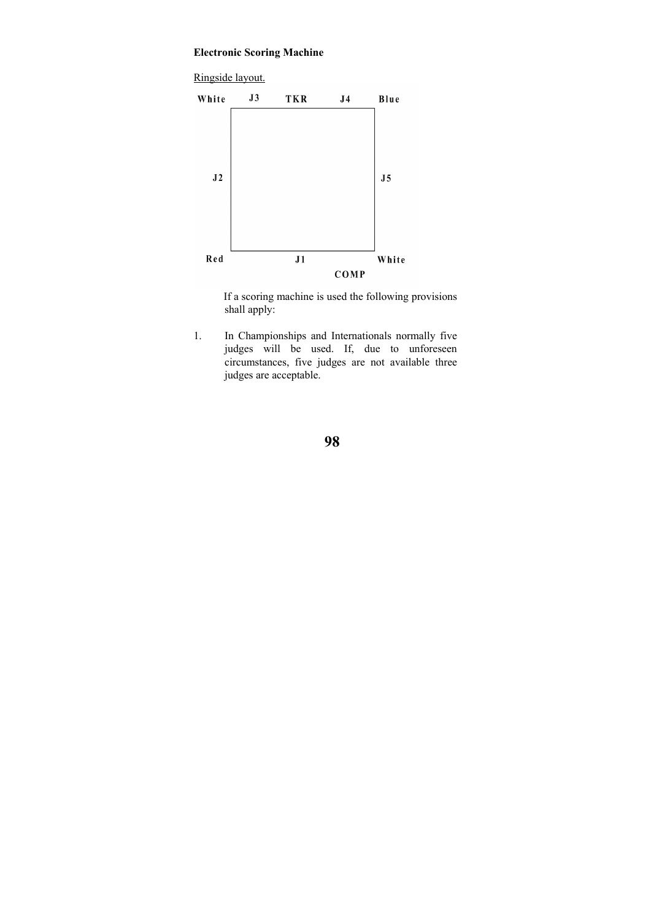# **Electronic Scoring Machine**



 If a scoring machine is used the following provisions shall apply:

1. In Championships and Internationals normally five judges will be used. If, due to unforeseen circumstances, five judges are not available three judges are acceptable.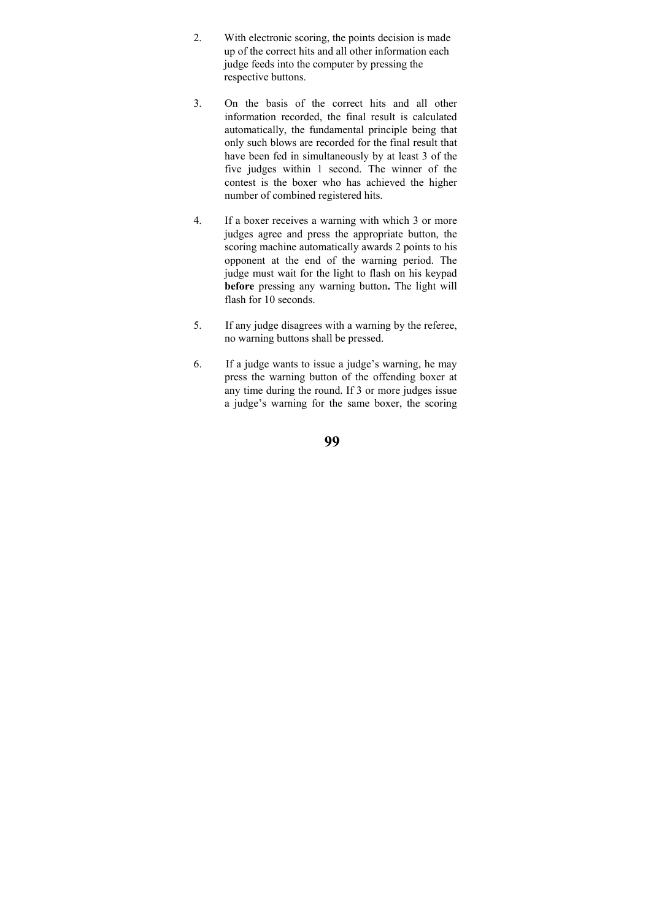- 2. With electronic scoring, the points decision is made up of the correct hits and all other information each judge feeds into the computer by pressing the respective buttons.
- 3. On the basis of the correct hits and all other information recorded, the final result is calculated automatically, the fundamental principle being that only such blows are recorded for the final result that have been fed in simultaneously by at least 3 of the five judges within 1 second. The winner of the contest is the boxer who has achieved the higher number of combined registered hits.
- 4. If a boxer receives a warning with which 3 or more judges agree and press the appropriate button, the scoring machine automatically awards 2 points to his opponent at the end of the warning period. The judge must wait for the light to flash on his keypad **before** pressing any warning button**.** The light will flash for 10 seconds.
- 5. If any judge disagrees with a warning by the referee, no warning buttons shall be pressed.
- 6. If a judge wants to issue a judge's warning, he may press the warning button of the offending boxer at any time during the round. If 3 or more judges issue a judge's warning for the same boxer, the scoring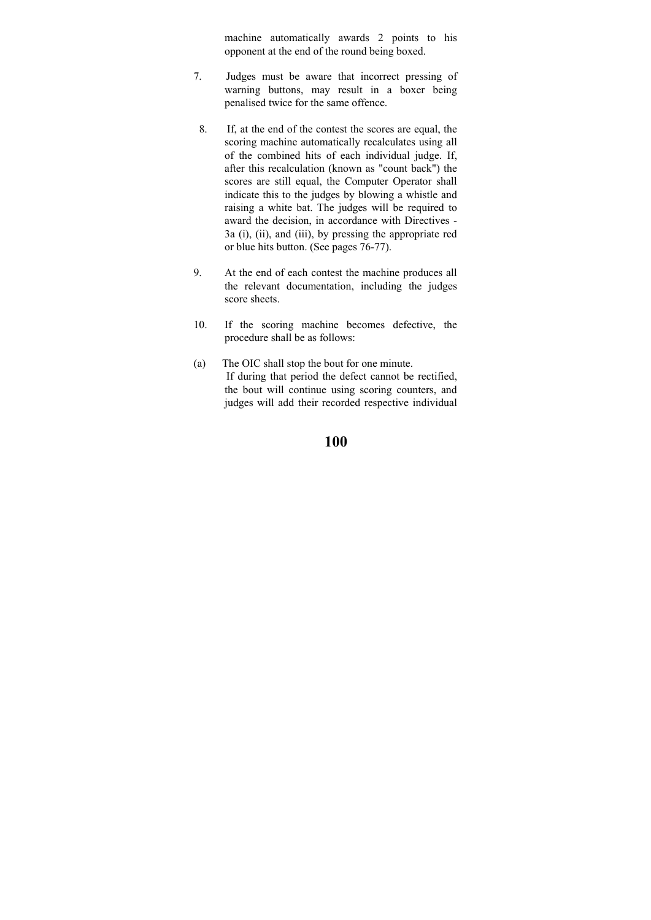machine automatically awards 2 points to his opponent at the end of the round being boxed.

- 7. Judges must be aware that incorrect pressing of warning buttons, may result in a boxer being penalised twice for the same offence.
- 8. If, at the end of the contest the scores are equal, the scoring machine automatically recalculates using all of the combined hits of each individual judge. If, after this recalculation (known as "count back") the scores are still equal, the Computer Operator shall indicate this to the judges by blowing a whistle and raising a white bat. The judges will be required to award the decision, in accordance with Directives - 3a (i), (ii), and (iii), by pressing the appropriate red or blue hits button. (See pages 76-77).
- 9. At the end of each contest the machine produces all the relevant documentation, including the judges score sheets.
- 10. If the scoring machine becomes defective, the procedure shall be as follows:
- (a) The OIC shall stop the bout for one minute. If during that period the defect cannot be rectified, the bout will continue using scoring counters, and judges will add their recorded respective individual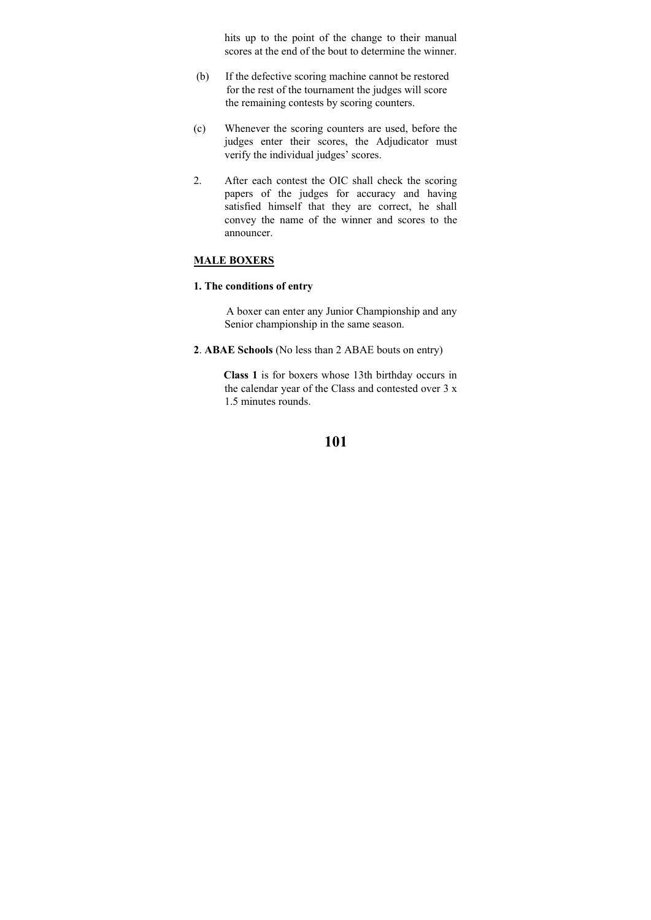hits up to the point of the change to their manual scores at the end of the bout to determine the winner.

- (b) If the defective scoring machine cannot be restored for the rest of the tournament the judges will score the remaining contests by scoring counters.
- (c) Whenever the scoring counters are used, before the judges enter their scores, the Adjudicator must verify the individual judges' scores.
- 2. After each contest the OIC shall check the scoring papers of the judges for accuracy and having satisfied himself that they are correct, he shall convey the name of the winner and scores to the announcer.

# **MALE BOXERS**

### **1. The conditions of entry**

 A boxer can enter any Junior Championship and any Senior championship in the same season.

**2**. **ABAE Schools** (No less than 2 ABAE bouts on entry)

 **Class 1** is for boxers whose 13th birthday occurs in the calendar year of the Class and contested over 3 x 1.5 minutes rounds.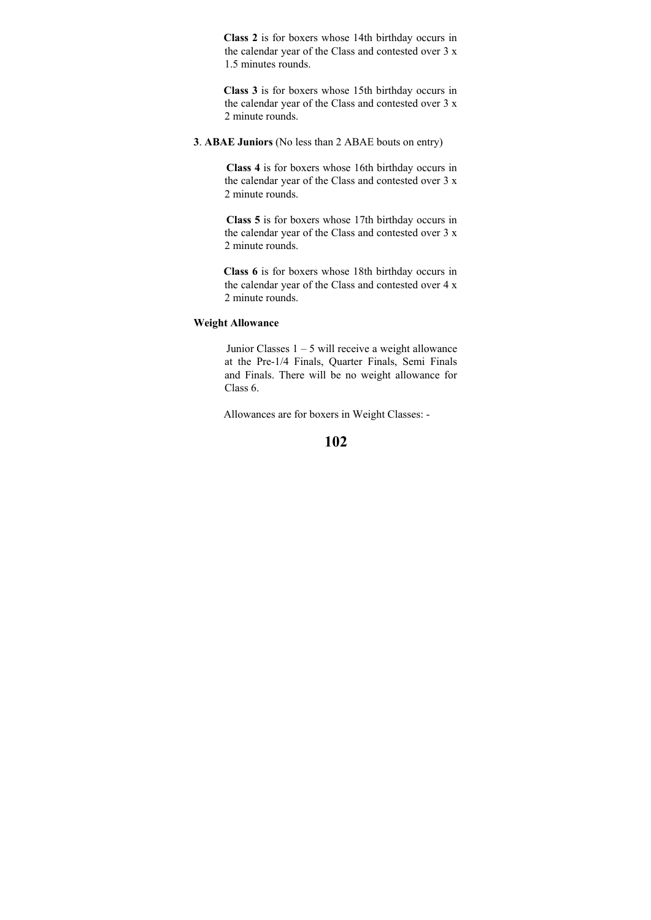**Class 2** is for boxers whose 14th birthday occurs in the calendar year of the Class and contested over 3 x 1.5 minutes rounds.

 **Class 3** is for boxers whose 15th birthday occurs in the calendar year of the Class and contested over 3 x 2 minute rounds.

**3**. **ABAE Juniors** (No less than 2 ABAE bouts on entry)

 **Class 4** is for boxers whose 16th birthday occurs in the calendar year of the Class and contested over 3 x 2 minute rounds.

 **Class 5** is for boxers whose 17th birthday occurs in the calendar year of the Class and contested over 3 x 2 minute rounds.

 **Class 6** is for boxers whose 18th birthday occurs in the calendar year of the Class and contested over 4 x 2 minute rounds.

### **Weight Allowance**

 Junior Classes 1 – 5 will receive a weight allowance at the Pre-1/4 Finals, Quarter Finals, Semi Finals and Finals. There will be no weight allowance for Class 6.

Allowances are for boxers in Weight Classes: -

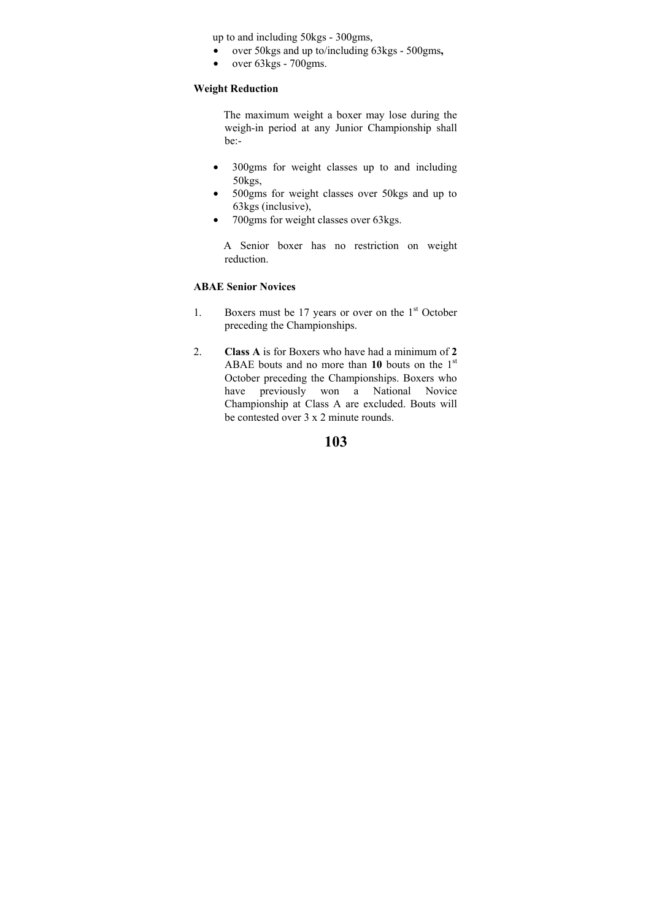up to and including 50kgs - 300gms,

- over 50kgs and up to/including 63kgs 500gms**,**
- over 63kgs 700gms.

### **Weight Reduction**

 The maximum weight a boxer may lose during the weigh-in period at any Junior Championship shall be:-

- 300gms for weight classes up to and including 50kgs,
- 500gms for weight classes over 50kgs and up to 63kgs (inclusive),
- 700gms for weight classes over 63kgs.

 A Senior boxer has no restriction on weight reduction.

# **ABAE Senior Novices**

- 1. Boxers must be 17 years or over on the  $1<sup>st</sup>$  October preceding the Championships.
- 2. **Class A** is for Boxers who have had a minimum of **2** ABAE bouts and no more than **10** bouts on the 1st October preceding the Championships. Boxers who have previously won a National Novice Championship at Class A are excluded. Bouts will be contested over 3 x 2 minute rounds.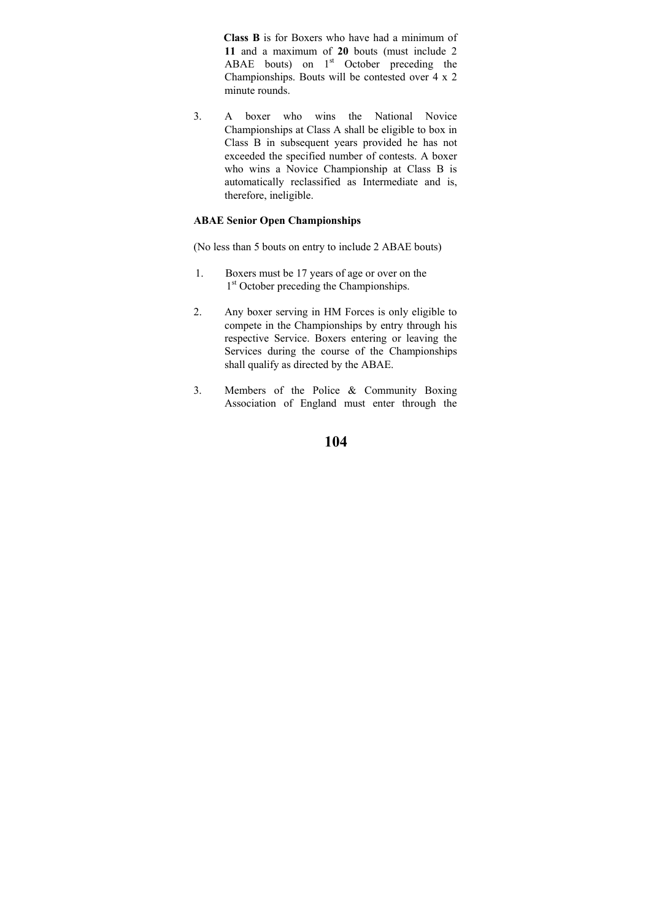**Class B** is for Boxers who have had a minimum of **11** and a maximum of **20** bouts (must include 2 ABAE bouts) on  $1<sup>st</sup>$  October preceding the Championships. Bouts will be contested over 4 x 2 minute rounds.

3. A boxer who wins the National Novice Championships at Class A shall be eligible to box in Class B in subsequent years provided he has not exceeded the specified number of contests. A boxer who wins a Novice Championship at Class B is automatically reclassified as Intermediate and is, therefore, ineligible.

### **ABAE Senior Open Championships**

(No less than 5 bouts on entry to include 2 ABAE bouts)

- 1. Boxers must be 17 years of age or over on the 1<sup>st</sup> October preceding the Championships.
- 2. Any boxer serving in HM Forces is only eligible to compete in the Championships by entry through his respective Service. Boxers entering or leaving the Services during the course of the Championships shall qualify as directed by the ABAE.
- 3. Members of the Police & Community Boxing Association of England must enter through the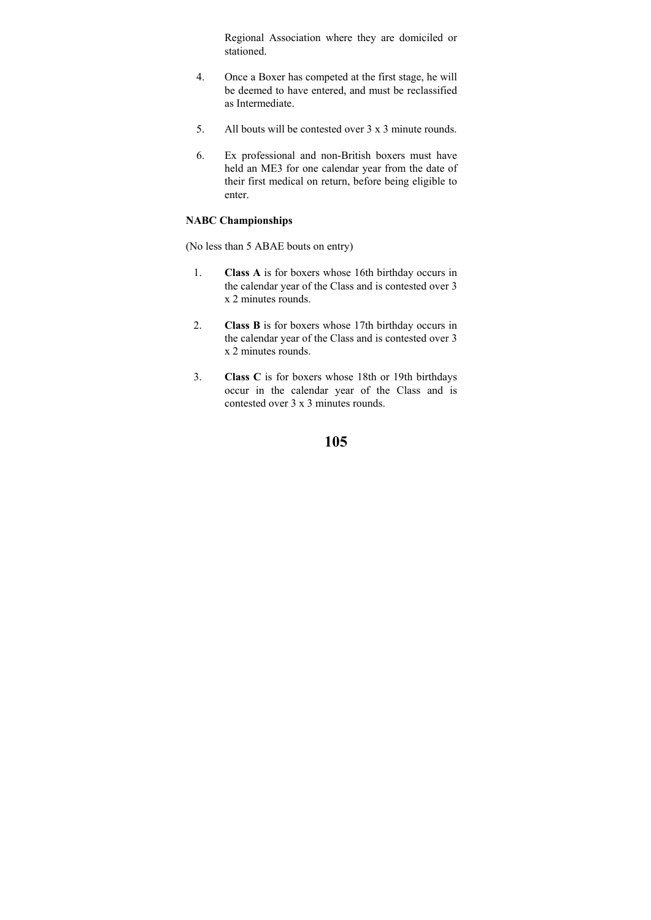Regional Association where they are domiciled or stationed.

- 4. Once a Boxer has competed at the first stage, he will be deemed to have entered, and must be reclassified as Intermediate.
- 5. All bouts will be contested over 3 x 3 minute rounds.
- 6. Ex professional and non-British boxers must have held an ME3 for one calendar year from the date of their first medical on return, before being eligible to enter.

### **NABC Championships**

(No less than 5 ABAE bouts on entry)

- 1. **Class A** is for boxers whose 16th birthday occurs in the calendar year of the Class and is contested over 3 x 2 minutes rounds.
- 2. **Class B** is for boxers whose 17th birthday occurs in the calendar year of the Class and is contested over 3 x 2 minutes rounds.
- 3. **Class C** is for boxers whose 18th or 19th birthdays occur in the calendar year of the Class and is contested over 3 x 3 minutes rounds.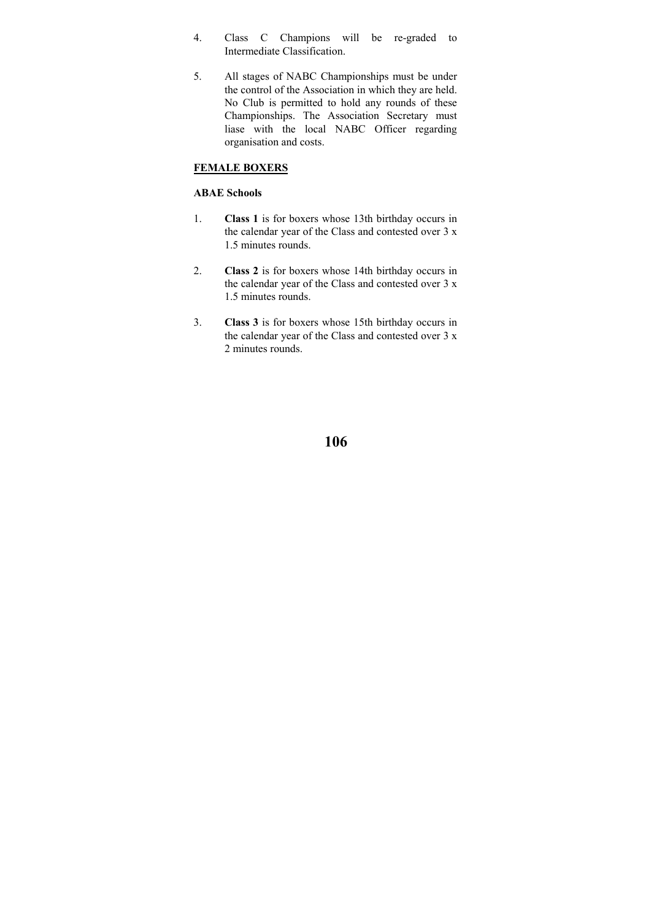- 4. Class C Champions will be re-graded to Intermediate Classification.
- 5. All stages of NABC Championships must be under the control of the Association in which they are held. No Club is permitted to hold any rounds of these Championships. The Association Secretary must liase with the local NABC Officer regarding organisation and costs.

# **FEMALE BOXERS**

# **ABAE Schools**

- 1. **Class 1** is for boxers whose 13th birthday occurs in the calendar year of the Class and contested over 3 x 1.5 minutes rounds.
- 2. **Class 2** is for boxers whose 14th birthday occurs in the calendar year of the Class and contested over 3 x 1.5 minutes rounds.
- 3. **Class 3** is for boxers whose 15th birthday occurs in the calendar year of the Class and contested over 3 x 2 minutes rounds.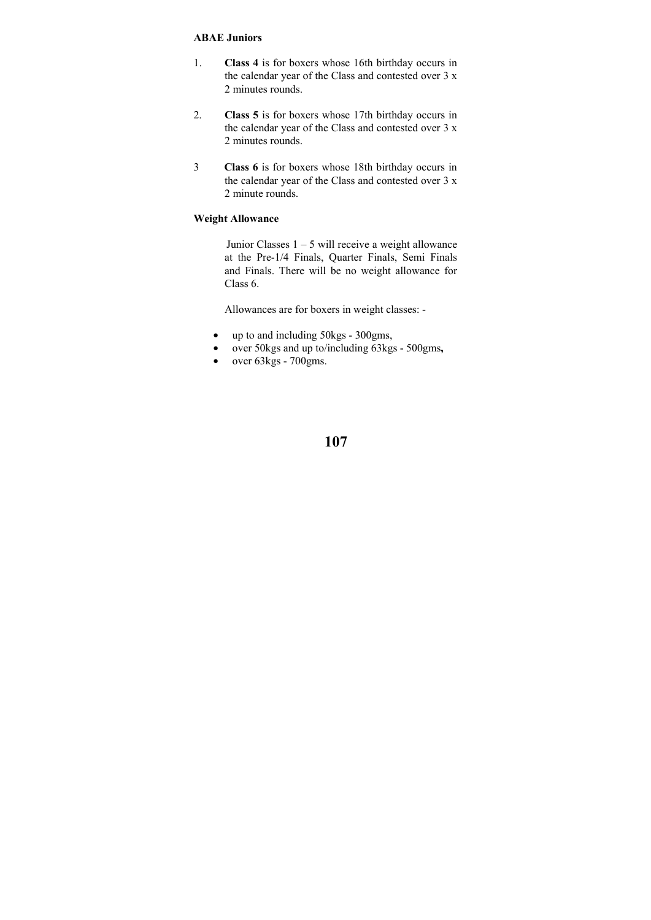#### **ABAE Juniors**

- 1. **Class 4** is for boxers whose 16th birthday occurs in the calendar year of the Class and contested over 3 x 2 minutes rounds.
- 2. **Class 5** is for boxers whose 17th birthday occurs in the calendar year of the Class and contested over 3 x 2 minutes rounds.
- 3 **Class 6** is for boxers whose 18th birthday occurs in the calendar year of the Class and contested over 3 x 2 minute rounds.

### **Weight Allowance**

 Junior Classes 1 – 5 will receive a weight allowance at the Pre-1/4 Finals, Quarter Finals, Semi Finals and Finals. There will be no weight allowance for Class 6.

Allowances are for boxers in weight classes: -

- up to and including 50kgs 300gms,
- over 50kgs and up to/including 63kgs 500gms**,**
- over  $63\text{kgs}$   $700\text{gms}$ .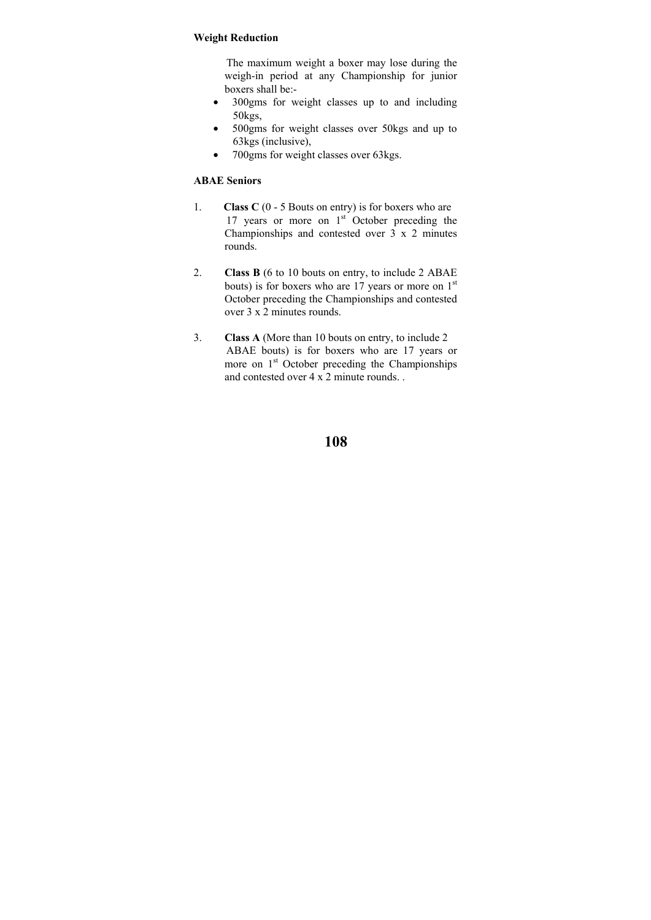### **Weight Reduction**

 The maximum weight a boxer may lose during the weigh-in period at any Championship for junior boxers shall be:-

- 300gms for weight classes up to and including 50kgs,
- 500gms for weight classes over 50kgs and up to 63kgs (inclusive),
- 700gms for weight classes over 63kgs.

### **ABAE Seniors**

- 1. **Class C** (0 5 Bouts on entry) is for boxers who are 17 years or more on  $1<sup>st</sup>$  October preceding the Championships and contested over 3 x 2 minutes rounds.
- 2. **Class B** (6 to 10 bouts on entry, to include 2 ABAE bouts) is for boxers who are 17 years or more on  $1<sup>st</sup>$ October preceding the Championships and contested over 3 x 2 minutes rounds.
- 3. **Class A** (More than 10 bouts on entry, to include 2 ABAE bouts) is for boxers who are 17 years or more on 1<sup>st</sup> October preceding the Championships and contested over 4 x 2 minute rounds. .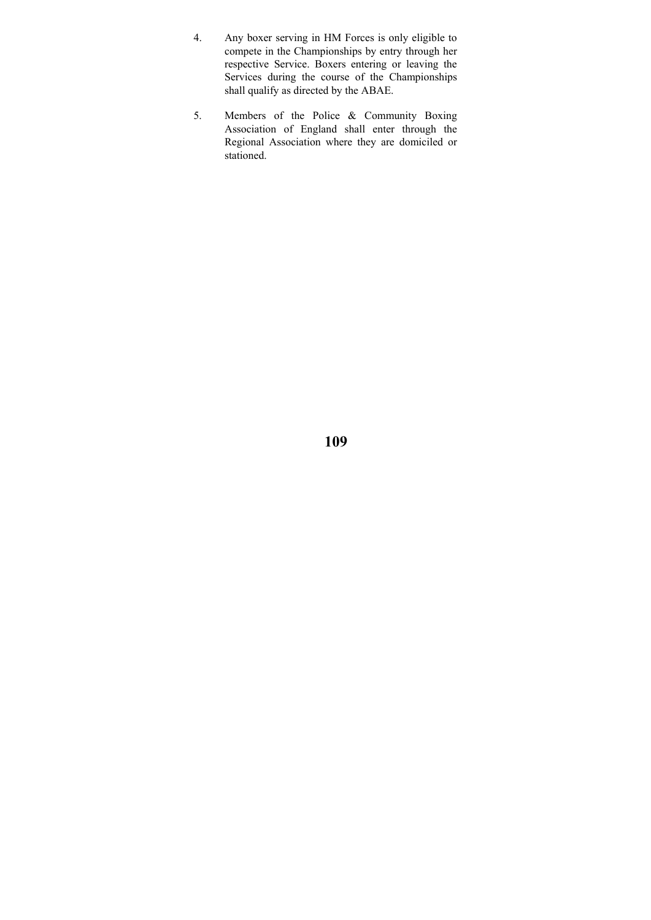- 4. Any boxer serving in HM Forces is only eligible to compete in the Championships by entry through her respective Service. Boxers entering or leaving the Services during the course of the Championships shall qualify as directed by the ABAE.
- 5. Members of the Police & Community Boxing Association of England shall enter through the Regional Association where they are domiciled or stationed.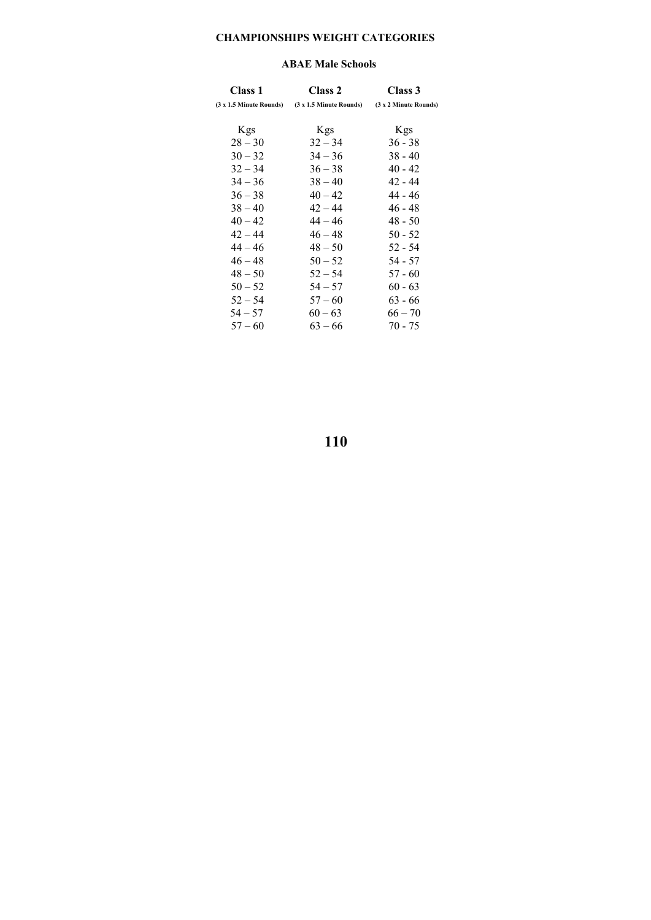## **CHAMPIONSHIPS WEIGHT CATEGORIES**

#### **ABAE Male Schools**

| Class 1   | Class 2                                                                                       | Class 3    |
|-----------|-----------------------------------------------------------------------------------------------|------------|
|           | $(3 \times 1.5)$ Minute Rounds) $(3 \times 1.5)$ Minute Rounds) $(3 \times 2)$ Minute Rounds) |            |
| Kgs       | Kgs                                                                                           | <b>Kgs</b> |
| $28 - 30$ | $32 - 34$                                                                                     | $36 - 38$  |
| $30 - 32$ | $34 - 36$                                                                                     | $38 - 40$  |
| $32 - 34$ | $36 - 38$                                                                                     | $40 - 42$  |
| $34 - 36$ | $38 - 40$                                                                                     | 42 - 44    |
| $36 - 38$ | $40 - 42$                                                                                     | $44 - 46$  |
| $38 - 40$ | $42 - 44$                                                                                     | $46 - 48$  |
| $40 - 42$ | $44 - 46$                                                                                     | $48 - 50$  |
| $42 - 44$ | $46 - 48$                                                                                     | $50 - 52$  |
| $44 - 46$ | $48 - 50$                                                                                     | $52 - 54$  |
| $46 - 48$ | $50 - 52$                                                                                     | 54 - 57    |
| $48 - 50$ | $52 - 54$                                                                                     | $57 - 60$  |
| $50 - 52$ | $54 - 57$                                                                                     | $60 - 63$  |
| $52 - 54$ | $57 - 60$                                                                                     | $63 - 66$  |
| $54 - 57$ | $60 - 63$                                                                                     | $66 - 70$  |
| $57 - 60$ | $63 - 66$                                                                                     | $70 - 75$  |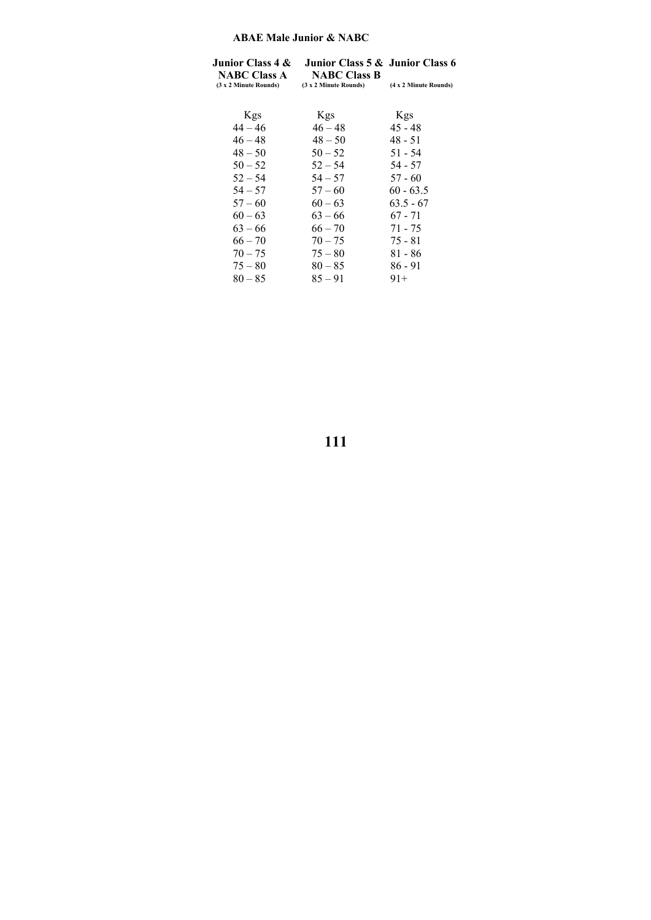### **ABAE Male Junior & NABC**

| Junior Class 4 &<br><b>NABC Class A</b> | Junior Class 5 & Junior Class 6<br><b>NABC Class B</b> |                       |
|-----------------------------------------|--------------------------------------------------------|-----------------------|
| (3 x 2 Minute Rounds)                   | (3 x 2 Minute Rounds)                                  | (4 x 2 Minute Rounds) |
|                                         |                                                        |                       |
| Kgs<br>$44 - 46$                        | Kgs<br>$46 - 48$                                       | Kgs<br>$45 - 48$      |
|                                         |                                                        |                       |
| $46 - 48$                               | $48 - 50$                                              | $48 - 51$             |
| $48 - 50$                               | $50 - 52$                                              | $51 - 54$             |
| $50 - 52$                               | $52 - 54$                                              | $54 - 57$             |
| $52 - 54$                               | $54 - 57$                                              | $57 - 60$             |
| $54 - 57$                               | $57 - 60$                                              | $60 - 63.5$           |
| $57 - 60$                               | $60 - 63$                                              | $63.5 - 67$           |
| $60 - 63$                               | $63 - 66$                                              | $67 - 71$             |
| $63 - 66$                               | $66 - 70$                                              | 71 - 75               |
| $66 - 70$                               | $70 - 75$                                              | $75 - 81$             |
| $70 - 75$                               | $75 - 80$                                              | $81 - 86$             |
| $75 - 80$                               | $80 - 85$                                              | 86 - 91               |
| $80 - 85$                               | $85 - 91$                                              | $91+$                 |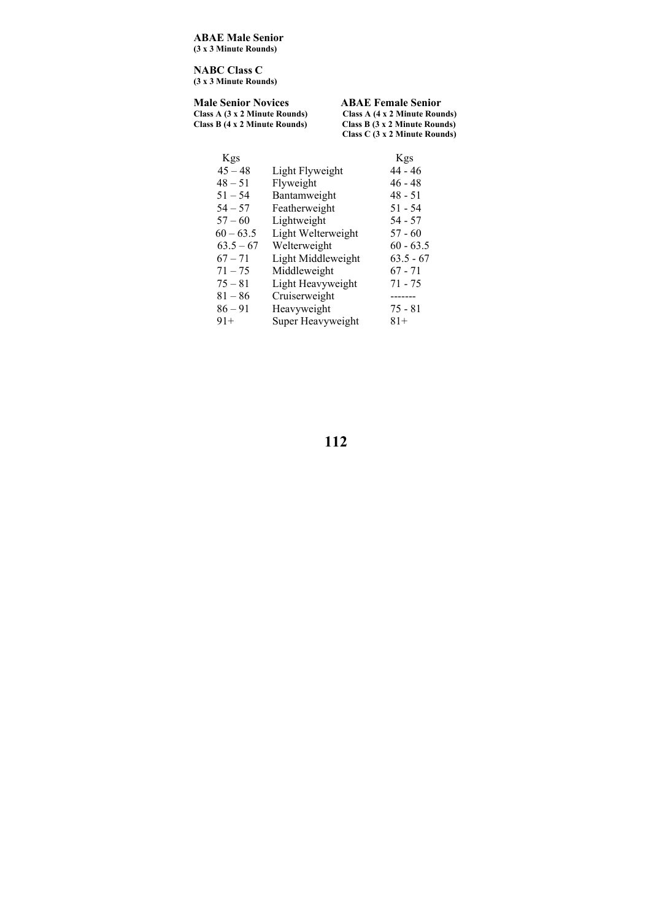**ABAE Male Senior (3 x 3 Minute Rounds)** 

**NABC Class C (3 x 3 Minute Rounds)** 

#### **Male Senior Novices ABAE Female Senior**<br>Class A (3 x 2 Minute Rounds) Class A (4 x 2 Minute Rounds) <br>Class B (3 x 2 Minute Rounds) Class B (3 x 2 Minute Roun **Class A (3 x 2 Minute Rounds) Class A (4 x 2 Minute Rounds) Class B (4 x 2 Minute Rounds) Class B (3 x 2 Minute Rounds) Class C (3 x 2 Minute Rounds)**

| Kgs         |                    | Kgs         |
|-------------|--------------------|-------------|
| $45 - 48$   | Light Flyweight    | 44 - 46     |
| $48 - 51$   | Flyweight          | 46 - 48     |
| $51 - 54$   | Bantamweight       | $48 - 51$   |
| $54 - 57$   | Featherweight      | $51 - 54$   |
| $57 - 60$   | Lightweight        | $54 - 57$   |
| $60 - 63.5$ | Light Welterweight | $57 - 60$   |
| $63.5 - 67$ | Welterweight       | $60 - 63.5$ |
| $67 - 71$   | Light Middleweight | $63.5 - 67$ |
| $71 - 75$   | Middleweight       | $67 - 71$   |
| $75 - 81$   | Light Heavyweight  | $71 - 75$   |
| $81 - 86$   | Cruiserweight      | -------     |
| $86 - 91$   | Heavyweight        | 75 - 81     |
| $91+$       | Super Heavyweight  | $81+$       |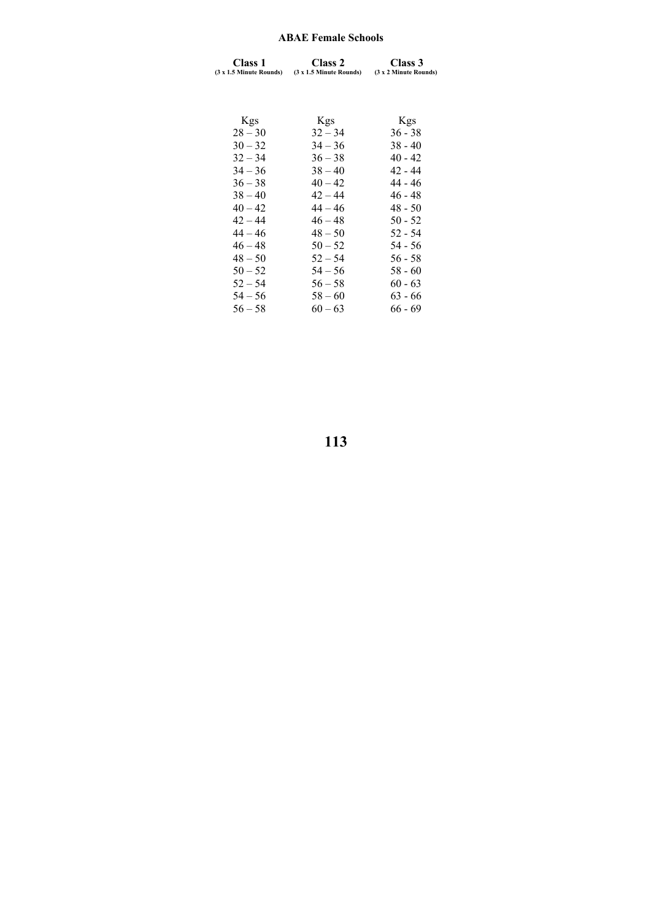### **ABAE Female Schools**

| <b>Class 1</b><br>(3 x 1.5 Minute Rounds) | Class 2<br>(3 x 1.5 Minute Rounds) | Class 3<br>(3 x 2 Minute Rounds) |
|-------------------------------------------|------------------------------------|----------------------------------|
|                                           |                                    |                                  |
| <b>Kgs</b>                                | <b>Kgs</b>                         | <b>Kgs</b>                       |
| $28 - 30$                                 | $32 - 34$                          | $36 - 38$                        |
| $30 - 32$                                 | $34 - 36$                          | $38 - 40$                        |
| $32 - 34$                                 | $36 - 38$                          | $40 - 42$                        |
| $34 - 36$                                 | $38 - 40$                          | 42 - 44                          |
| $36 - 38$                                 | $40 - 42$                          | $44 - 46$                        |
| $38 - 40$                                 | $42 - 44$                          | $46 - 48$                        |
| $40 - 42$                                 | $44 - 46$                          | $48 - 50$                        |
| $42 - 44$                                 | $46 - 48$                          | $50 - 52$                        |
| $44 - 46$                                 | $48 - 50$                          | $52 - 54$                        |
| $46 - 48$                                 | $50 - 52$                          | $54 - 56$                        |
| $48 - 50$                                 | $52 - 54$                          | $56 - 58$                        |
| $50 - 52$                                 | $54 - 56$                          | $58 - 60$                        |
| $52 - 54$                                 | $56 - 58$                          | $60 - 63$                        |
| $54 - 56$                                 | $58 - 60$                          | $63 - 66$                        |
| $56 - 58$                                 | $60 - 63$                          | $66 - 69$                        |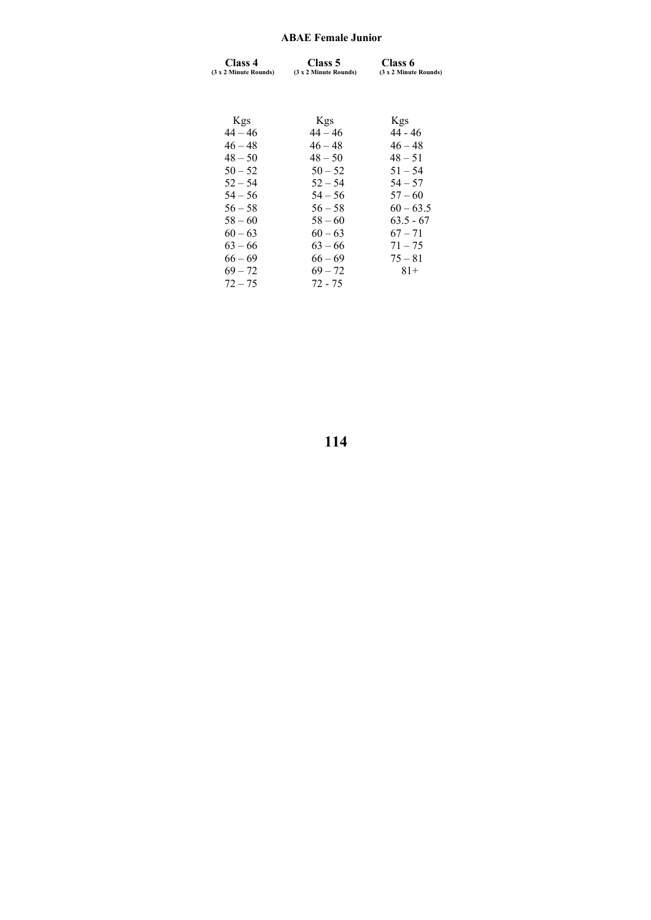### **ABAE Female Junior**

| Class 4<br>(3 x 2 Minute Rounds) | Class 5<br>(3 x 2 Minute Rounds) | Class 6<br>(3 x 2 Minute Rounds) |
|----------------------------------|----------------------------------|----------------------------------|
|                                  |                                  |                                  |
| <b>Kgs</b>                       | <b>Kgs</b>                       | <b>Kgs</b>                       |
| $44 - 46$                        | $44 - 46$                        | 44 - 46                          |
| $46 - 48$                        | $46 - 48$                        | $46 - 48$                        |
| $48 - 50$                        | $48 - 50$                        | $48 - 51$                        |
| $50 - 52$                        | $50 - 52$                        | $51 - 54$                        |
| $52 - 54$                        | $52 - 54$                        | $54 - 57$                        |
| $54 - 56$                        | $54 - 56$                        | $57 - 60$                        |
| $56 - 58$                        | $56 - 58$                        | $60 - 63.5$                      |
| $58 - 60$                        | $58 - 60$                        | $63.5 - 67$                      |
| $60 - 63$                        | $60 - 63$                        | $67 - 71$                        |
| $63 - 66$                        | $63 - 66$                        | $71 - 75$                        |
| $66 - 69$                        | $66 - 69$                        | $75 - 81$                        |
| $69 - 72$                        | $69 - 72$                        | $81+$                            |
| $72 - 75$                        | 72 - 75                          |                                  |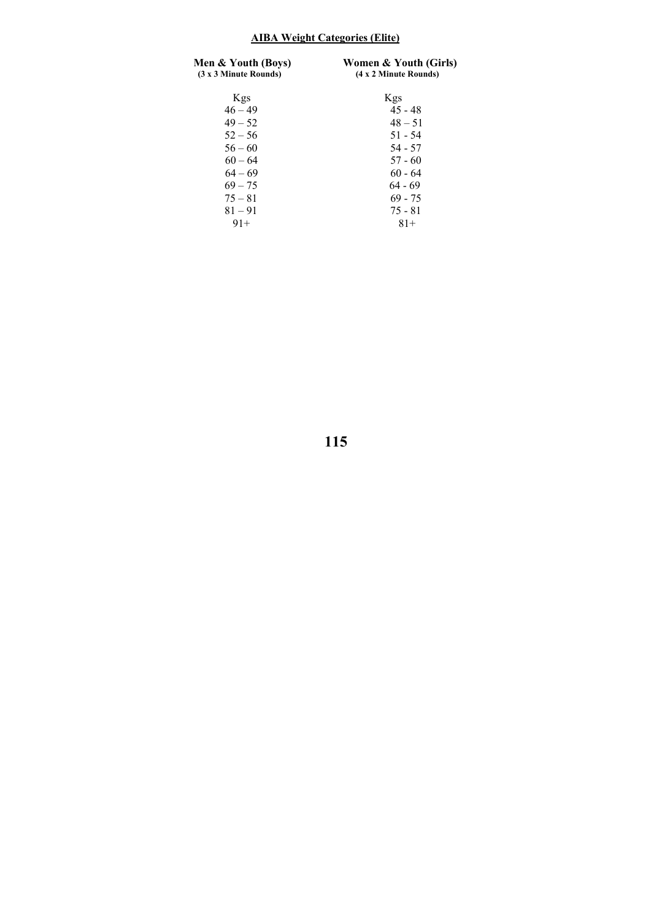# **AIBA Weight Categories (Elite)**

| Men & Youth (Boys)<br>(3 x 3 Minute Rounds) | Women & Youth (Girls)<br>(4 x 2 Minute Rounds) |  |  |
|---------------------------------------------|------------------------------------------------|--|--|
| Kgs                                         | <b>Kgs</b>                                     |  |  |
| $46 - 49$                                   | $45 - 48$                                      |  |  |
| $49 - 52$                                   | $48 - 51$                                      |  |  |
| $52 - 56$                                   | $51 - 54$                                      |  |  |
| $56 - 60$                                   | $54 - 57$                                      |  |  |
| $60 - 64$                                   | $57 - 60$                                      |  |  |
| $64 - 69$                                   | $60 - 64$                                      |  |  |
| $69 - 75$                                   | $64 - 69$                                      |  |  |
| $75 - 81$                                   | $69 - 75$                                      |  |  |
| $81 - 91$                                   | $75 - 81$                                      |  |  |
| $91+$                                       | $81+$                                          |  |  |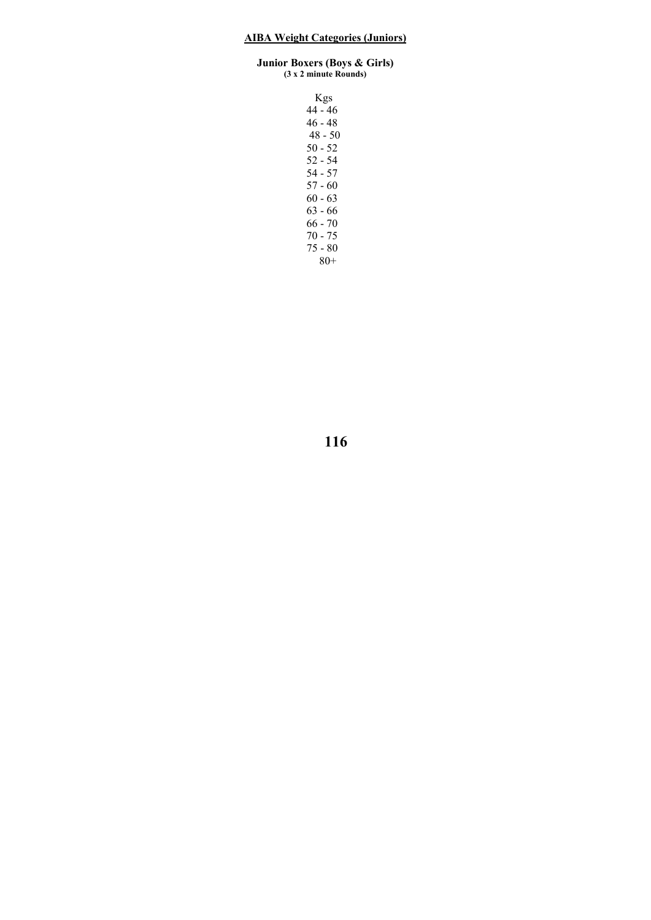#### **Junior Boxers (Boys & Girls) (3 x 2 minute Rounds)**